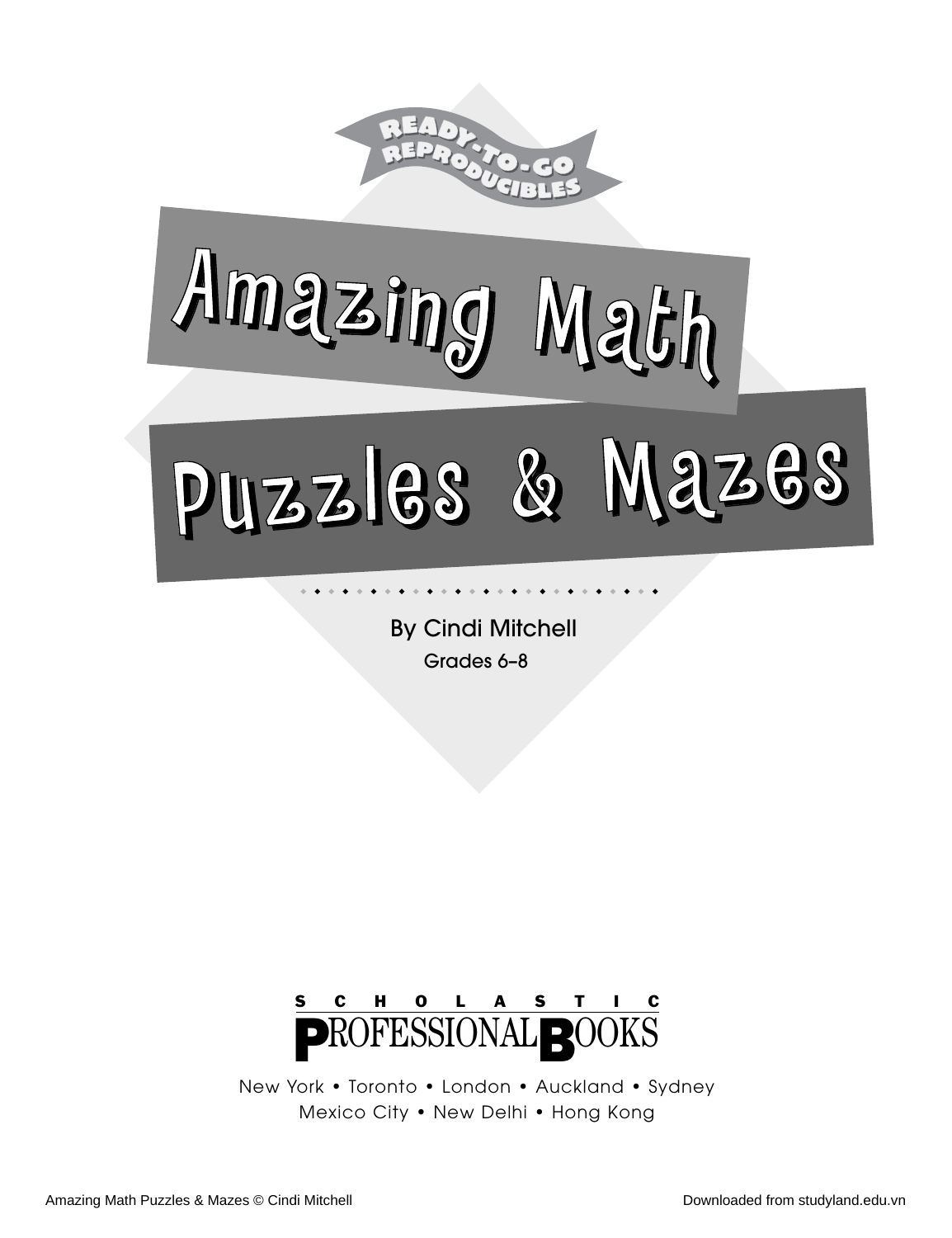

By Cindi Mitchell Grades 6–8

◆ ◆ ◆ ◆ ◆ ◆ ◆ ◆ ◆ ◆ ◆ ◆ ◆ ◆ ◆ ◆ ◆ ◆ ◆ ◆ ◆ ◆ ◆ ◆ ◆ ◆



New York • Toronto • London • Auckland • Sydney Mexico City • New Delhi • Hong Kong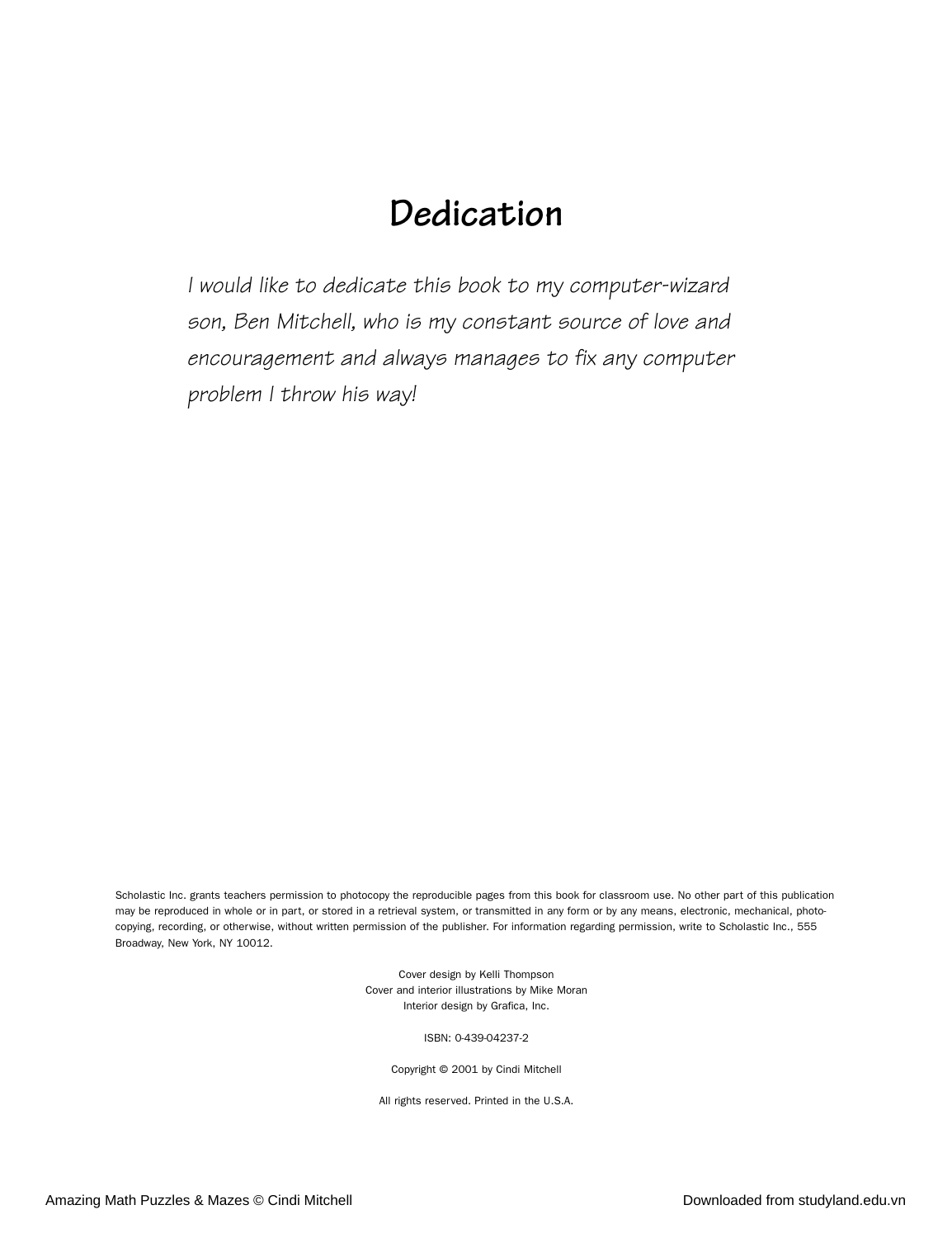## **Dedication**

*I would like to dedicate this book to my computer-wizard son, Ben Mitchell, who is my constant source of love and encouragement and always manages to fix any computer problem I throw his way!*

Scholastic Inc. grants teachers permission to photocopy the reproducible pages from this book for classroom use. No other part of this publication may be reproduced in whole or in part, or stored in a retrieval system, or transmitted in any form or by any means, electronic, mechanical, photocopying, recording, or otherwise, without written permission of the publisher. For information regarding permission, write to Scholastic Inc., 555 Broadway, New York, NY 10012.

> Cover design by Kelli Thompson Cover and interior illustrations by Mike Moran Interior design by Grafica, Inc.

> > ISBN: 0-439-04237-2

Copyright © 2001 by Cindi Mitchell

All rights reserved. Printed in the U.S.A.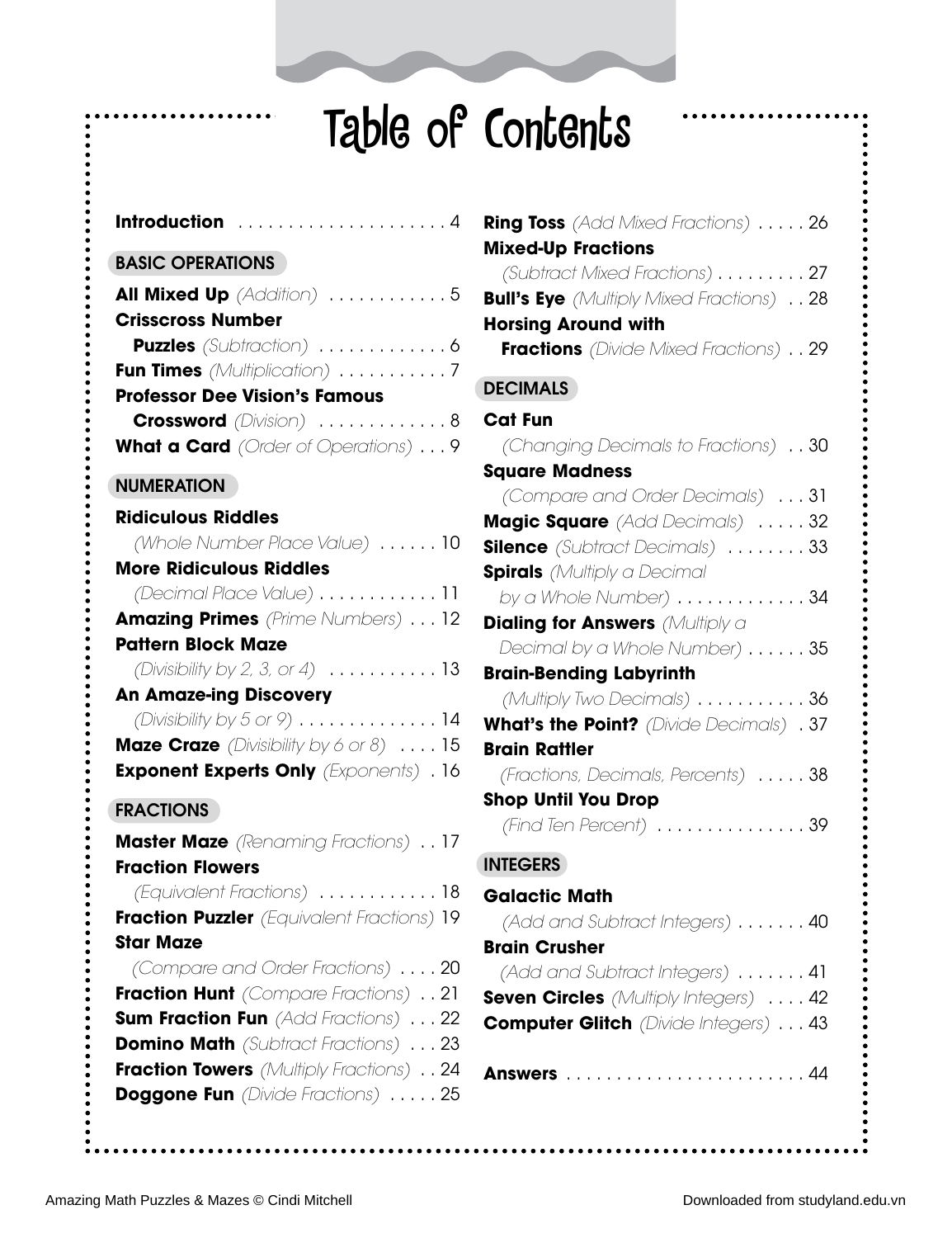# Table of Contents

| Introduction 4                                                                                |
|-----------------------------------------------------------------------------------------------|
| <b>BASIC OPERATIONS</b>                                                                       |
| <b>All Mixed Up</b> (Addition) 5<br><b>Crisscross Number</b>                                  |
| <b>Puzzles</b> (Subtraction) 6                                                                |
| Fun Times (Multiplication) 7                                                                  |
| <b>Professor Dee Vision's Famous</b><br><b>Crossword</b> (Division) 8                         |
| What a Card (Order of Operations) 9                                                           |
| <b>NUMERATION</b>                                                                             |
| <b>Ridiculous Riddles</b>                                                                     |
| (Whole Number Place Value)  10                                                                |
| <b>More Ridiculous Riddles</b><br>(Decimal Place Value) 11                                    |
| <b>Amazing Primes</b> (Prime Numbers) 12                                                      |
| <b>Pattern Block Maze</b>                                                                     |
| (Divisibility by 2, 3, or 4) $\dots \dots \dots \dots 13$                                     |
| <b>An Amaze-ing Discovery</b><br>(Divisibility by $5$ or $9$ ) 14                             |
| Maze Craze (Divisibility by 6 or 8) 15                                                        |
| <b>Exponent Experts Only</b> (Exponents) . 16                                                 |
| <b>FRACTIONS</b>                                                                              |
| <b>Master Maze</b> (Renaming Fractions) 17                                                    |
| <b>Fraction Flowers</b>                                                                       |
| (Equivalent Fractions)  18                                                                    |
| Fraction Puzzler (Equivalent Fractions) 19<br><b>Star Maze</b>                                |
| (Compare and Order Fractions) 20                                                              |
| Fraction Hunt (Compare Fractions) 21                                                          |
| <b>Sum Fraction Fun</b> (Add Fractions)  22                                                   |
| <b>Domino Math</b> (Subtract Fractions)  23<br><b>Fraction Towers</b> (Multiply Fractions) 24 |
| <b>Doggone Fun</b> (Divide Fractions) 25                                                      |
|                                                                                               |

| <b>Ring Toss</b> (Add Mixed Fractions) 26<br><b>Mixed-Up Fractions</b>                                                                    |
|-------------------------------------------------------------------------------------------------------------------------------------------|
| (Subtract Mixed Fractions) 27<br><b>Bull's Eye</b> (Multiply Mixed Fractions) 28<br><b>Horsing Around with</b>                            |
| <b>Fractions</b> (Divide Mixed Fractions) 29                                                                                              |
| <b>DECIMALS</b>                                                                                                                           |
| <b>Cat Fun</b><br>(Changing Decimals to Fractions) 30<br><b>Square Madness</b>                                                            |
| (Compare and Order Decimals) 31<br>Magic Square (Add Decimals) 32<br>Silence (Subtract Decimals) 33<br><b>Spirals</b> (Multiply a Decimal |
| by a Whole Number) 34                                                                                                                     |
| <b>Dialing for Answers</b> (Multiply a<br>Decimal by a Whole Number) 35                                                                   |
| <b>Brain-Bending Labyrinth</b><br>(Multiply Two Decimals) $\ldots \ldots \ldots 36$<br><b>What's the Point?</b> (Divide Decimals) . 37    |
| <b>Brain Rattler</b><br>(Fractions, Decimals, Percents)  38<br><b>Shop Until You Drop</b>                                                 |
| $(Find$ Ten Percent $)$ 39                                                                                                                |
| <b>INTEGERS</b>                                                                                                                           |
| <b>Galactic Math</b><br>$(Add and Subtract Integers) \ldots \ldots 40$<br><b>Brain Crusher</b>                                            |
| (Add and Subtract Integers) 41<br><b>Seven Circles</b> (Multiply Integers)  42<br><b>Computer Glitch</b> (Divide Integers) 43             |
|                                                                                                                                           |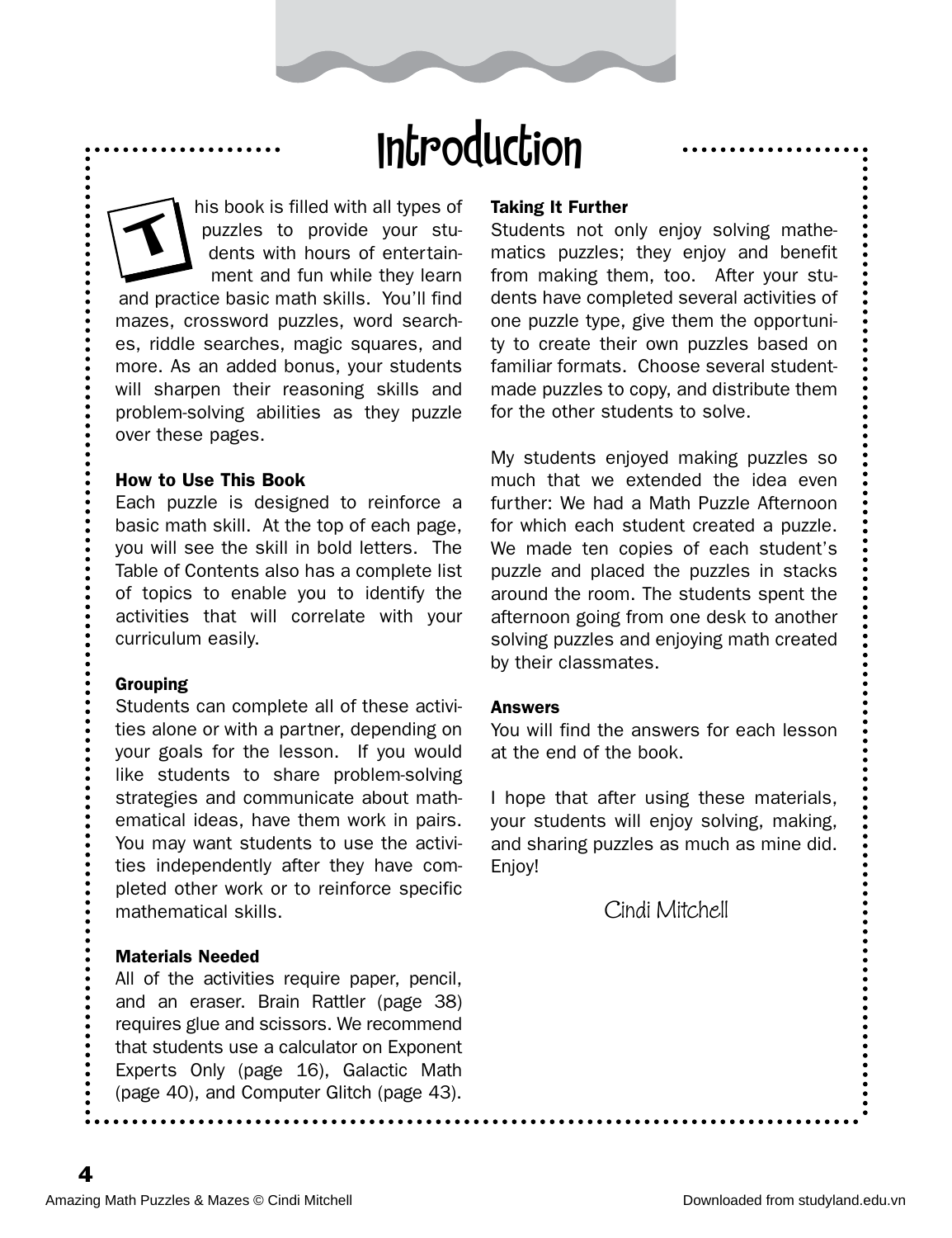## Introduction

his book is filled with all types of puzzles to provide your students with hours of entertainment and fun while they learn and practice basic math skills. You'll find mazes, crossword puzzles, word searches, riddle searches, magic squares, and more. As an added bonus, your students will sharpen their reasoning skills and problem-solving abilities as they puzzle over these pages.  $\blacktriangleleft$ 

#### How to Use This Book

Each puzzle is designed to reinforce a basic math skill. At the top of each page, you will see the skill in bold letters. The Table of Contents also has a complete list of topics to enable you to identify the activities that will correlate with your curriculum easily.

#### Grouping

Students can complete all of these activities alone or with a partner, depending on your goals for the lesson. If you would like students to share problem-solving strategies and communicate about mathematical ideas, have them work in pairs. You may want students to use the activities independently after they have completed other work or to reinforce specific mathematical skills.

#### Materials Needed

All of the activities require paper, pencil, and an eraser. Brain Rattler (page 38) requires glue and scissors. We recommend that students use a calculator on Exponent Experts Only (page 16), Galactic Math (page 40), and Computer Glitch (page 43).

#### Taking It Further

Students not only enjoy solving mathematics puzzles; they enjoy and benefit from making them, too. After your students have completed several activities of one puzzle type, give them the opportunity to create their own puzzles based on familiar formats. Choose several studentmade puzzles to copy, and distribute them for the other students to solve.

My students enjoyed making puzzles so much that we extended the idea even further: We had a Math Puzzle Afternoon for which each student created a puzzle. We made ten copies of each student's puzzle and placed the puzzles in stacks around the room. The students spent the afternoon going from one desk to another solving puzzles and enjoying math created by their classmates.

#### Answers

You will find the answers for each lesson at the end of the book.

I hope that after using these materials, your students will enjoy solving, making, and sharing puzzles as much as mine did. Enjoy!

Cindi Mitchell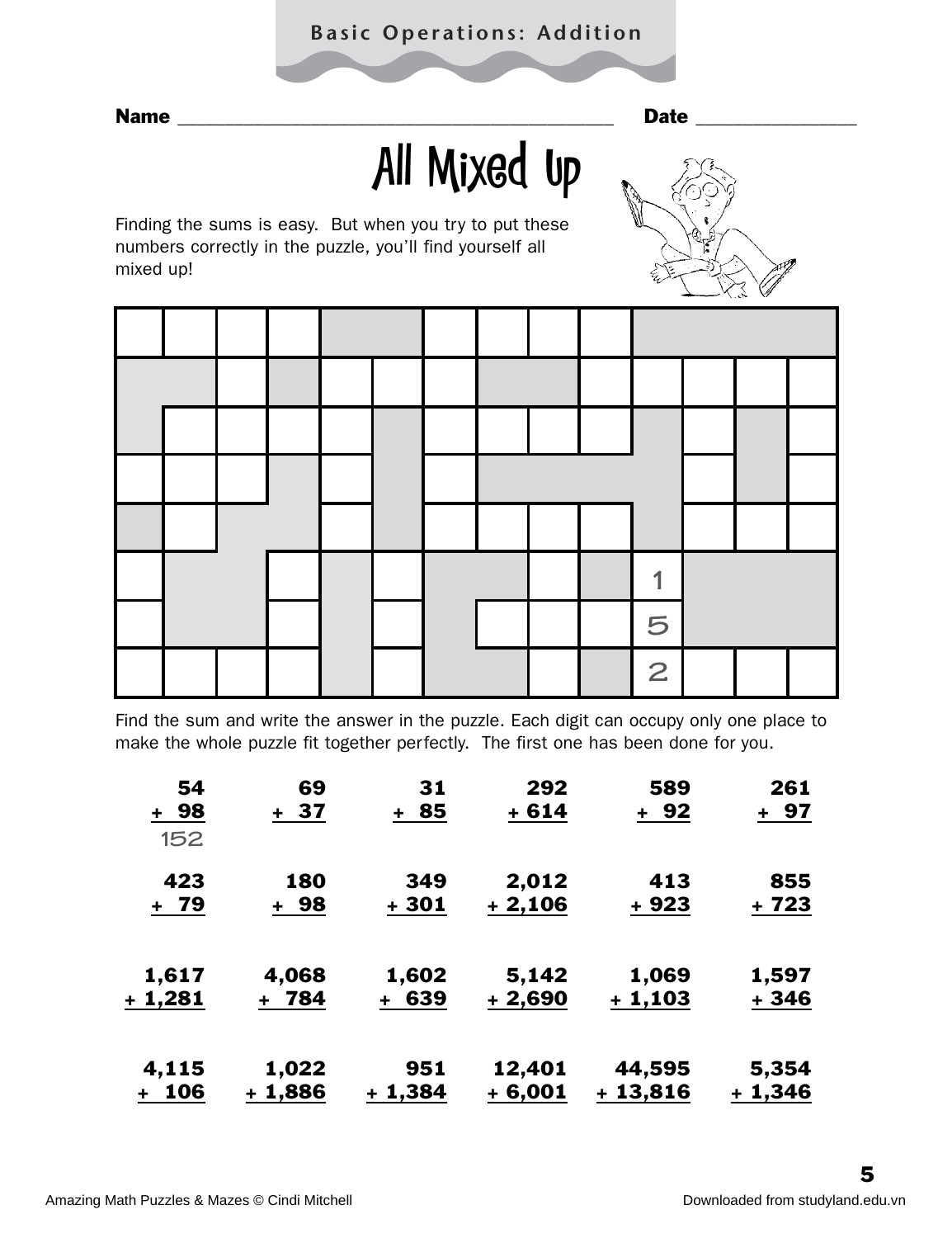### **Basic Operations: Addition**

# All Mixed Up

Finding the sums is easy. But when you try to put these numbers correctly in the puzzle, you'll find yourself all mixed up!



Find the sum and write the answer in the puzzle. Each digit can occupy only one place to make the whole puzzle fit together perfectly. The first one has been done for you.

| 54       | 69      | 31       | 292      | 589       | 261      |
|----------|---------|----------|----------|-----------|----------|
| + 98     | + 37    | + 85     | $+614$   | + 92      | + 97     |
| 152      |         |          |          |           |          |
| 423      | 180     | 349      | 2,012    | 413       | 855      |
| + 79     | + 98    | + 301    | $+2,106$ | $+923$    | + 723    |
| 1,617    | 4,068   | 1,602    | 5,142    | 1,069     | 1,597    |
| + 1,281  | + 784   | + 639    | $+2,690$ | $+1,103$  | + 346    |
| 4,115    | 1,022   | 951      | 12,401   | 44,595    | 5,354    |
| 106<br>٠ | + 1,886 | $+1,384$ | $+6,001$ | $+13,816$ | $+1,346$ |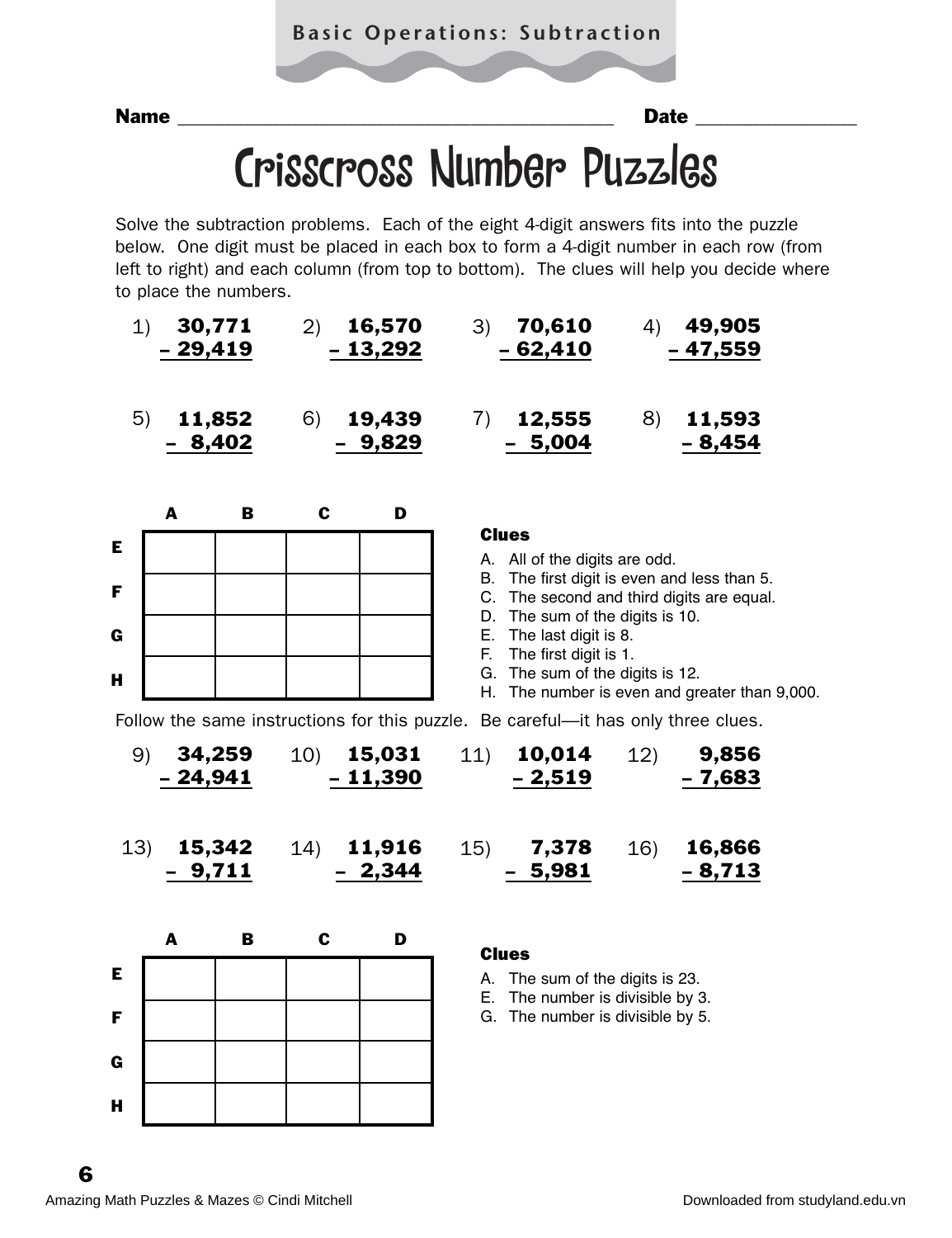## Crisscross Number Puzzles

Solve the subtraction problems. Each of the eight 4-digit answers fits into the puzzle below. One digit must be placed in each box to form a 4-digit number in each row (from left to right) and each column (from top to bottom). The clues will help you decide where to place the numbers.

|     | 1)              | 30,771<br>29,419 | (2)         | 16,570<br>$-13,292$ | 70,610<br>3)<br>4)<br>$-62,410$                                                   | 49,905<br>- 47,559 |
|-----|-----------------|------------------|-------------|---------------------|-----------------------------------------------------------------------------------|--------------------|
| 5)  |                 | 11,852<br>8,402  | 6)          | 19,439<br>9,829     | 7)<br>8)<br>12,555<br>5,004                                                       | 11,593<br>8,454    |
|     | A               | $\mathbf B$      | $\mathbf c$ | D                   | <b>Clues</b>                                                                      |                    |
| E   |                 |                  |             |                     | A. All of the digits are odd.<br>B. The first digit is even and less than 5.      |                    |
| F   |                 |                  |             |                     | C. The second and third digits are equal.<br>D. The sum of the digits is 10.      |                    |
| G   |                 |                  |             |                     | E. The last digit is 8.<br>The first digit is 1.<br>F.                            |                    |
| н   |                 |                  |             |                     | G. The sum of the digits is 12.<br>H. The number is even and greater than 9,000.  |                    |
|     |                 |                  |             |                     | Follow the same instructions for this puzzle. Be careful-it has only three clues. |                    |
|     | 9)<br>$-24,941$ | 34,259           | 10)         | 15,031<br>$-11,390$ | 10,014<br>11)<br>12)<br>$-2,519$                                                  | 9,856<br>- 7,683   |
| 13) |                 | 15,342<br>9,711  | (14)        | 11,916<br>2,344     | 16)<br>15)<br>7,378<br>5,981                                                      | 16,866<br>$-8,713$ |
|     | $\mathbf{A}$    | $\mathbf B$      | $\mathbf c$ | D                   | <b>Clues</b>                                                                      |                    |
| Е   |                 |                  |             |                     | A. The sum of the digits is 23.<br>E. The number is divisible by 3.               |                    |
| F   |                 |                  |             |                     | G. The number is divisible by 5.                                                  |                    |
| G   |                 |                  |             |                     |                                                                                   |                    |
| H   |                 |                  |             |                     |                                                                                   |                    |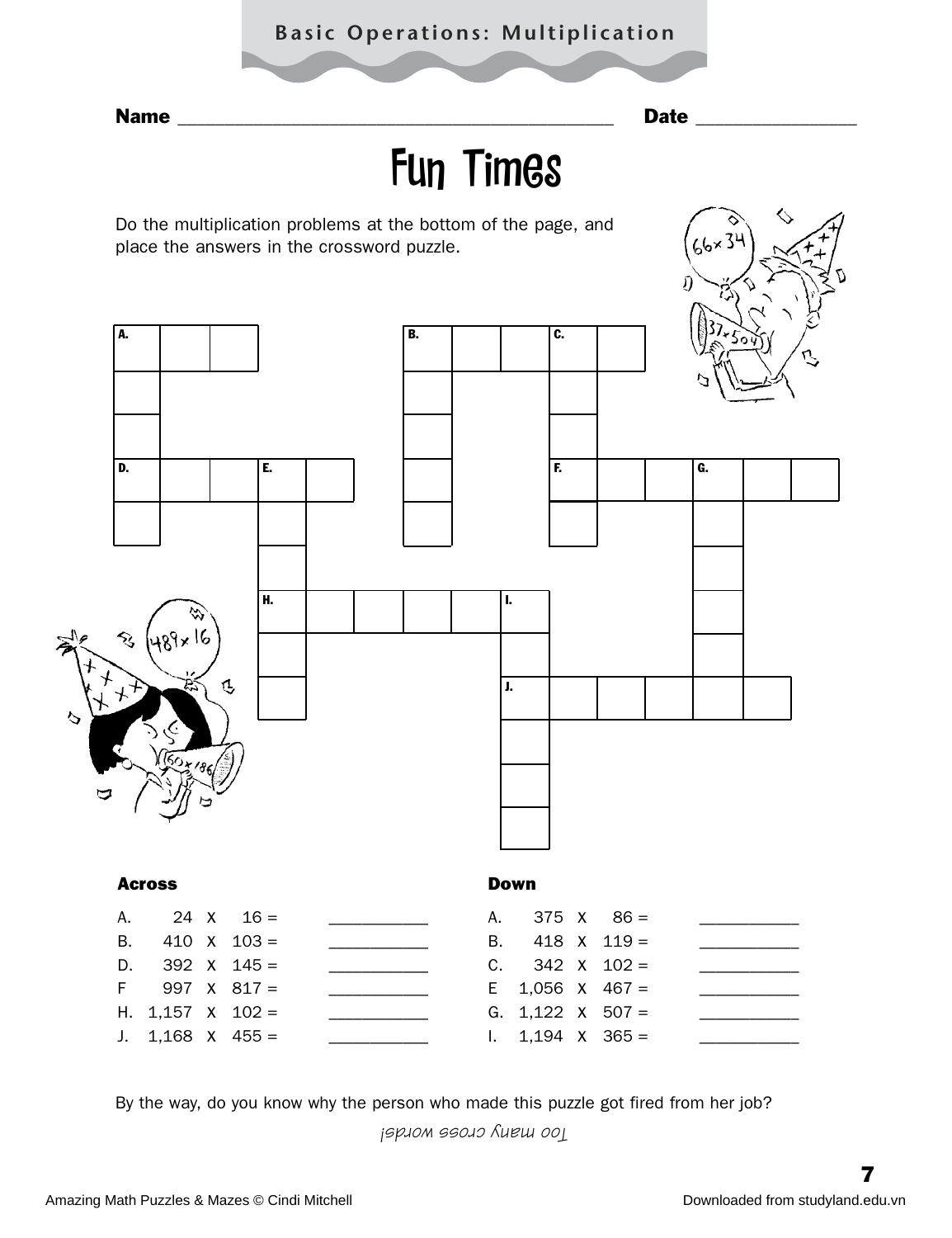### **Basic Operations: Multiplication**

Name \_\_\_\_\_\_\_\_\_\_\_\_\_\_\_\_\_\_\_\_\_\_\_\_\_\_\_\_\_\_\_\_\_\_\_\_\_\_\_\_\_\_\_\_\_\_ Date \_\_\_\_\_\_\_\_\_\_\_\_\_\_\_\_\_

## Fun Times

Do the multiplication problems at the bottom of the page, and place the answers in the crossword puzzle.



By the way, do you know why the person who made this puzzle got fired from her job?

*Too many cross words!*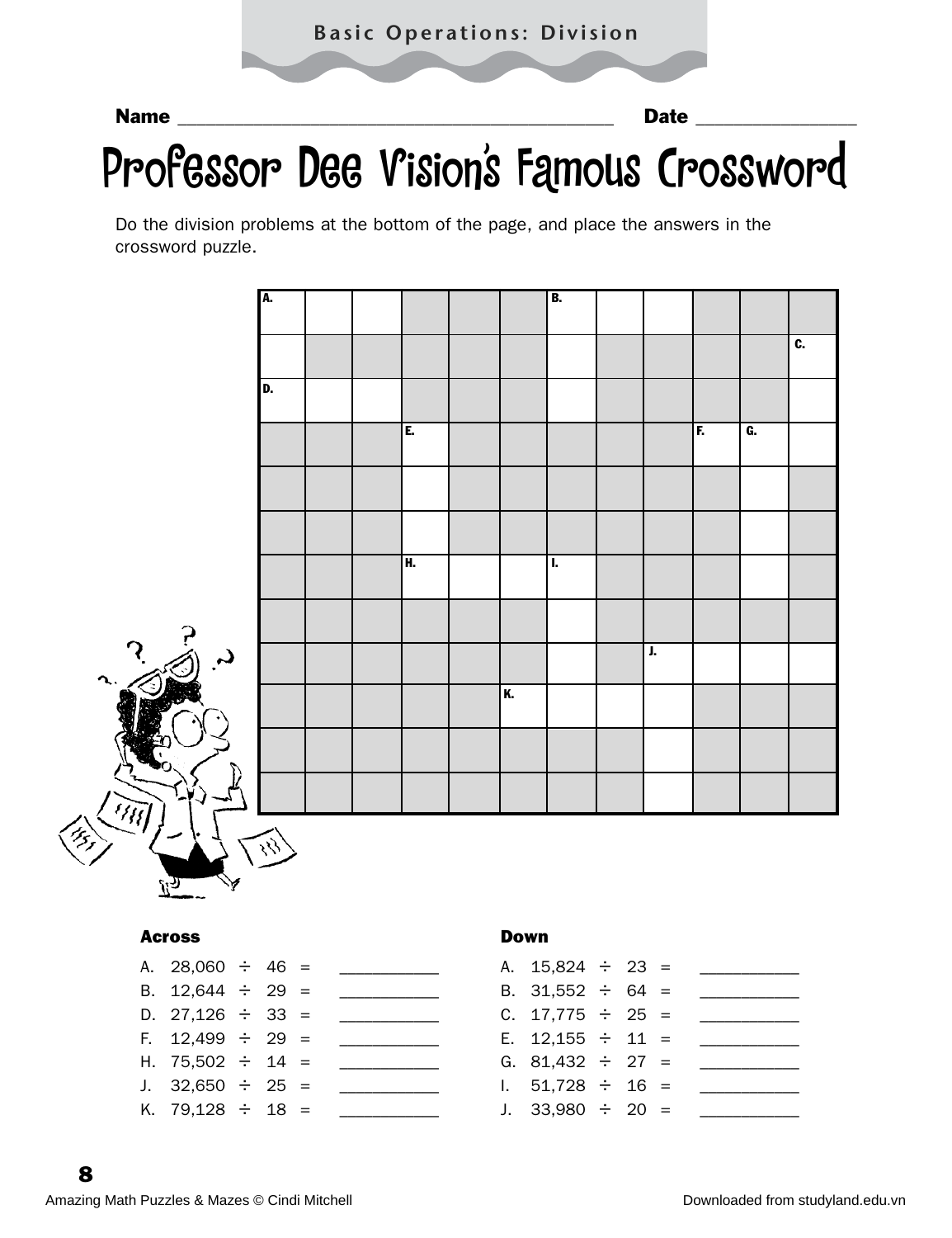#### Name **Date 20 and 20 and 20 and 20 and 20 and 20 and 20 and 20 and 20 and 20 and 20 and 20 and 20 and 20 and 20 and 20 and 20 and 20 and 20 and 20 and 20 and 20 and 20 and 20 and 20 and 20 and 20 and 20 and 20 and 20 and 2**

## Professor Dee Vision's Famous Crossword

Do the division problems at the bottom of the page, and place the answers in the crossword puzzle.



#### Across

| A. 28,060 $\div$ 46 = |  |  |
|-----------------------|--|--|
| B. $12,644 \div 29 =$ |  |  |
| D. 27,126 $\div$ 33 = |  |  |
| F. $12,499 \div 29 =$ |  |  |
| H. 75,502 $\div$ 14 = |  |  |
| J. 32,650 $\div$ 25 = |  |  |
| K. 79,128 ÷ 18 =      |  |  |

#### Down

| A. $15,824 \div 23 =$ |  |  |
|-----------------------|--|--|
| B. $31,552 \div 64 =$ |  |  |
| C. $17,775 \div 25 =$ |  |  |
| E. $12,155 \div 11 =$ |  |  |
| G. 81,432 $\div$ 27 = |  |  |
| 1. $51,728 \div 16 =$ |  |  |
| J. $33,980 \div 20 =$ |  |  |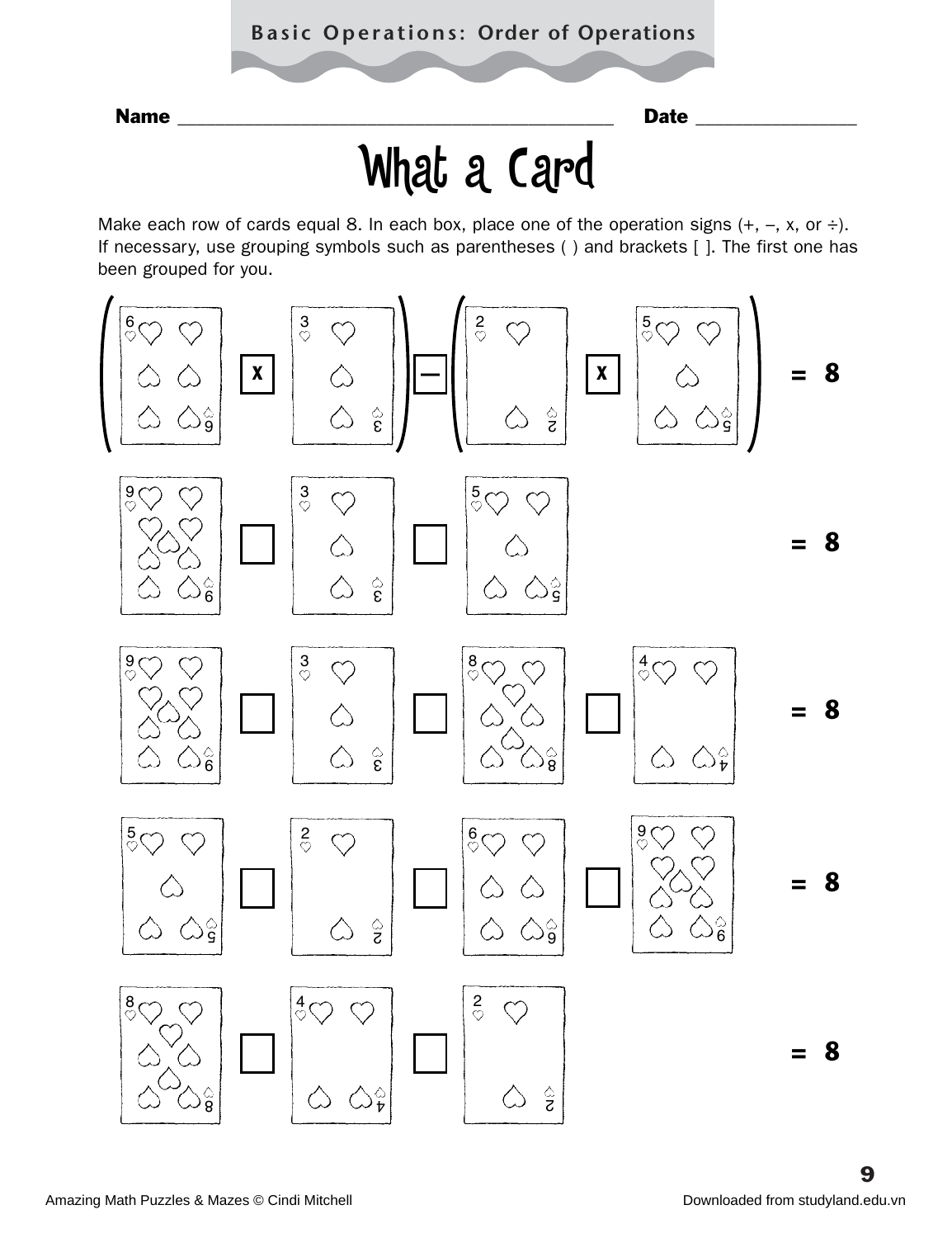### **Basic Operations: Order of Operations**

Name **Name Date 2008** 

# What a Card

Make each row of cards equal 8. In each box, place one of the operation signs  $(+, -, x, or +)$ . If necessary, use grouping symbols such as parentheses ( ) and brackets [ ]. The first one has been grouped for you.

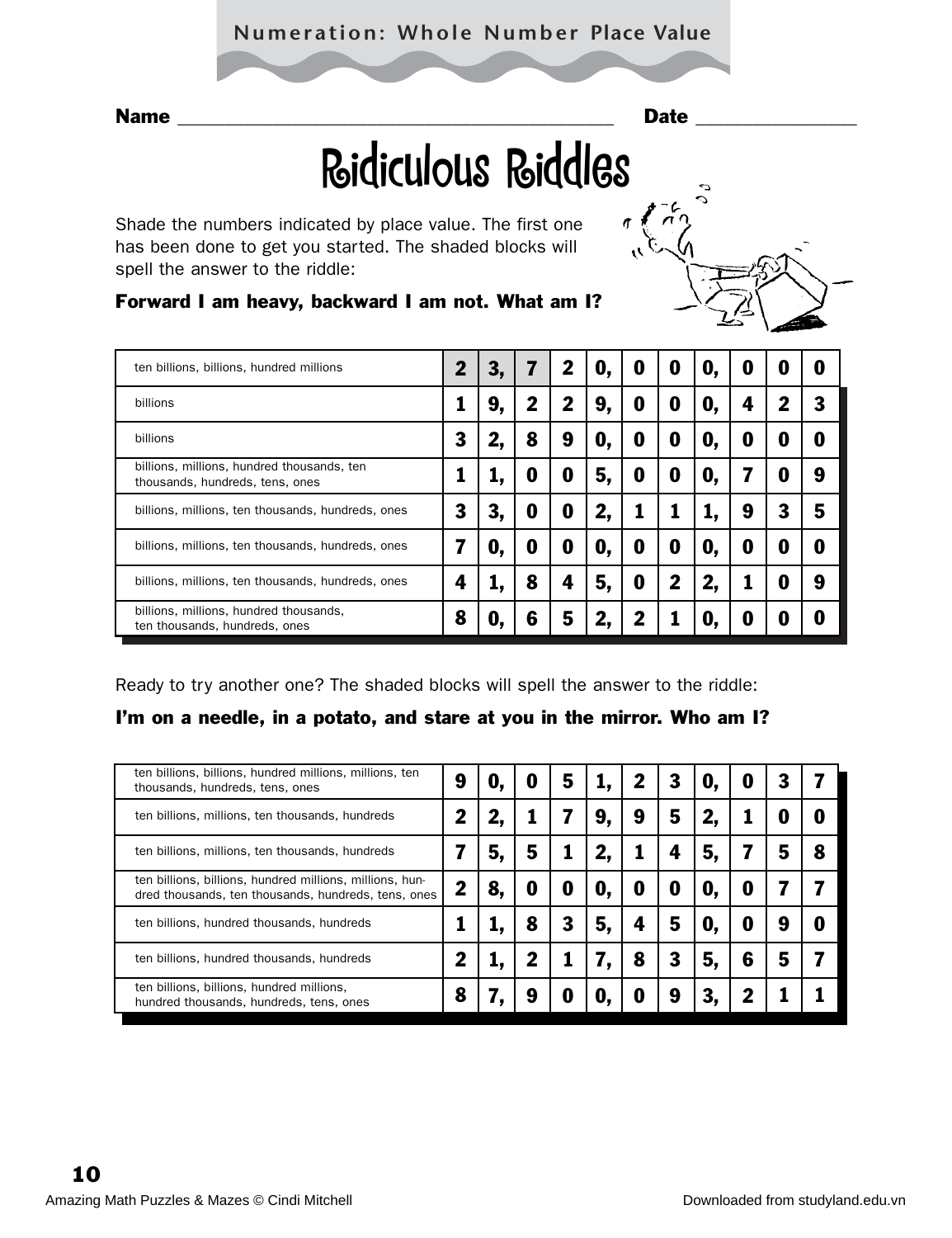### **Numeration: Whole Number Place Value**

# Ridiculous Riddles

Shade the numbers indicated by place value. The first one has been done to get you started. The shaded blocks will spell the answer to the riddle:

## Forward I am heavy, backward I am not. What am I?

| ten billions, billions, hundred millions                                      |   | З, | 7           | 2 | O, | 0 | O | O, | 0 | 0 | 0 |
|-------------------------------------------------------------------------------|---|----|-------------|---|----|---|---|----|---|---|---|
| billions                                                                      |   | 9, | $\mathbf 2$ | 2 | 9, | 0 | O | O, | 4 | 2 | 3 |
| billions                                                                      | 3 | 2, | 8           | 9 | 0, | 0 | O | O, | 0 | 0 | 0 |
| billions, millions, hundred thousands, ten<br>thousands, hundreds, tens, ones |   |    | O           | 0 | 5, | 0 | O | O, |   | O | 9 |
| billions, millions, ten thousands, hundreds, ones                             | 3 | З, | O           | 0 | 2, |   |   |    | 9 | 3 | 5 |
| billions, millions, ten thousands, hundreds, ones                             |   | O, | O           | 0 | 0, | O | O | O, | 0 | O | 0 |
| billions, millions, ten thousands, hundreds, ones                             |   | ı, | 8           | 4 | 5, | 0 | 2 | 2, |   |   | 9 |
| billions, millions, hundred thousands,<br>ten thousands, hundreds, ones       | 8 | O. | 6           | 5 |    | 7 |   | O  | 0 | O | 0 |

Ready to try another one? The shaded blocks will spell the answer to the riddle:

### I'm on a needle, in a potato, and stare at you in the mirror. Who am I?

| ten billions, billions, hundred millions, millions, ten<br>thousands, hundreds, tens, ones                      | g | υ  | U | 5 |    |   | 3 | U. | U | 3 |   |
|-----------------------------------------------------------------------------------------------------------------|---|----|---|---|----|---|---|----|---|---|---|
| ten billions, millions, ten thousands, hundreds                                                                 |   |    |   |   | 9. | 9 | 5 |    |   |   | O |
| ten billions, millions, ten thousands, hundreds                                                                 |   | 5  | 5 |   | 2, |   |   | 5. |   | 5 | 8 |
| ten billions, billions, hundred millions, millions, hun-<br>dred thousands, ten thousands, hundreds, tens, ones |   | 8, | O | 0 | 0, | O | O | U. | U |   |   |
| ten billions, hundred thousands, hundreds                                                                       |   |    | 8 | 3 | 5. | 4 | 5 | U. | O | g | O |
| ten billions, hundred thousands, hundreds                                                                       |   |    | 2 |   |    | 8 | 3 | 5, | 6 | 5 |   |
| ten billions, billions, hundred millions,<br>hundred thousands, hundreds, tens, ones                            | 8 |    | 9 | 0 | U. | U | g |    |   |   |   |
|                                                                                                                 |   |    |   |   |    |   |   |    |   |   |   |

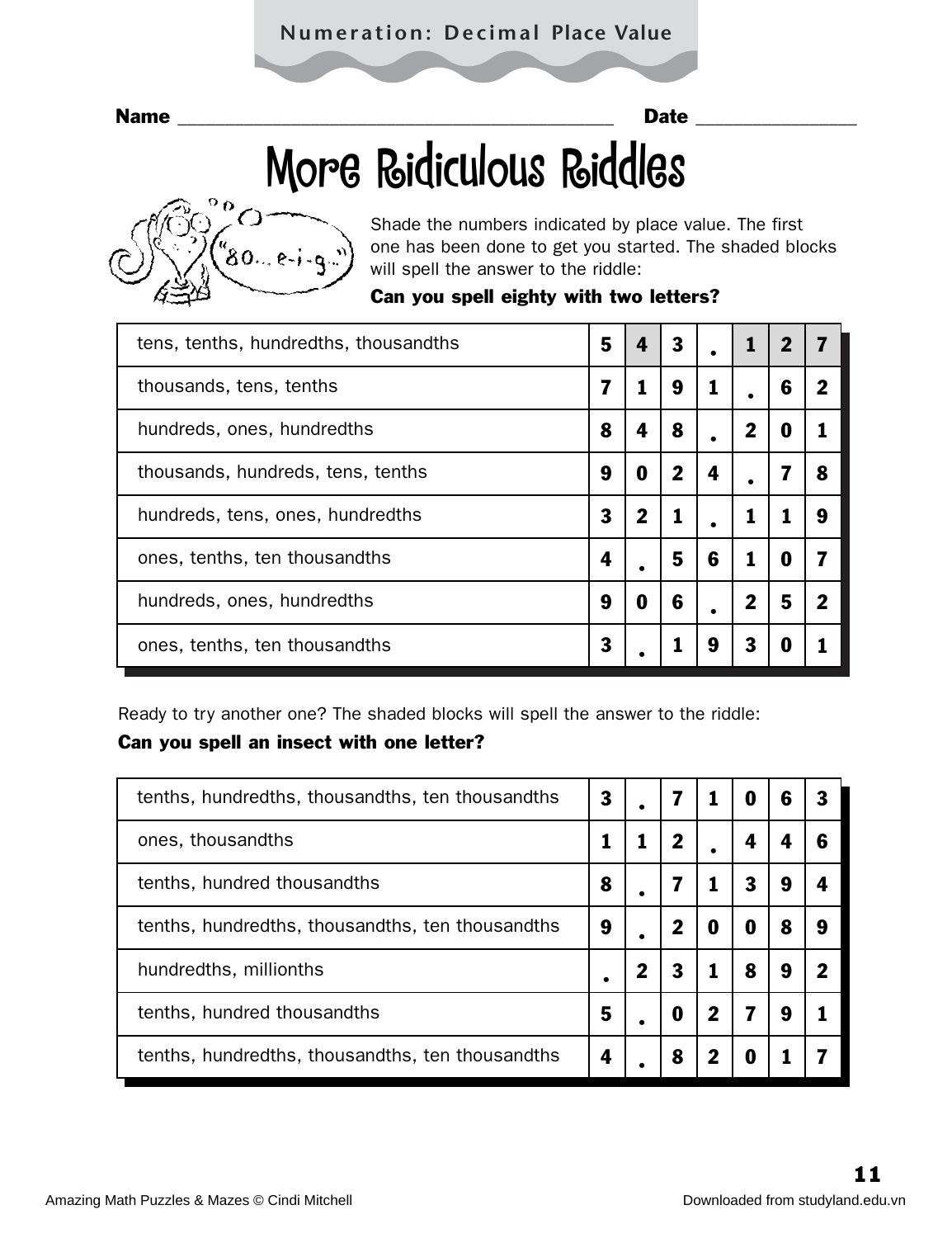### **Numeration: Decimal Place Value**

Name \_\_\_\_\_\_\_\_\_\_\_\_\_\_\_\_\_\_\_\_\_\_\_\_\_\_\_\_\_\_\_\_\_\_\_\_\_\_\_\_\_\_\_\_\_\_ Date \_\_\_\_\_\_\_\_\_\_\_\_\_\_\_\_\_

# More Ridiculous Riddles



Shade the numbers indicated by place value. The first one has been done to get you started. The shaded blocks will spell the answer to the riddle:

|  |  |  |  |  |  | Can you spell eighty with two letters? |
|--|--|--|--|--|--|----------------------------------------|
|--|--|--|--|--|--|----------------------------------------|

| tens, tenths, hundredths, thousandths | 5 | 4           | 3 |   |   | 2 |             |
|---------------------------------------|---|-------------|---|---|---|---|-------------|
| thousands, tens, tenths               | 7 |             | 9 |   |   | 6 | $\mathbf 2$ |
| hundreds, ones, hundredths            | 8 | 4           | 8 |   |   | O |             |
| thousands, hundreds, tens, tenths     | 9 | O           | 2 | 4 |   |   | 8           |
| hundreds, tens, ones, hundredths      | 3 | $\mathbf 2$ | 1 |   |   |   | 9           |
| ones, tenths, ten thousandths         | 4 |             | 5 | 6 |   | 0 |             |
| hundreds, ones, hundredths            | 9 | 0           | 6 | ٠ | 2 | 5 | 2           |
| ones, tenths, ten thousandths         | 3 |             |   | 9 | 3 | O |             |

Ready to try another one? The shaded blocks will spell the answer to the riddle:

#### Can you spell an insect with one letter?

| tenths, hundredths, thousandths, ten thousandths | 3 |   |             | U | 6 | 3 |
|--------------------------------------------------|---|---|-------------|---|---|---|
| ones, thousandths                                |   | 2 |             |   |   | 6 |
| tenths, hundred thousandths                      | 8 |   |             |   | 9 | 4 |
| tenths, hundredths, thousandths, ten thousandths | 9 | 2 | 0           | 0 | 8 | 9 |
| hundredths, millionths                           |   | 3 |             | 8 | 9 | 2 |
| tenths, hundred thousandths                      | 5 | O | $\mathbf 2$ |   | 9 |   |
| tenths, hundredths, thousandths, ten thousandths | 4 | 8 |             |   |   |   |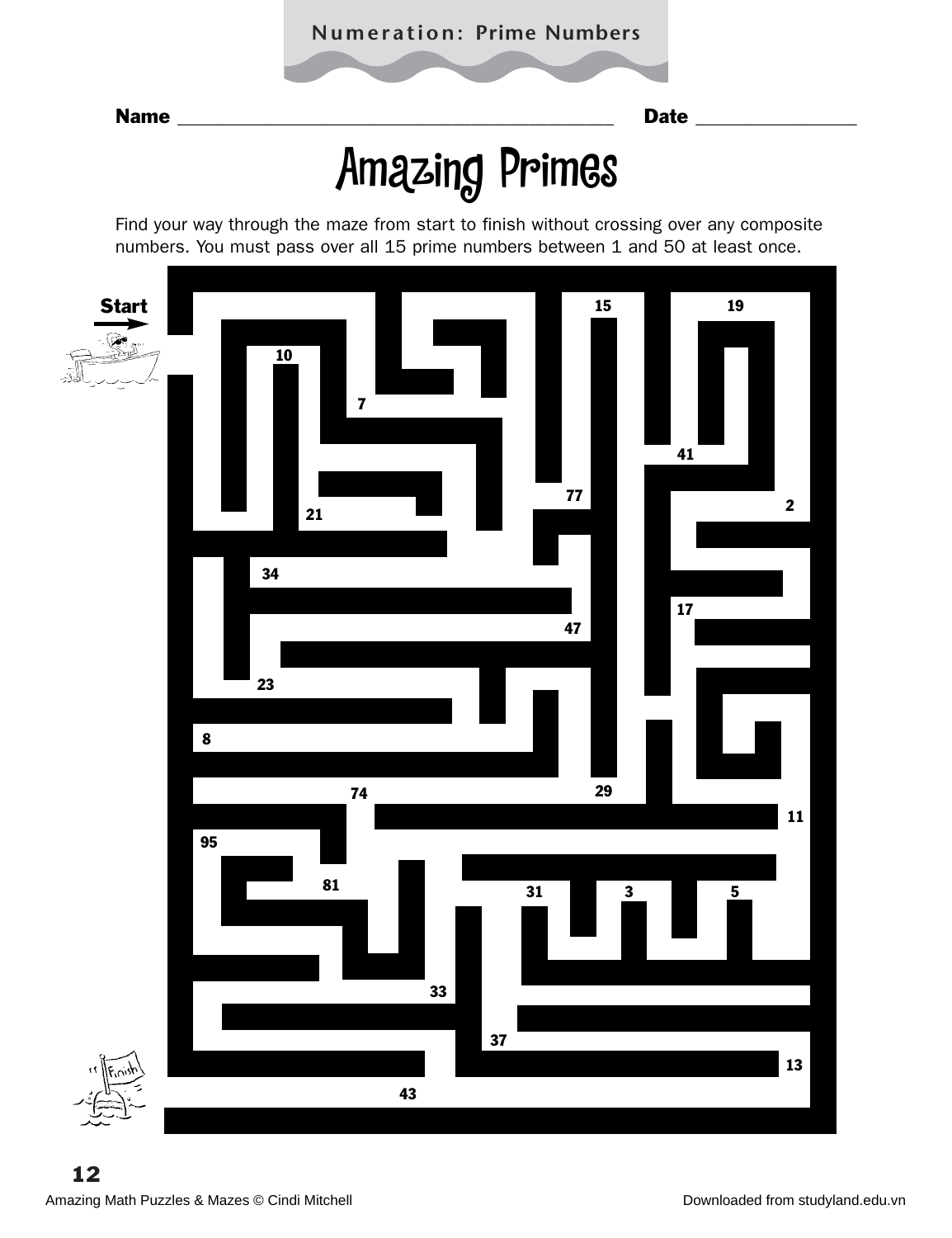# Amazing Primes

Find your way through the maze from start to finish without crossing over any composite numbers. You must pass over all 15 prime numbers between 1 and 50 at least once.

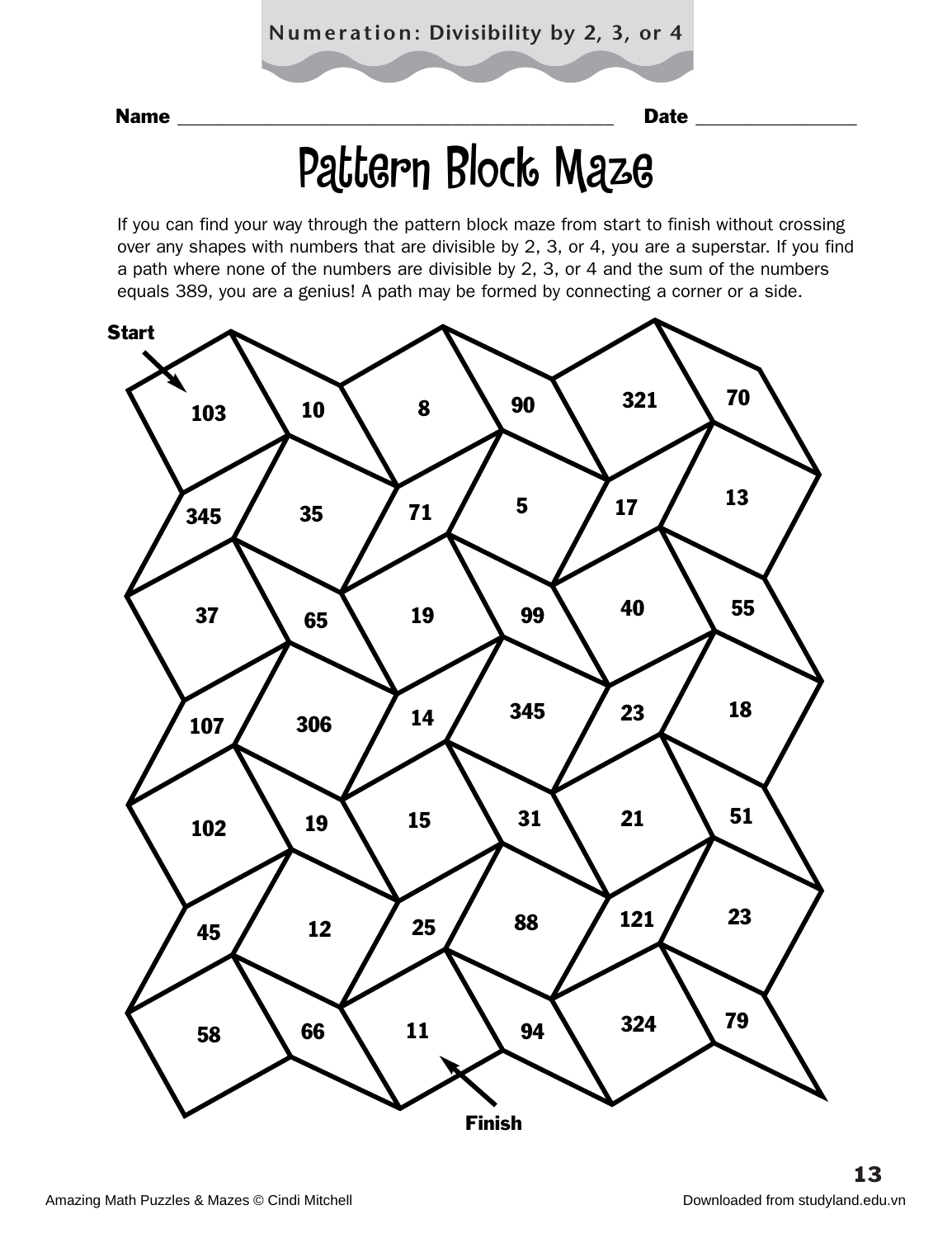## Pattern Block Maze

If you can find your way through the pattern block maze from start to finish without crossing over any shapes with numbers that are divisible by 2, 3, or 4, you are a superstar. If you find a path where none of the numbers are divisible by 2, 3, or 4 and the sum of the numbers equals 389, you are a genius! A path may be formed by connecting a corner or a side.

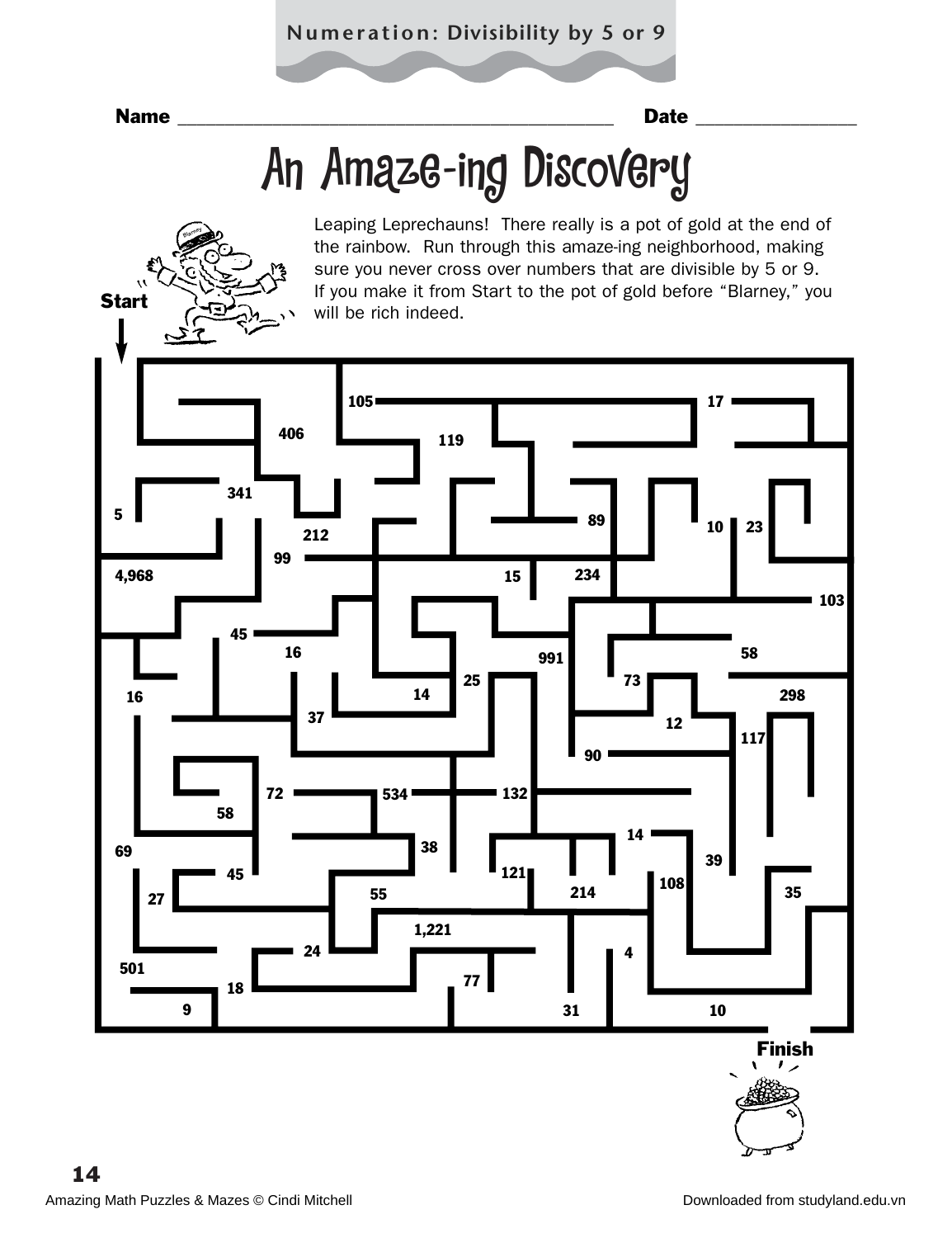# An Amaze-ing Discovery



Leaping Leprechauns! There really is a pot of gold at the end of the rainbow. Run through this amaze-ing neighborhood, making sure you never cross over numbers that are divisible by 5 or 9. If you make it from Start to the pot of gold before "Blarney," you

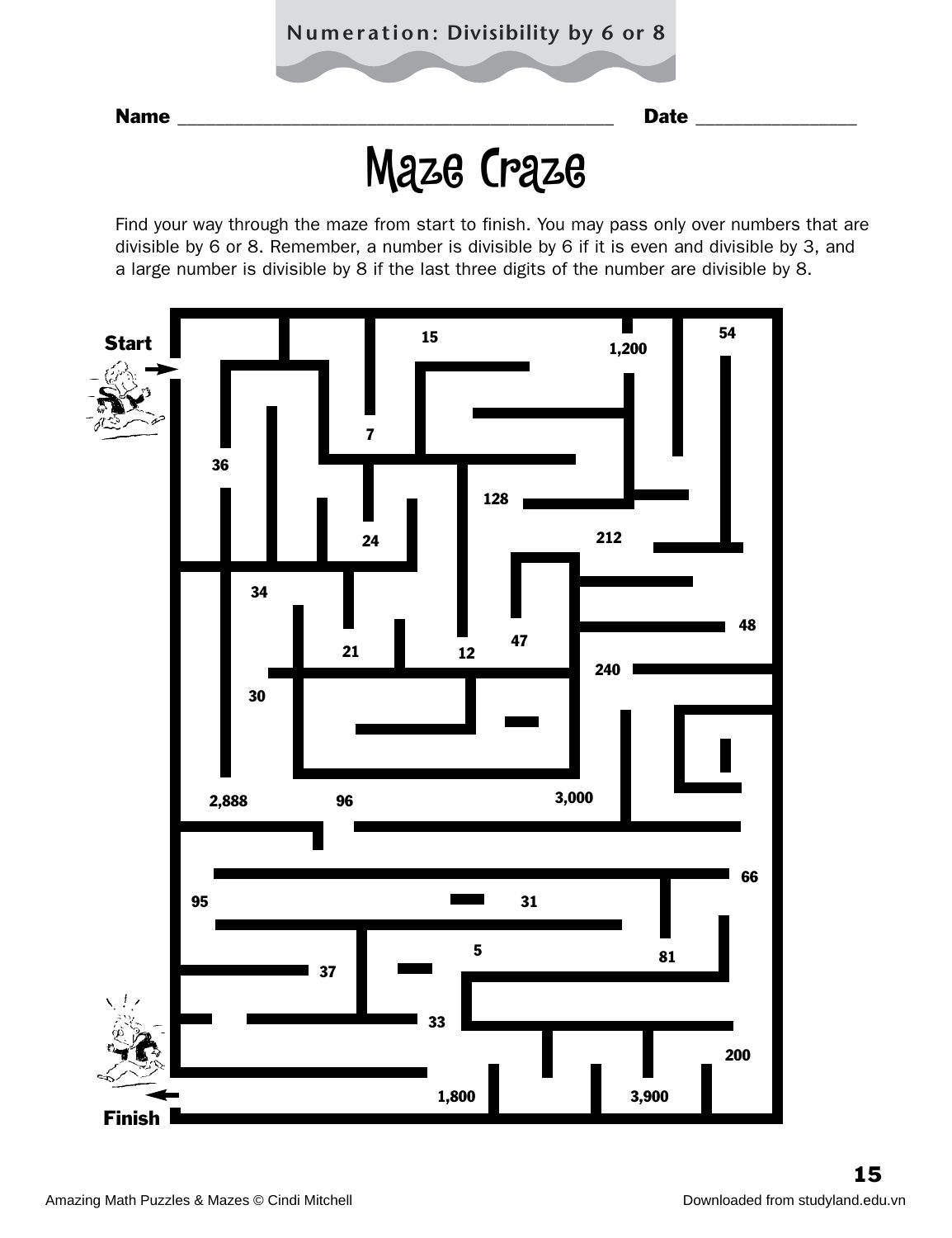### **Numeration: Divisibility by 6 or 8**

Name \_\_\_\_\_\_\_\_\_\_\_\_\_\_\_\_\_\_\_\_\_\_\_\_\_\_\_\_\_\_\_\_\_\_\_\_\_\_\_\_\_\_\_\_\_\_ Date \_\_\_\_\_\_\_\_\_\_\_\_\_\_\_\_\_

## Maze Craze

Find your way through the maze from start to finish. You may pass only over numbers that are divisible by 6 or 8. Remember, a number is divisible by 6 if it is even and divisible by 3, and a large number is divisible by 8 if the last three digits of the number are divisible by 8.

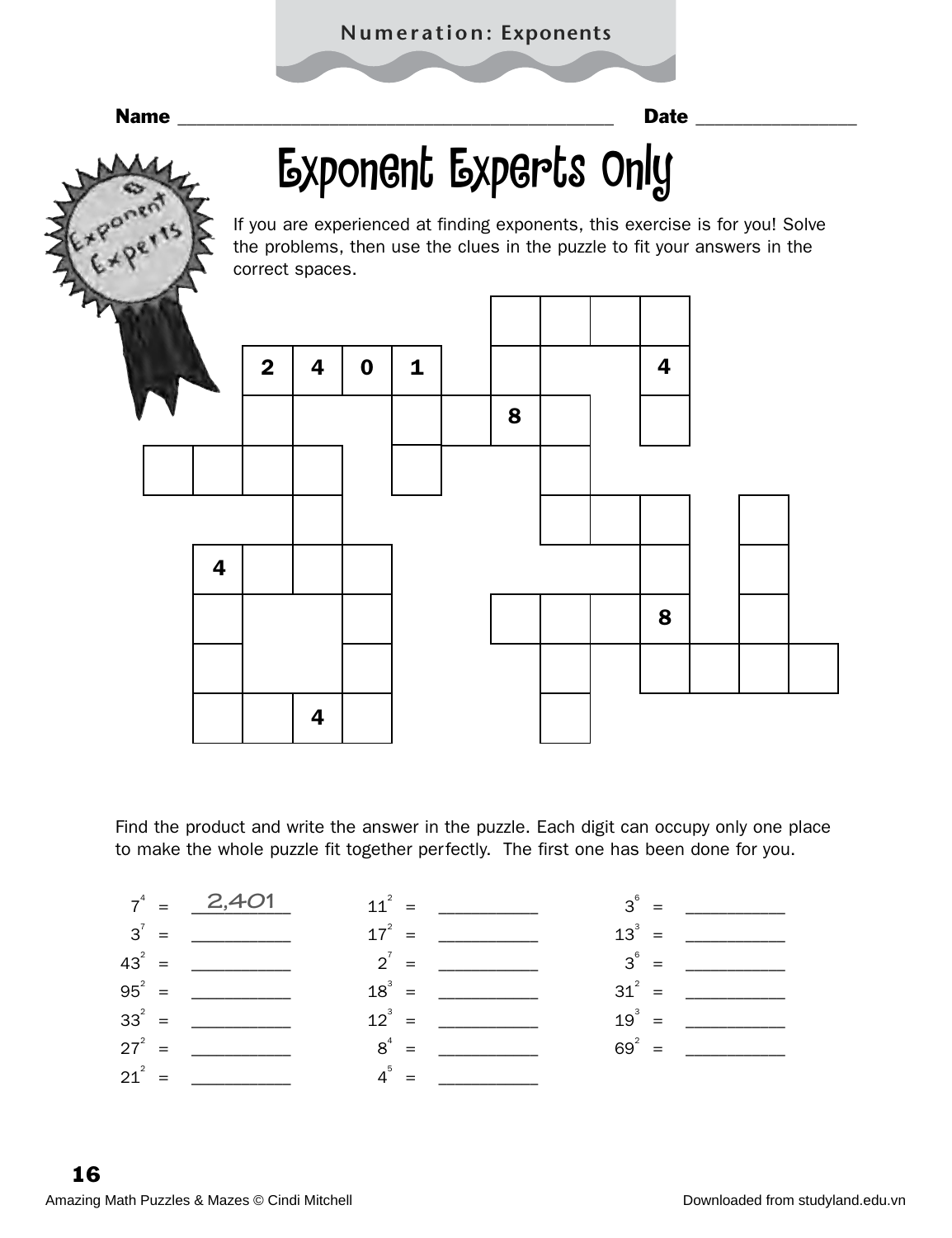# Exponent Experts Only

If you are experienced at finding exponents, this exercise is for you! Solve the problems, then use the clues in the puzzle to fit your answers in the correct spaces.



Find the product and write the answer in the puzzle. Each digit can occupy only one place to make the whole puzzle fit together perfectly. The first one has been done for you.

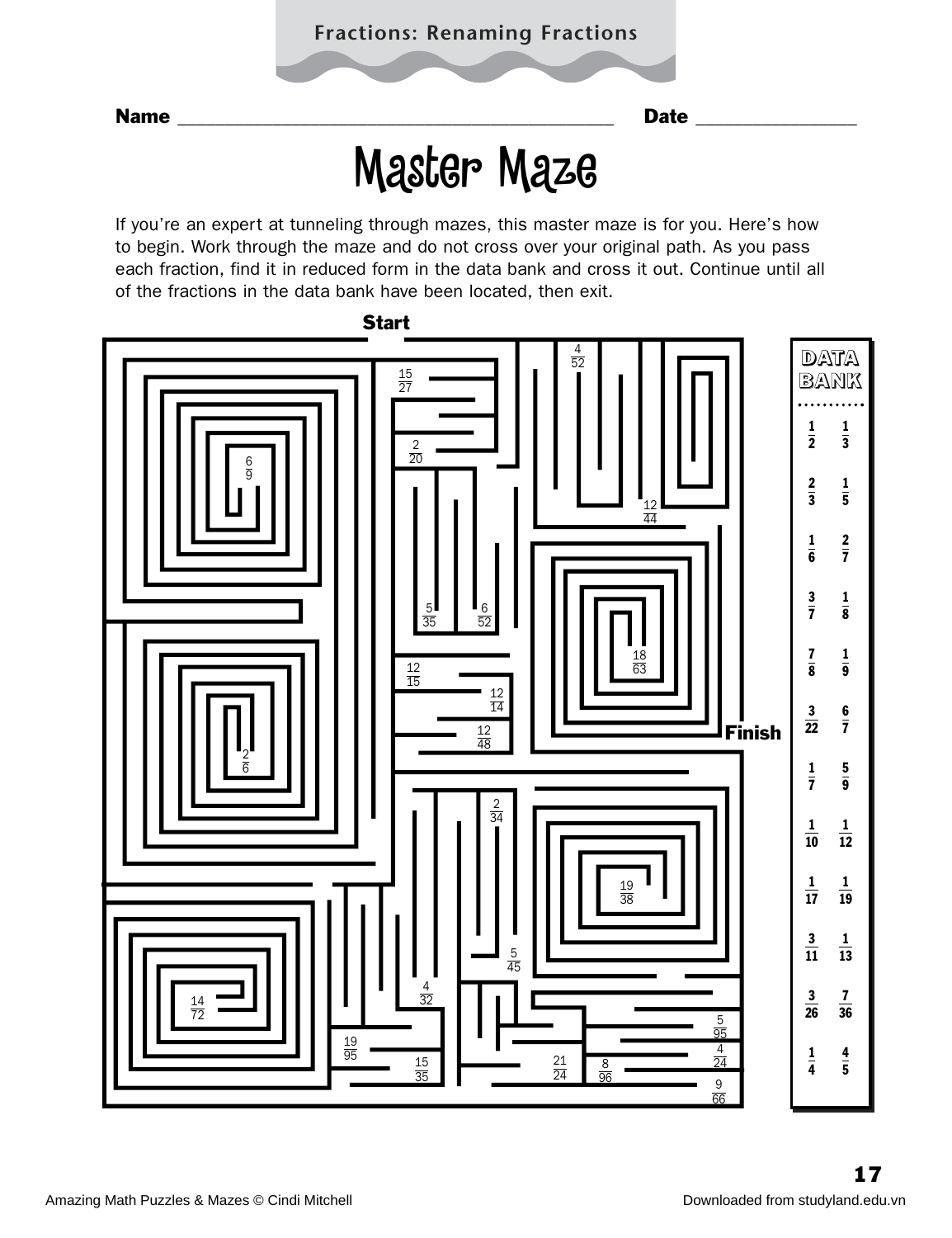## Master Maze

If you're an expert at tunneling through mazes, this master maze is for you. Here's how to begin. Work through the maze and do not cross over your original path. As you pass each fraction, find it in reduced form in the data bank and cross it out. Continue until all of the fractions in the data bank have been located, then exit.

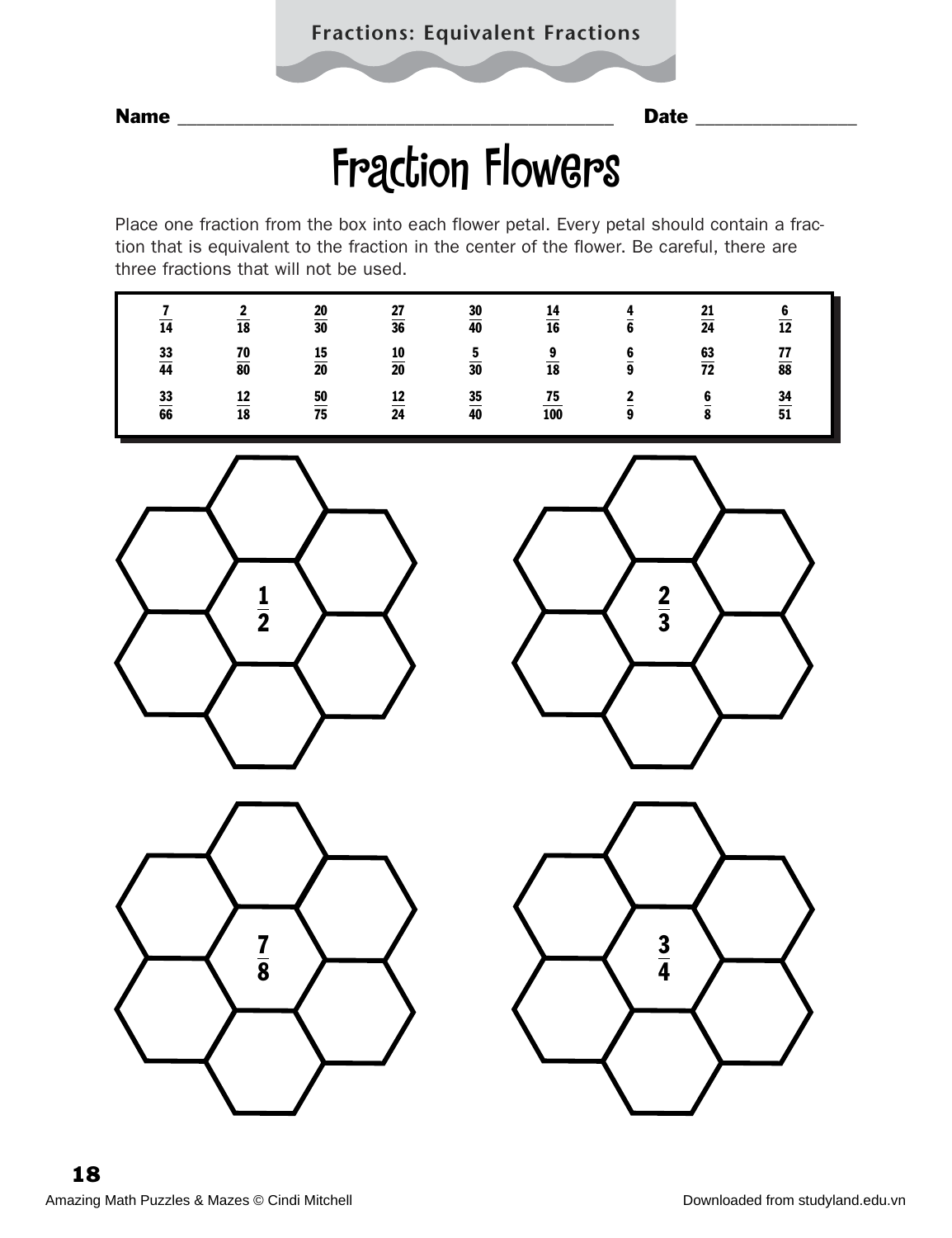## Fraction Flowers

Place one fraction from the box into each flower petal. Every petal should contain a fraction that is equivalent to the fraction in the center of the flower. Be careful, there are three fractions that will not be used.

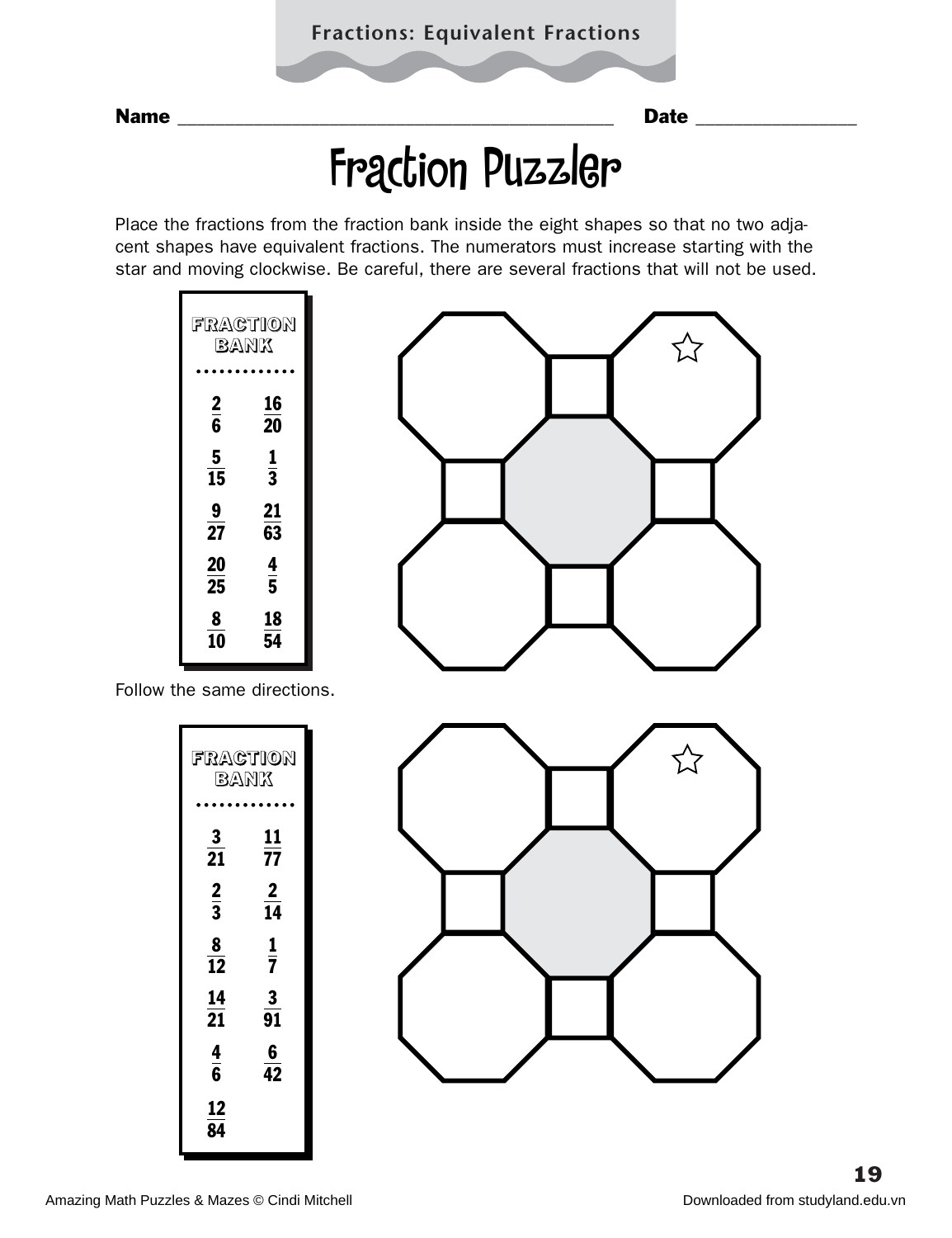## Fraction Puzzler

Place the fractions from the fraction bank inside the eight shapes so that no two adjacent shapes have equivalent fractions. The numerators must increase starting with the star and moving clockwise. Be careful, there are several fractions that will not be used.

| FRACTION<br>BANK    |                         |  |  |  |  |
|---------------------|-------------------------|--|--|--|--|
| $\overline{2}$      | 16                      |  |  |  |  |
| $\overline{\bf{6}}$ | 20                      |  |  |  |  |
| 5<br>15             | $\frac{1}{3}$           |  |  |  |  |
| 9                   | 21                      |  |  |  |  |
| $\overline{27}$     | 63                      |  |  |  |  |
| <b>20</b>           | $\overline{\mathbf{r}}$ |  |  |  |  |
| 25                  | $\bar{\mathbf{5}}$      |  |  |  |  |
| 8                   | 18                      |  |  |  |  |
| 10                  | 54                      |  |  |  |  |



Follow the same directions.

| FRACTION              |                                 |
|-----------------------|---------------------------------|
|                       | BANK                            |
|                       |                                 |
| $\frac{3}{21}$        | 11<br>77                        |
| $\frac{2}{3}$         | $\frac{2}{14}$                  |
| 8<br>$\overline{12}$  | $\frac{1}{7}$                   |
| 14<br>$\overline{21}$ | $\mathbf{3}$<br>$\overline{91}$ |
| $\frac{\bf 4}{\bf 6}$ | $\frac{6}{42}$                  |
| 12<br>84              |                                 |

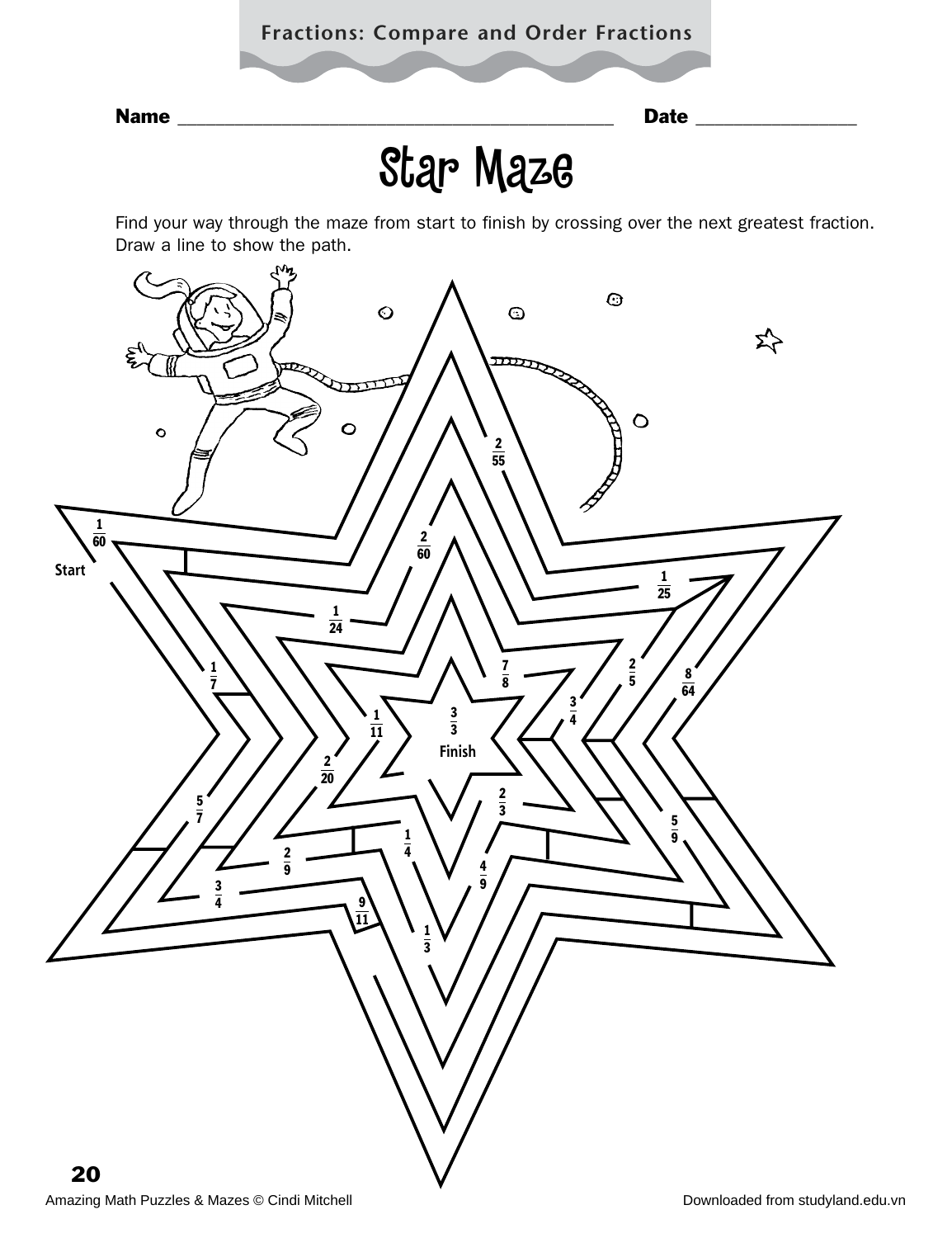### **Fractions: Compare and Order Fractions**



Name \_\_\_\_\_\_\_\_\_\_\_\_\_\_\_\_\_\_\_\_\_\_\_\_\_\_\_\_\_\_\_\_\_\_\_\_\_\_\_\_\_\_\_\_\_\_ Date \_\_\_\_\_\_\_\_\_\_\_\_\_\_\_\_\_

## Star Maze

Find your way through the maze from start to finish by crossing over the next greatest fraction. Draw a line to show the path.

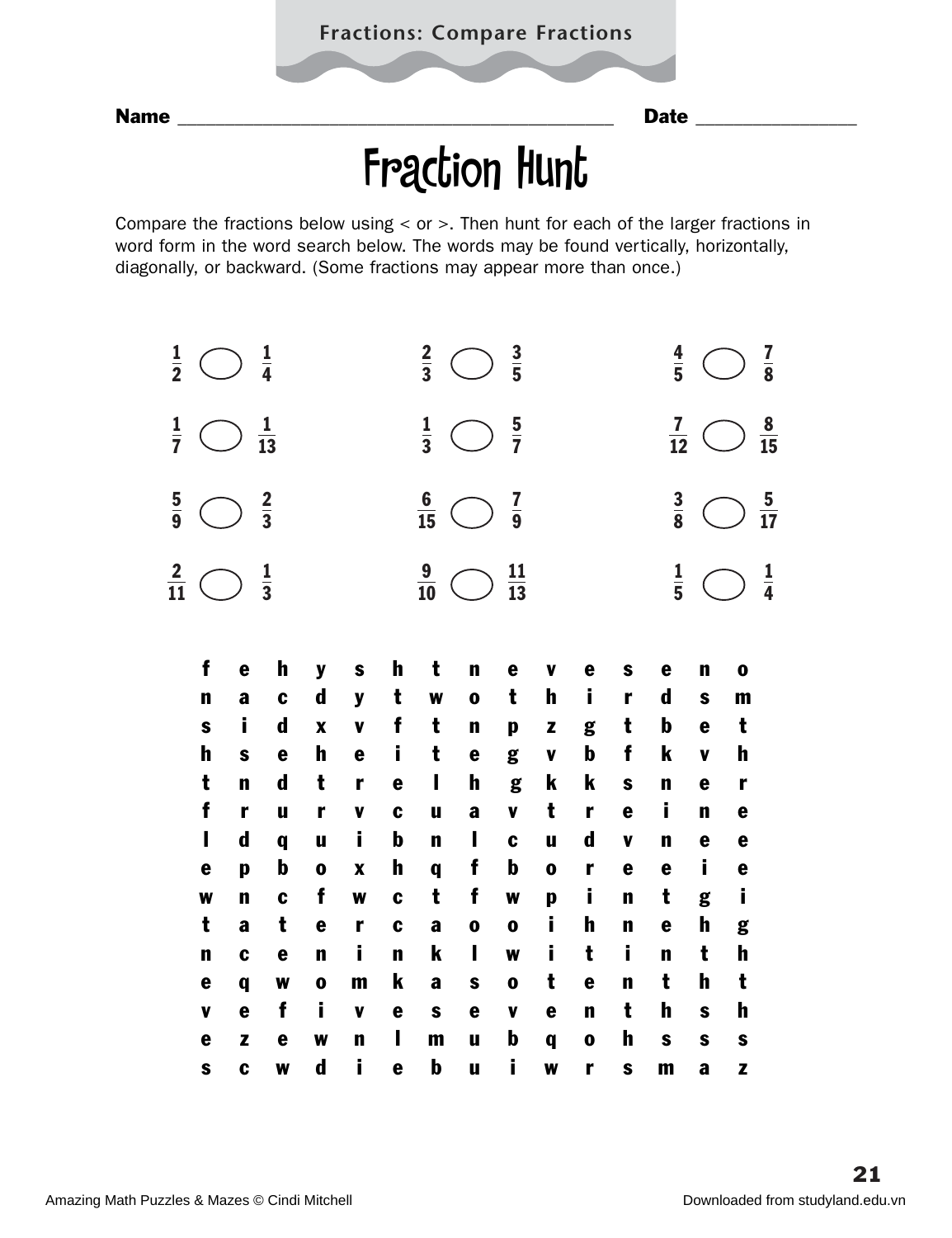## Fraction Hunt

Compare the fractions below using < or >. Then hunt for each of the larger fractions in word form in the word search below. The words may be found vertically, horizontally, diagonally, or backward. (Some fractions may appear more than once.)

| $\frac{1}{2}$  |              |              | $\frac{1}{4}$  |             |                           |             | $\frac{2}{3}$  |                                                | $\frac{3}{5}$   |                           |             |              | $\frac{4}{5}$  |              |              | $\frac{7}{8}$  |
|----------------|--------------|--------------|----------------|-------------|---------------------------|-------------|----------------|------------------------------------------------|-----------------|---------------------------|-------------|--------------|----------------|--------------|--------------|----------------|
| $\frac{1}{7}$  |              |              | $\frac{1}{13}$ |             |                           |             | $\frac{1}{3}$  |                                                | $rac{5}{7}$     |                           |             |              | $\frac{7}{12}$ |              |              | $\frac{8}{15}$ |
| $\frac{5}{9}$  |              |              | $\frac{2}{3}$  |             |                           |             | $\frac{6}{15}$ | $\begin{pmatrix} 1 & 1 \\ 1 & 1 \end{pmatrix}$ | $\frac{7}{9}$   |                           |             |              | $\frac{3}{8}$  |              |              | $\frac{5}{17}$ |
| $\frac{2}{11}$ |              |              | $\frac{1}{3}$  |             |                           |             | $\frac{9}{10}$ | $\bigcap$                                      | $\frac{11}{13}$ |                           |             |              | $\frac{1}{5}$  |              |              | $\frac{1}{4}$  |
|                | f            | e            | h              | y           | S                         | h           | t              | $\mathbf n$                                    | e               | V                         | e           | S            | e              | $\mathbf n$  | $\mathbf 0$  |                |
|                | $\mathbf n$  | a            | $\mathbf c$    | $\mathbf d$ | y                         | t           | W              | $\mathbf 0$                                    | t               | $\mathbf h$               | i           | r            | $\mathbf d$    | $\mathbf s$  | $\mathbf{m}$ |                |
|                | $\mathbf{s}$ | i.           | $\mathbf d$    | $\mathbf x$ | $\mathbf v$               | f           | t              | $\mathbf n$                                    | p               | $\mathbf{z}$              | g           | t            | $\mathbf b$    | e            | t            |                |
|                | h            | S            | e              | h           | e                         | i           | t              | e                                              | g               | $\pmb{\mathsf{V}}$        | $\mathbf b$ | f            | k              | $\mathbf{v}$ | h            |                |
|                | t            | $\mathbf n$  | $\mathbf d$    | t           | r                         | e           | ı              | $\mathbf h$                                    | g               | $\boldsymbol{\mathsf{k}}$ | k           | S            | n              | e            | r            |                |
|                | f            | r            | u              | r           | $\pmb{\mathsf{V}}$        | C           | $\mathbf u$    | a                                              | $\mathbf v$     | t                         | r           | e            | i              | $\mathbf n$  | e            |                |
|                | $\mathbf{I}$ | $\mathbf d$  | q              | u           | İ                         | $\mathbf b$ | $\mathbf n$    | $\mathbf I$                                    | C               | $\mathbf u$               | $\mathbf d$ | V            | $\mathbf n$    | e            | e            |                |
|                | e            | $\mathbf{p}$ | $\mathbf b$    | $\mathbf 0$ | $\boldsymbol{\mathsf{X}}$ | h           | $\mathbf q$    | f                                              | $\mathbf b$     | $\mathbf 0$               | r           | e            | e              | i            | $\mathbf e$  |                |
|                | W            | $\mathbf n$  | $\mathbf c$    | f           | W                         | C           | t              | f                                              | W               | p                         | i           | n            | t              | g            | İ            |                |
|                | t            | a            | t              | e           | r                         | C           | a              | $\mathbf 0$                                    | $\mathbf 0$     | i                         | h           | n            | e              | $\mathbf h$  | g            |                |
|                | $\mathbf n$  | $\mathbf c$  | e              | $\mathbf n$ | j.                        | n           | k              | $\overline{\phantom{a}}$                       | W               | i                         | t           | i.           | $\mathbf n$    | t            | $\mathbf h$  |                |
|                | e            | $\mathbf q$  | W              | $\mathbf 0$ | m                         | k           | a              | $\mathbf{s}$                                   | $\mathbf 0$     | t                         | e           | n            | t              | h            | t            |                |
|                | $\mathbf v$  | e            | f              | i           | $\pmb{\mathsf{V}}$        | e           | $\mathbf s$    | e                                              | V               | e                         | $\mathbf n$ | t            | $\mathbf h$    | $\mathbf{s}$ | $\mathbf h$  |                |
|                | e            | Z            | e              | W           | $\mathbf n$               | ı           | $\mathbf{m}$   | u                                              | b               | $\mathbf q$               | $\mathbf 0$ | h            | $\mathbf s$    | $\mathbf s$  | S            |                |
|                | $\mathbf{s}$ | $\mathbf c$  | W              | $\mathbf d$ | Ì.                        | e           | $\mathbf b$    | $\mathbf u$                                    | İ.              | W                         | r           | $\mathbf{s}$ | $\mathbf{m}$   | a            | Z            |                |
|                |              |              |                |             |                           |             |                |                                                |                 |                           |             |              |                |              |              |                |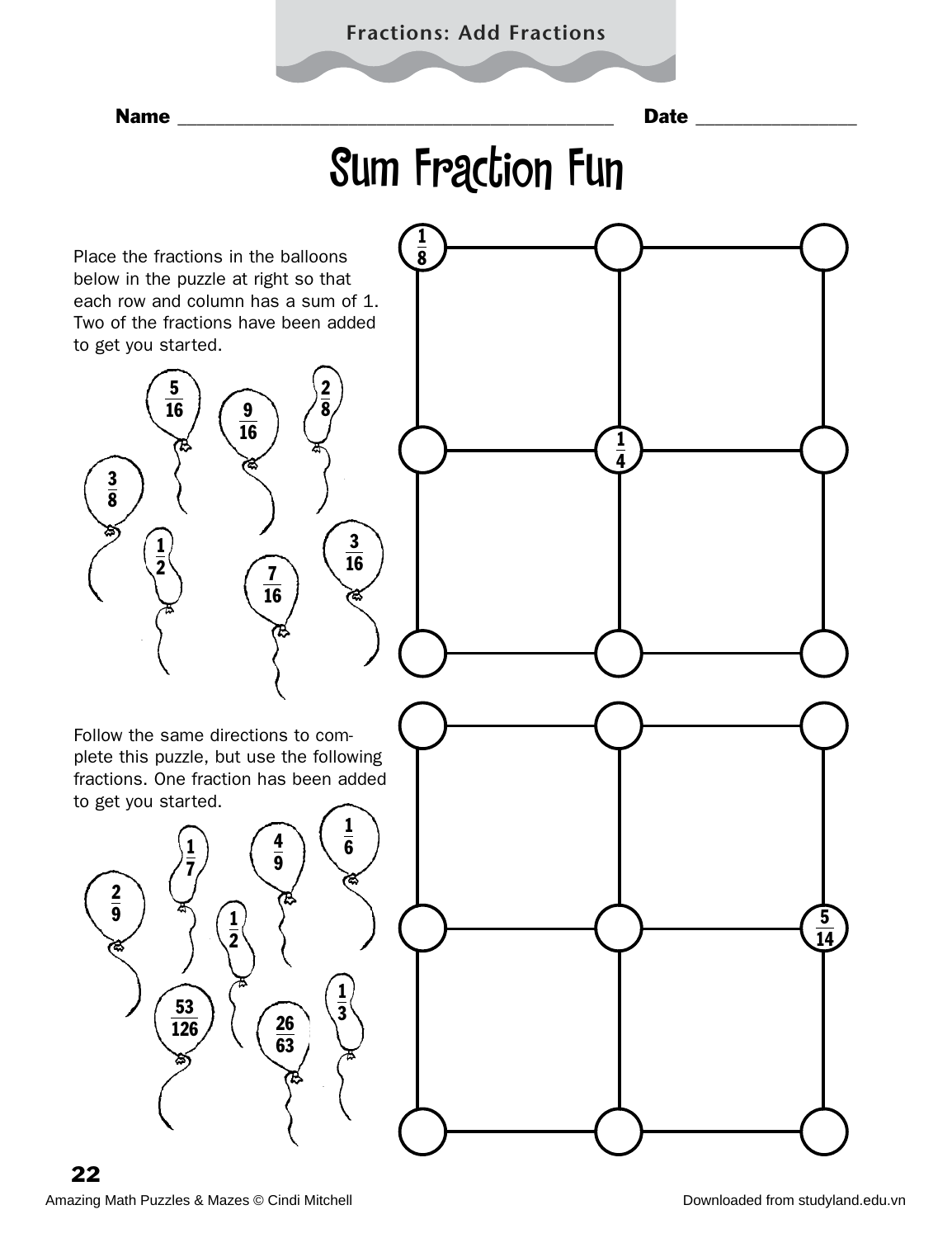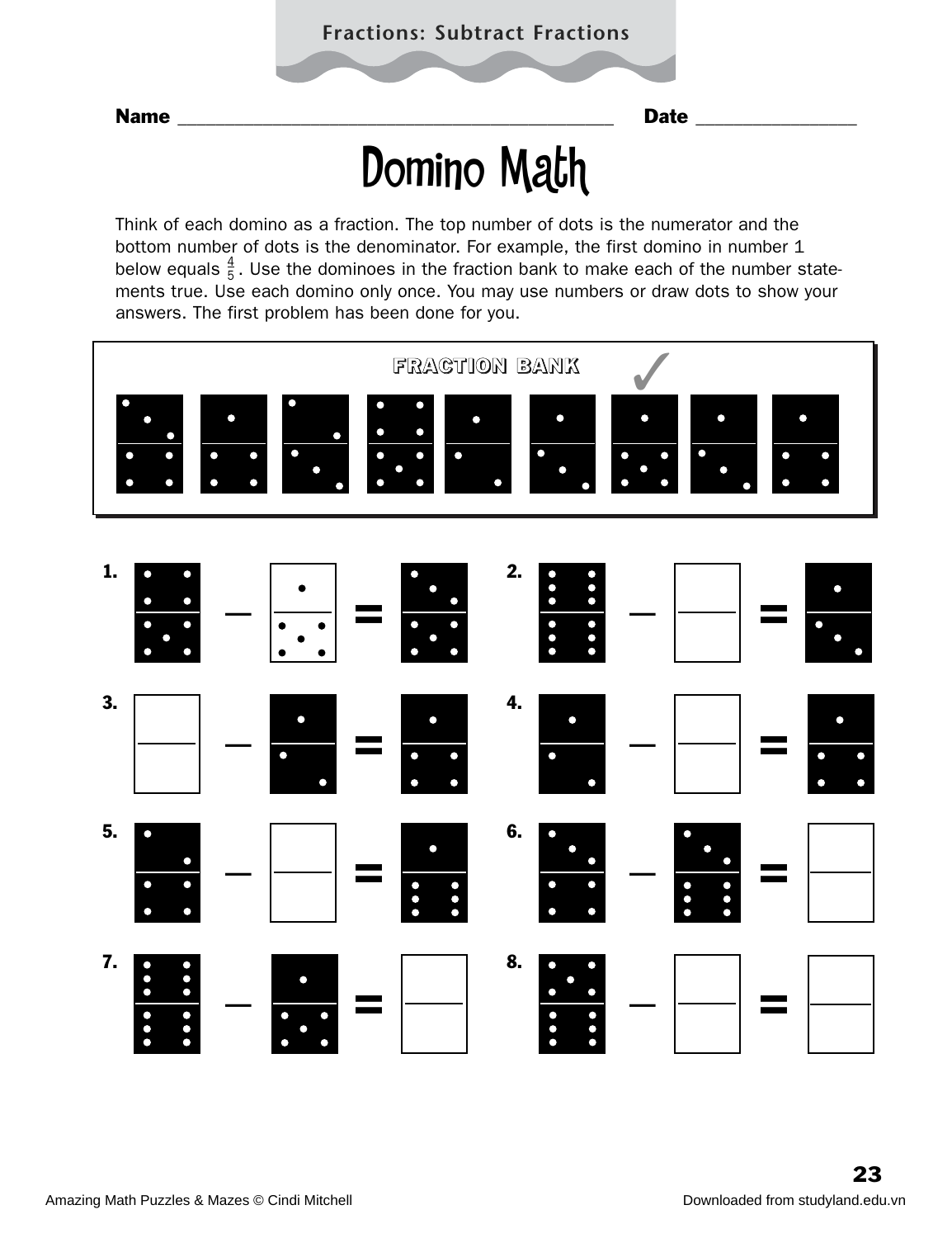# Domino Math

Think of each domino as a fraction. The top number of dots is the numerator and the bottom number of dots is the denominator. For example, the first domino in number 1 below equals  $\frac{4}{5}$ . Use the dominoes in the fraction bank to make each of the number statements true. Use each domino only once. You may use numbers or draw dots to show your answers. The first problem has been done for you. 4 5

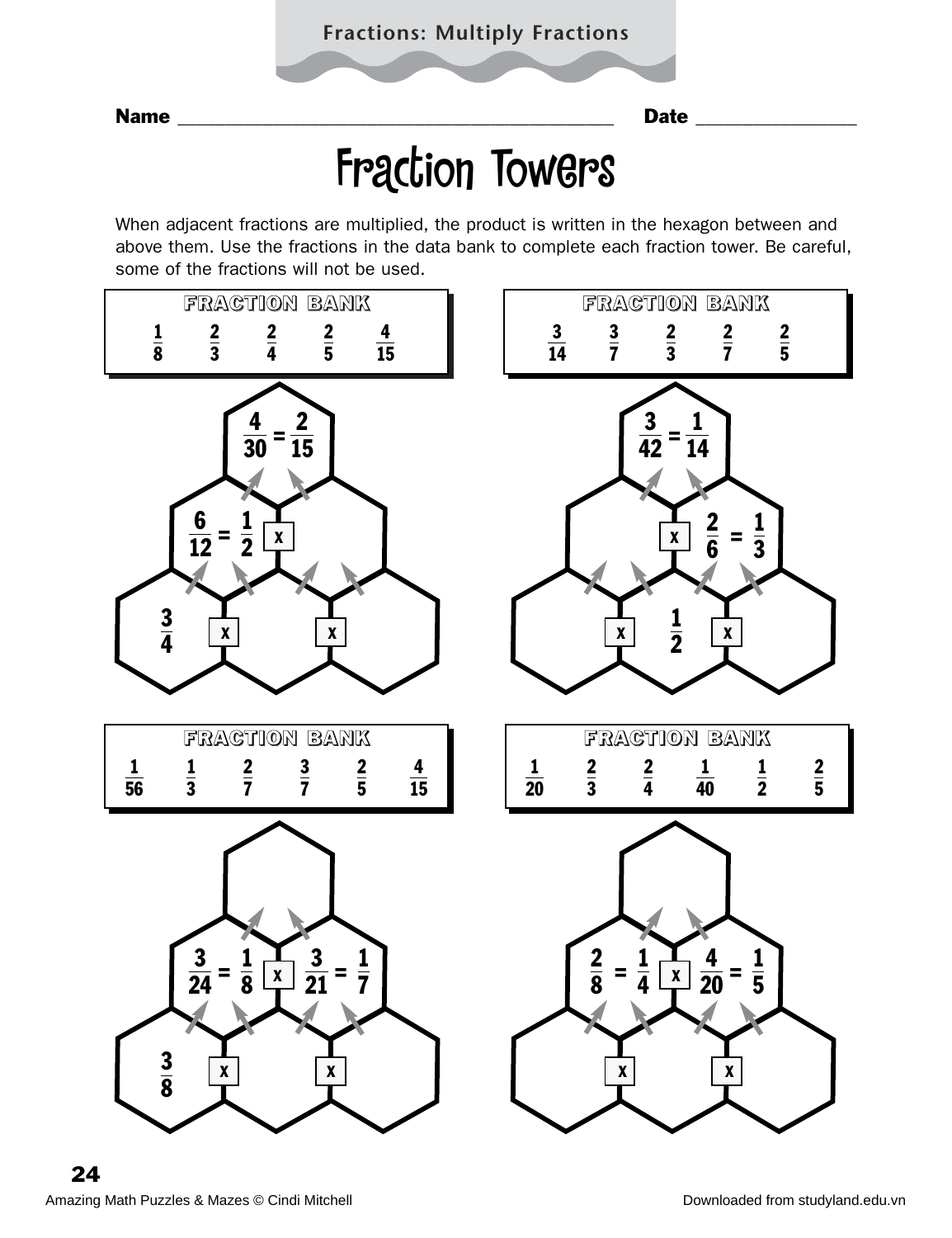## Fraction Towers

When adjacent fractions are multiplied, the product is written in the hexagon between and above them. Use the fractions in the data bank to complete each fraction tower. Be careful, some of the fractions will not be used.

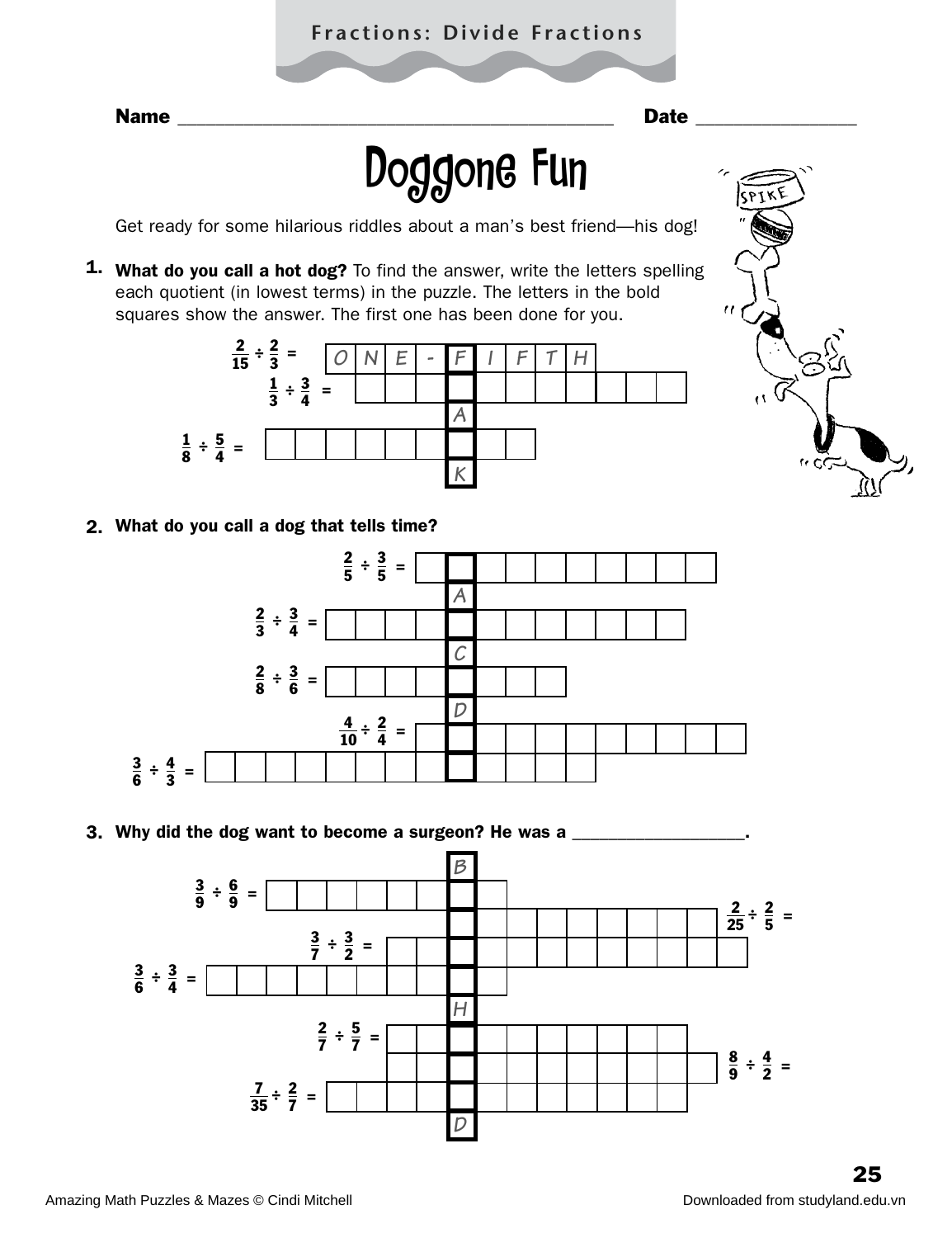### **Fractions: Divide Fractions**

# Doggone Fun

Get ready for some hilarious riddles about a man's best friend—his dog!

1. What do you call a hot dog? To find the answer, write the letters spelling each quotient (in lowest terms) in the puzzle. The letters in the bold squares show the answer. The first one has been done for you.



2. What do you call a dog that tells time?



3. Why did the dog want to become a surgeon? He was a \_\_\_\_\_\_\_\_\_\_\_\_\_\_\_\_\_\_\_.

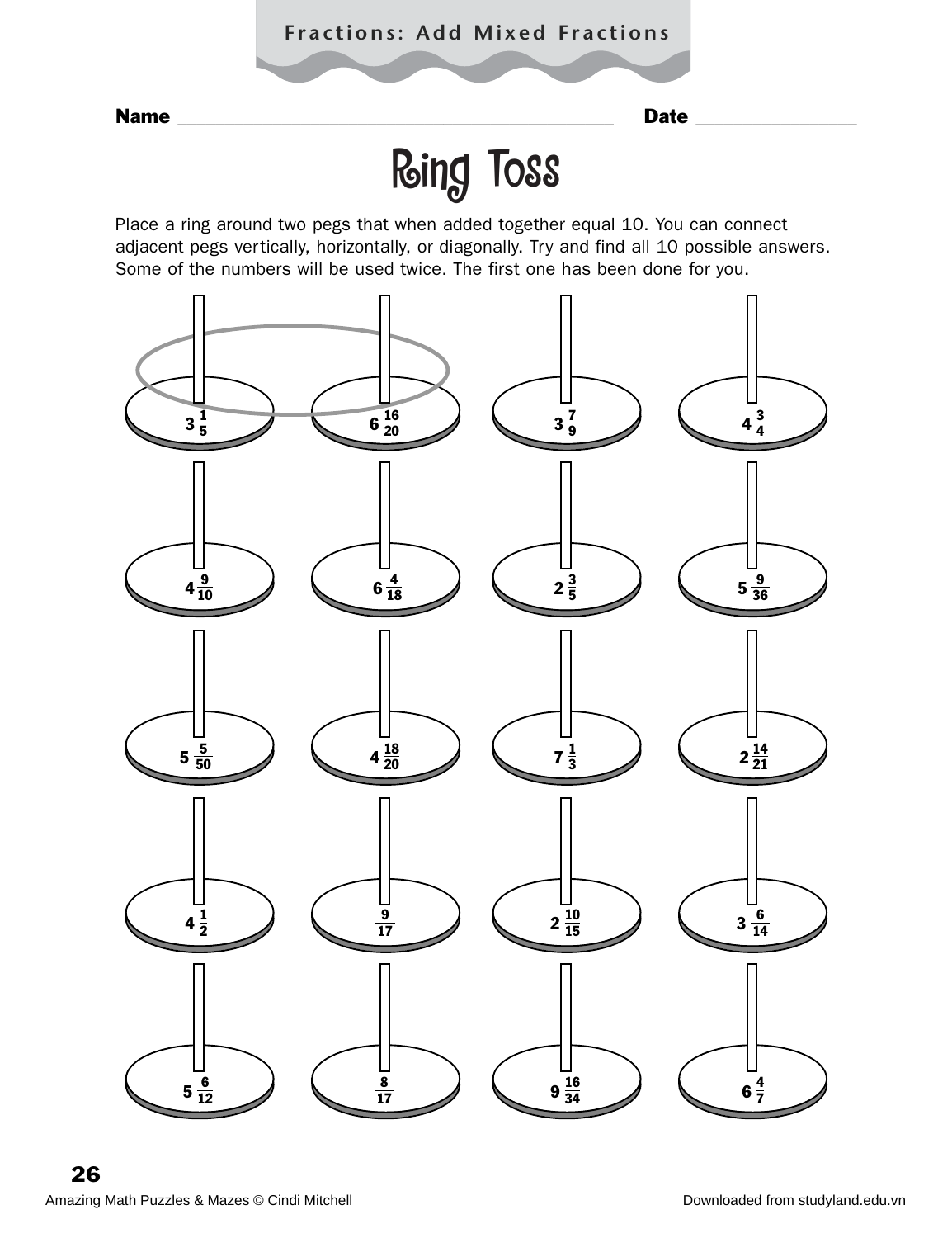### **Fractions: Add Mixed Fractions**

Name \_\_\_\_\_\_\_\_\_\_\_\_\_\_\_\_\_\_\_\_\_\_\_\_\_\_\_\_\_\_\_\_\_\_\_\_\_\_\_\_\_\_\_\_\_\_ Date \_\_\_\_\_\_\_\_\_\_\_\_\_\_\_\_\_

# Ring Toss

Place a ring around two pegs that when added together equal 10. You can connect adjacent pegs vertically, horizontally, or diagonally. Try and find all 10 possible answers. Some of the numbers will be used twice. The first one has been done for you.

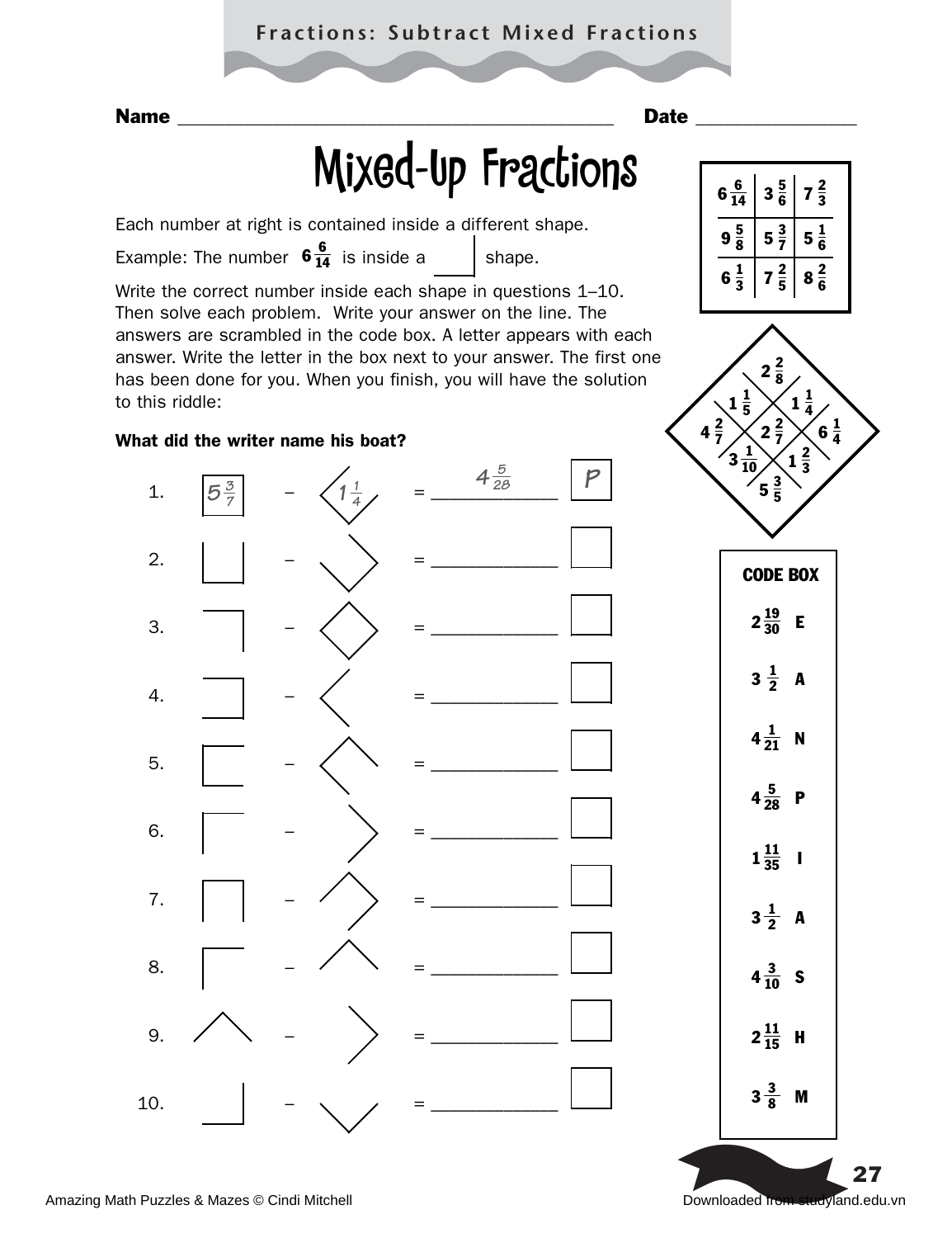### **Fractions: Subtract Mixed Fractions**

# Mixed-Up Fractions

Each number at right is contained inside a different shape.

Example: The number  $6\frac{6}{14}$  is inside a shape.

Write the correct number inside each shape in questions 1–10. Then solve each problem. Write your answer on the line. The answers are scrambled in the code box. A letter appears with each answer. Write the letter in the box next to your answer. The first one has been done for you. When you finish, you will have the solution to this riddle:

#### What did the writer name his boat?









 $2\frac{11}{15}$  H

 $3\frac{3}{8}$  M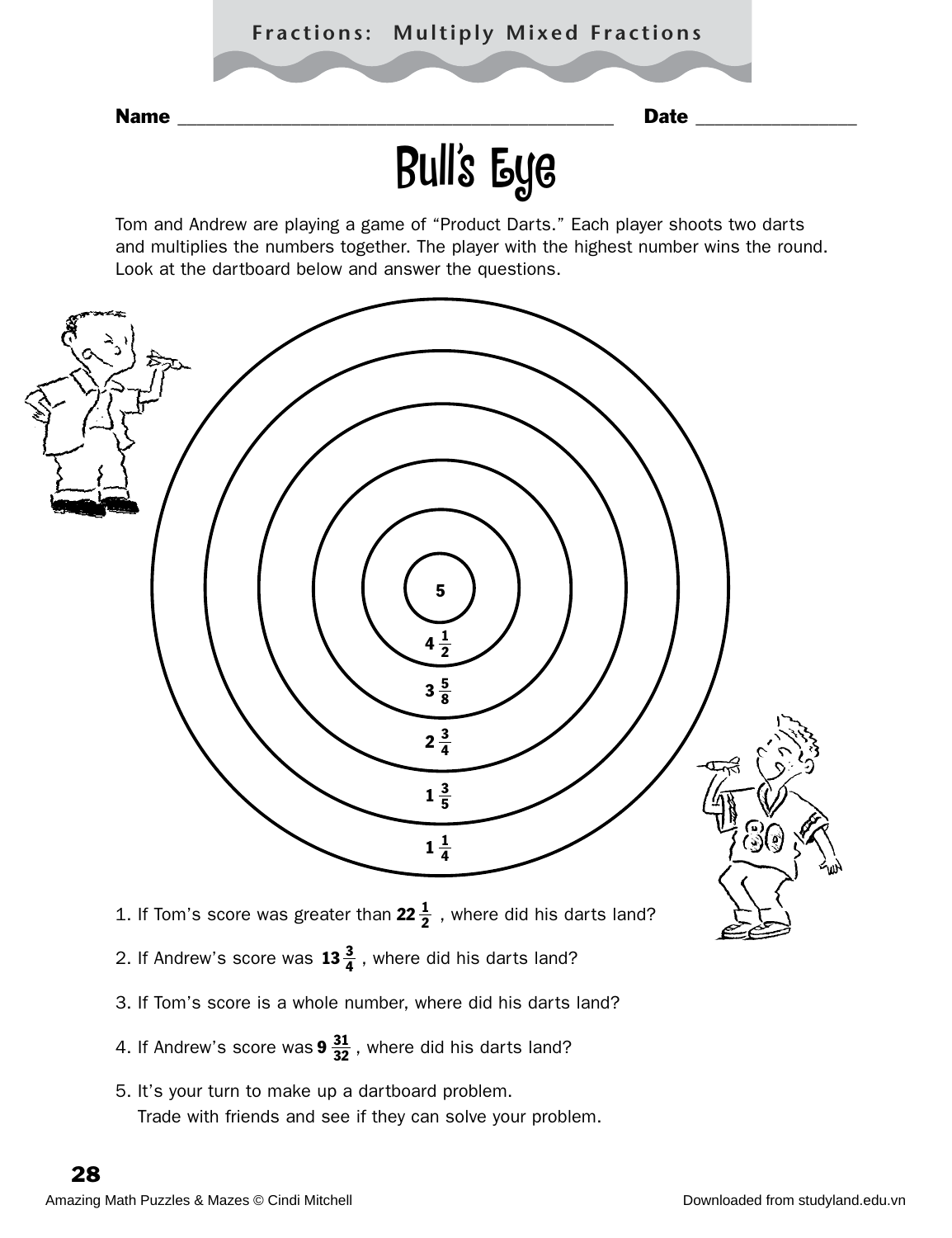

Tom and Andrew are playing a game of "Product Darts." Each player shoots two darts and multiplies the numbers together. The player with the highest number wins the round. Look at the dartboard below and answer the questions.



- 3. If Tom's score is a whole number, where did his darts land?
- 4. If Andrew's score was  $9\frac{31}{32}$  , where did his darts land?
- 5. It's your turn to make up a dartboard problem. Trade with friends and see if they can solve your problem.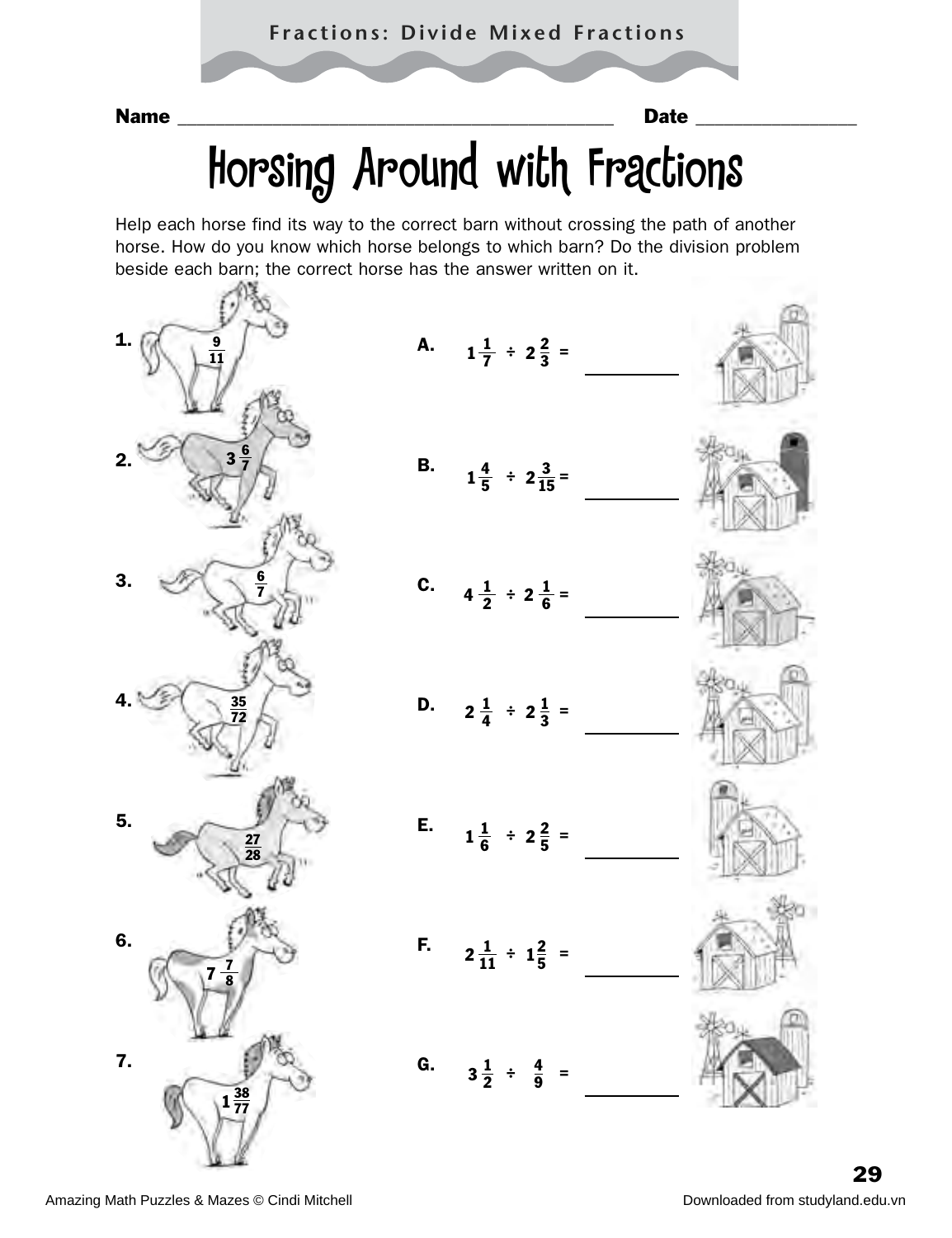# Horsing Around with Fractions

Help each horse find its way to the correct barn without crossing the path of another horse. How do you know which horse belongs to which barn? Do the division problem beside each barn; the correct horse has the answer written on it.

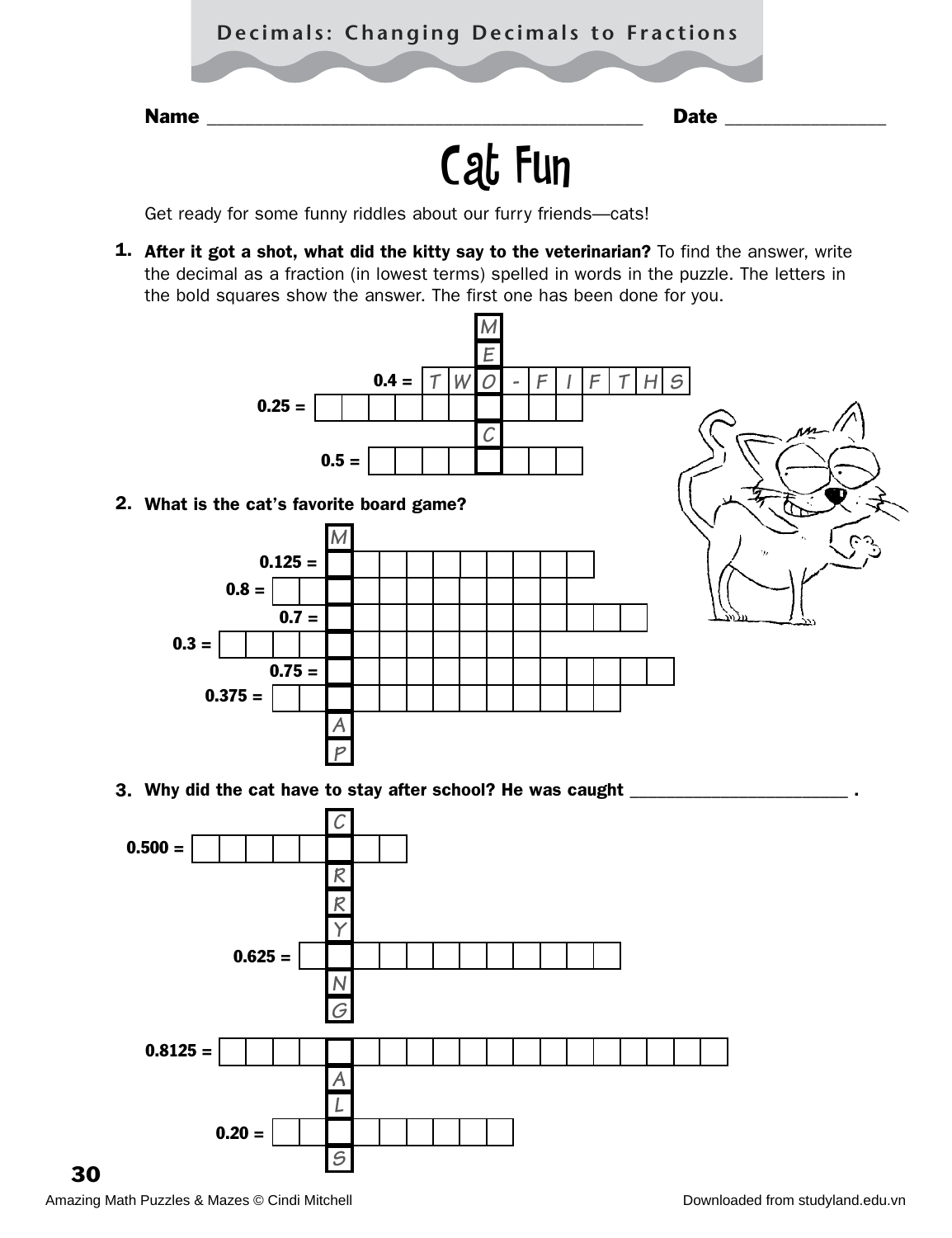### **Decimals: Changing Decimals to Fractions**

Name **Name Name name name name name Date Date** *name* **Date** *name* 

# Cat Fun

Get ready for some funny riddles about our furry friends—cats!

1. After it got a shot, what did the kitty say to the veterinarian? To find the answer, write the decimal as a fraction (in lowest terms) spelled in words in the puzzle. The letters in the bold squares show the answer. The first one has been done for you.



*S*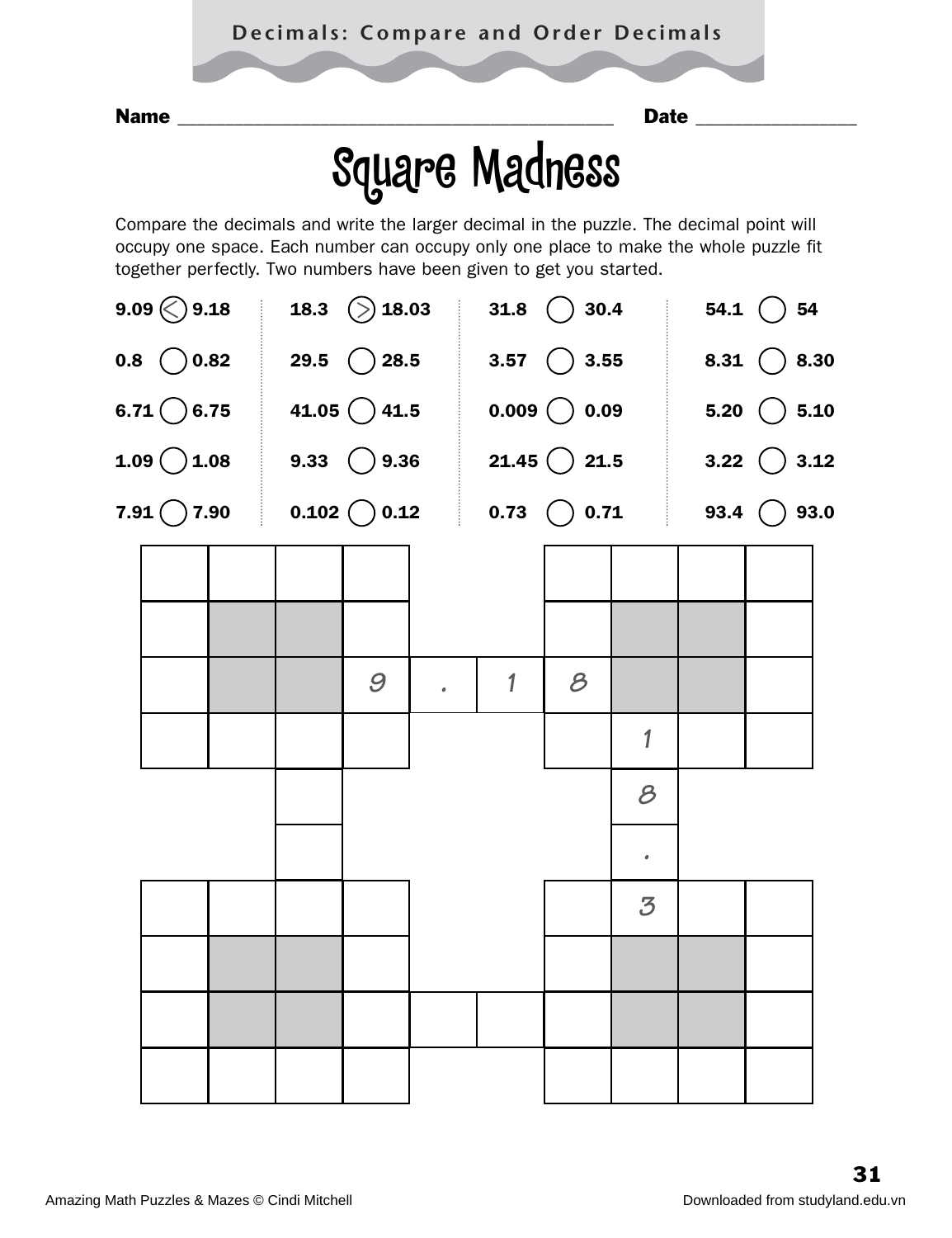Name \_\_\_\_\_\_\_\_\_\_\_\_\_\_\_\_\_\_\_\_\_\_\_\_\_\_\_\_\_\_\_\_\_\_\_\_\_\_\_\_\_\_\_\_\_\_ Date \_\_\_\_\_\_\_\_\_\_\_\_\_\_\_\_\_

# Square Madness

Compare the decimals and write the larger decimal in the puzzle. The decimal point will occupy one space. Each number can occupy only one place to make the whole puzzle fit together perfectly. Two numbers have been given to get you started.

|  | $9.09 \bigcirc 9.18$ 18.3 $\bigcirc$ 18.03 31.8 $\bigcirc$ 30.4 54.1 $\bigcirc$ 54    |   |              |               |                          |  |  |
|--|---------------------------------------------------------------------------------------|---|--------------|---------------|--------------------------|--|--|
|  | 0.8 $\bigcirc$ 0.82 29.5 28.5 3.57 $\bigcirc$ 3.55 8.31 $\bigcirc$ 8.30               |   |              |               |                          |  |  |
|  | 6.71 $\bigcirc$ 6.75 41.05 $\bigcirc$ 41.5 0.009 $\bigcirc$ 0.09 5.20 $\bigcirc$ 5.10 |   |              |               |                          |  |  |
|  | 1.09 $\bigcirc$ 1.08 9.33 $\bigcirc$ 9.36 21.45 $\bigcirc$ 21.5 3.22 $\bigcirc$ 3.12  |   |              |               |                          |  |  |
|  | 7.91 $\bigcirc$ 7.90 0.102 0.12 0.73 0.71 93.4 $\bigcirc$ 93.0                        |   |              |               |                          |  |  |
|  |                                                                                       |   |              |               |                          |  |  |
|  |                                                                                       |   |              |               |                          |  |  |
|  |                                                                                       | 9 | $\mathbf{1}$ | $\mathcal{B}$ |                          |  |  |
|  |                                                                                       |   |              |               | 1                        |  |  |
|  |                                                                                       |   |              |               | $\mathcal{B}$            |  |  |
|  |                                                                                       |   |              |               |                          |  |  |
|  |                                                                                       |   |              |               | $\bullet$                |  |  |
|  |                                                                                       |   |              |               | $\overline{\mathcal{Z}}$ |  |  |
|  |                                                                                       |   |              |               |                          |  |  |
|  |                                                                                       |   |              |               |                          |  |  |
|  |                                                                                       |   |              |               |                          |  |  |
|  |                                                                                       |   |              |               |                          |  |  |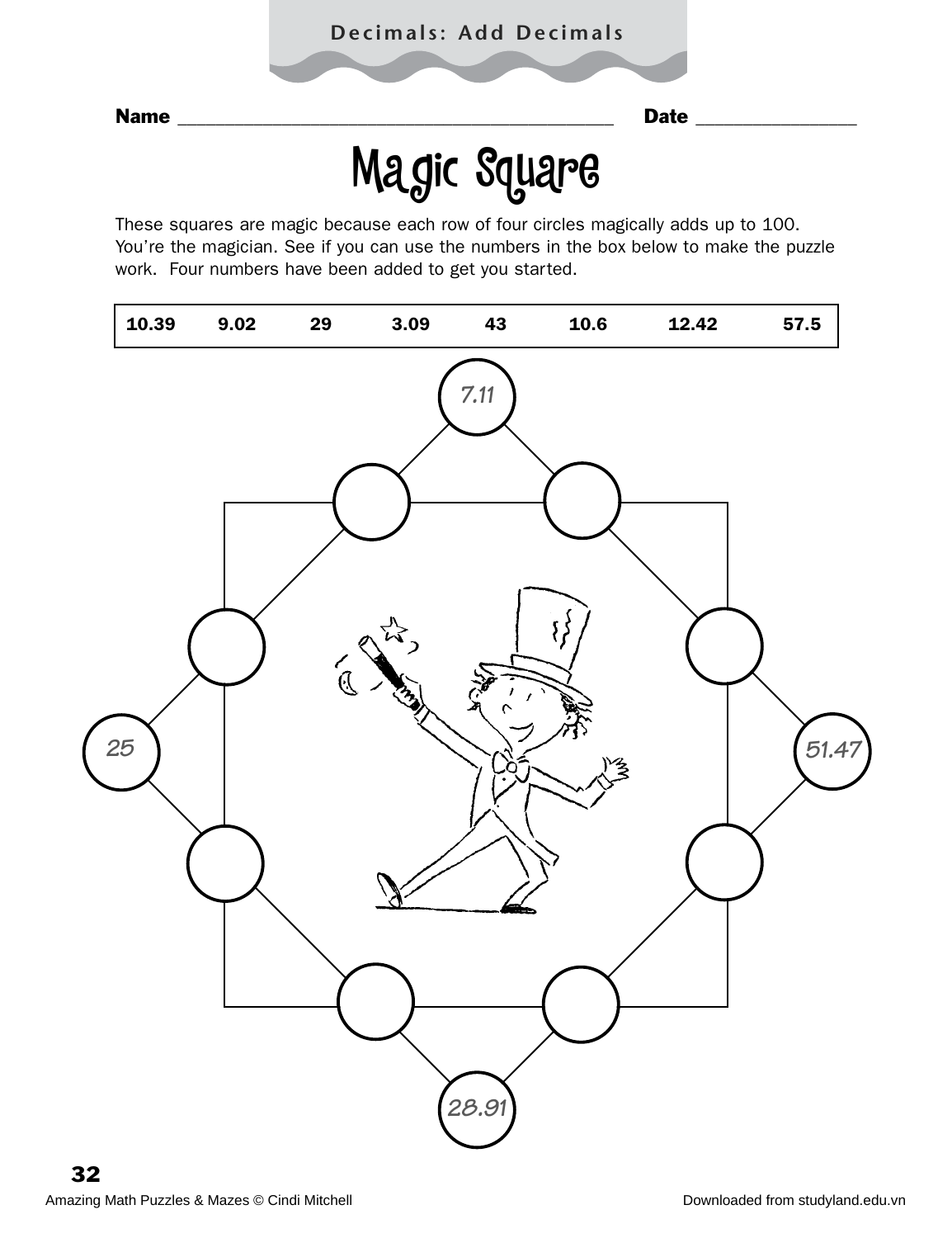# Magic Square

These squares are magic because each row of four circles magically adds up to 100. You're the magician. See if you can use the numbers in the box below to make the puzzle work. Four numbers have been added to get you started.

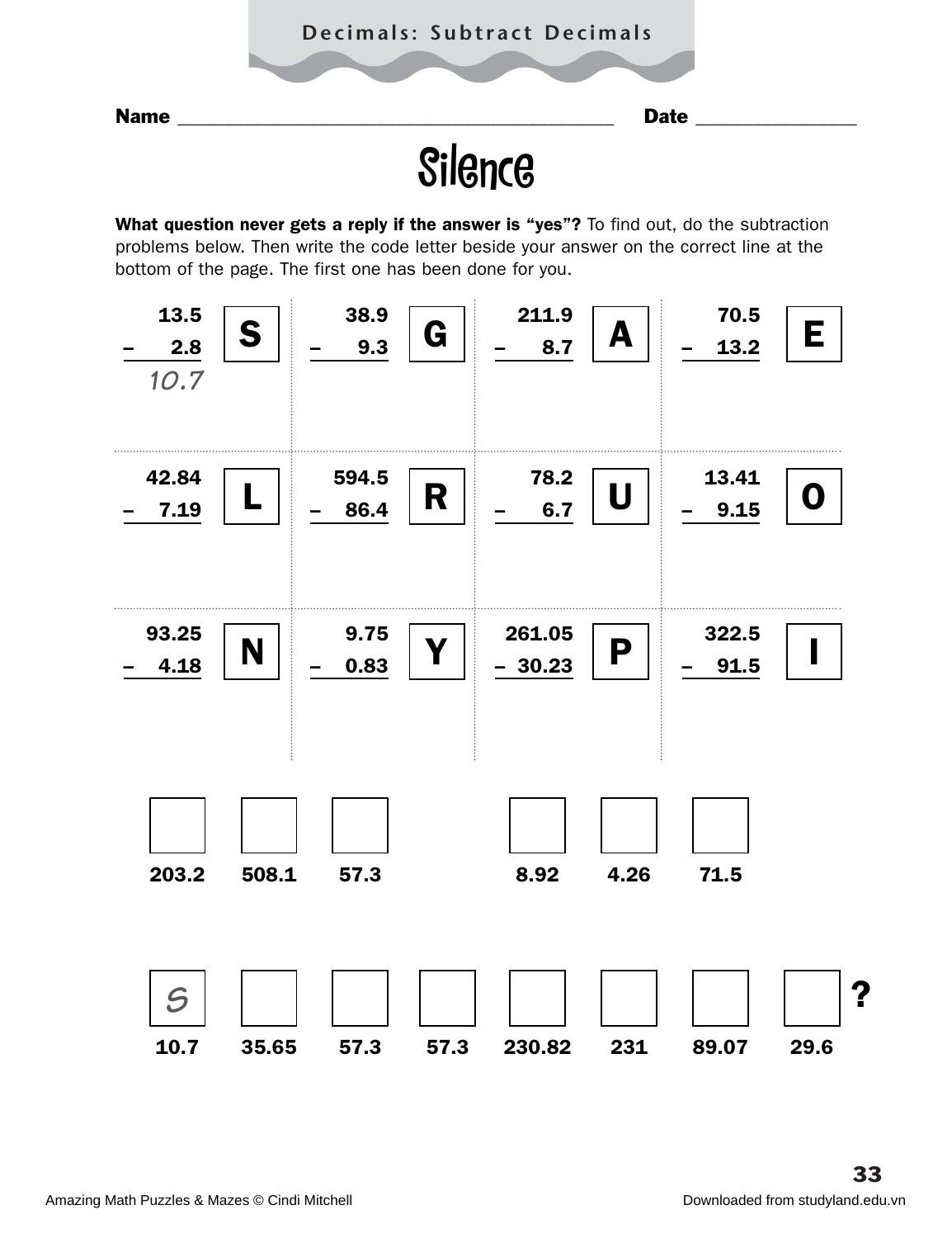### **Decimals: Subtract Decimals**

Name \_\_\_\_\_\_\_\_\_\_\_\_\_\_\_\_\_\_\_\_\_\_\_\_\_\_\_\_\_\_\_\_\_\_\_\_\_\_\_\_\_\_\_\_\_\_ Date \_\_\_\_\_\_\_\_\_\_\_\_\_\_\_\_\_

## **Silence**

What question never gets a reply if the answer is "yes"? To find out, do the subtraction problems below. Then write the code letter beside your answer on the correct line at the bottom of the page. The first one has been done for you.

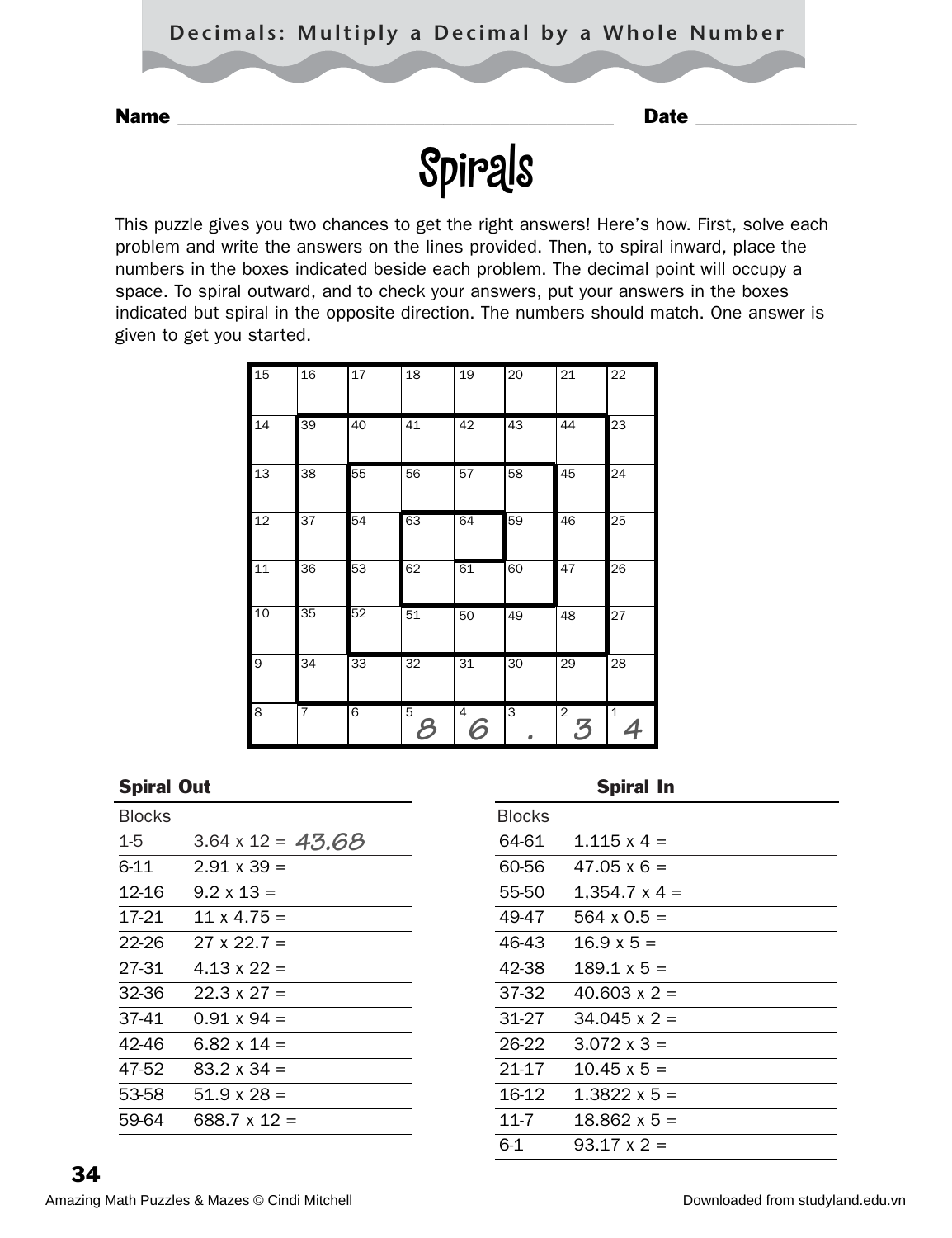

This puzzle gives you two chances to get the right answers! Here's how. First, solve each problem and write the answers on the lines provided. Then, to spiral inward, place the numbers in the boxes indicated beside each problem. The decimal point will occupy a space. To spiral outward, and to check your answers, put your answers in the boxes indicated but spiral in the opposite direction. The numbers should match. One answer is given to get you started.

| 15 | 16             | 17 | 18     | 19     | 20 | 21                  | 22           |
|----|----------------|----|--------|--------|----|---------------------|--------------|
| 14 | 39             | 40 | 41     | 42     | 43 | 44                  | 23           |
| 13 | 38             | 55 | 56     | 57     | 58 | 45                  | 24           |
| 12 | 37             | 54 | 63     | 64     | 59 | 46                  | 25           |
| 11 | 36             | 53 | 62     | 61     | 60 | 47                  | 26           |
| 10 | 35             | 52 | 51     | 50     | 49 | 48                  | 27           |
| 9  | 34             | 33 | 32     | 31     | 30 | 29                  | 28           |
| 8  | $\overline{7}$ | 6  | 5<br>Ε | 4<br>6 | 3  | $\overline{c}$<br>3 | $\mathbf{1}$ |

#### Spiral Out **Spiral In**

| <b>Blocks</b> |                          | <b>Blocks</b> |                      |
|---------------|--------------------------|---------------|----------------------|
| $1 - 5$       | $3.64 \times 12 = 43.68$ | 64-61         | $1.115 \times 4 =$   |
| $6 - 11$      | $2.91 \times 39 =$       | 60-56         | $47.05 \times 6 =$   |
| 12-16         | $9.2 \times 13 =$        | 55-50         | $1,354.7 \times 4 =$ |
| 17-21         | $11 \times 4.75 =$       | 49-47         | $564 \times 0.5 =$   |
| 22-26         | $27 \times 22.7 =$       | 46-43         | $16.9 \times 5 =$    |
| 27-31         | $4.13 \times 22 =$       | 42-38         | $189.1 \times 5 =$   |
| 32-36         | $22.3 \times 27 =$       | 37-32         | $40.603 \times 2 =$  |
| 37-41         | $0.91 \times 94 =$       | $31 - 27$     | $34.045 \times 2 =$  |
| 42-46         | $6.82 \times 14 =$       | 26-22         | $3.072 \times 3 =$   |
| 47-52         | $83.2 \times 34 =$       | $21-17$       | $10.45 \times 5 =$   |
| 53-58         | $51.9 \times 28 =$       | 16-12         | $1.3822 \times 5 =$  |
| 59-64         | $688.7 \times 12 =$      | $11 - 7$      | $18.862 \times 5 =$  |
|               |                          |               |                      |

| <b>Blocks</b> |                      |
|---------------|----------------------|
| 64-61         | 1.115 $x = 4$        |
| 60-56         | $47.05 \times 6 =$   |
| 55-50         | $1,354.7 \times 4 =$ |
| 49-47         | 564 x 0.5 =          |
| 46-43         | $16.9 \times 5 =$    |
| 42-38         | $189.1 \times 5 =$   |
| 37-32         | $40.603 \times 2 =$  |
| 31-27         | $34.045 \times 2 =$  |
| 26-22         | $3.072 \times 3 =$   |
| 21-17         | $10.45 \times 5 =$   |
| 16-12         | 1.3822 x 5 =         |
| $11 - 7$      | $18.862 \times 5 =$  |
| 6-1           | $93.17 \times 2 =$   |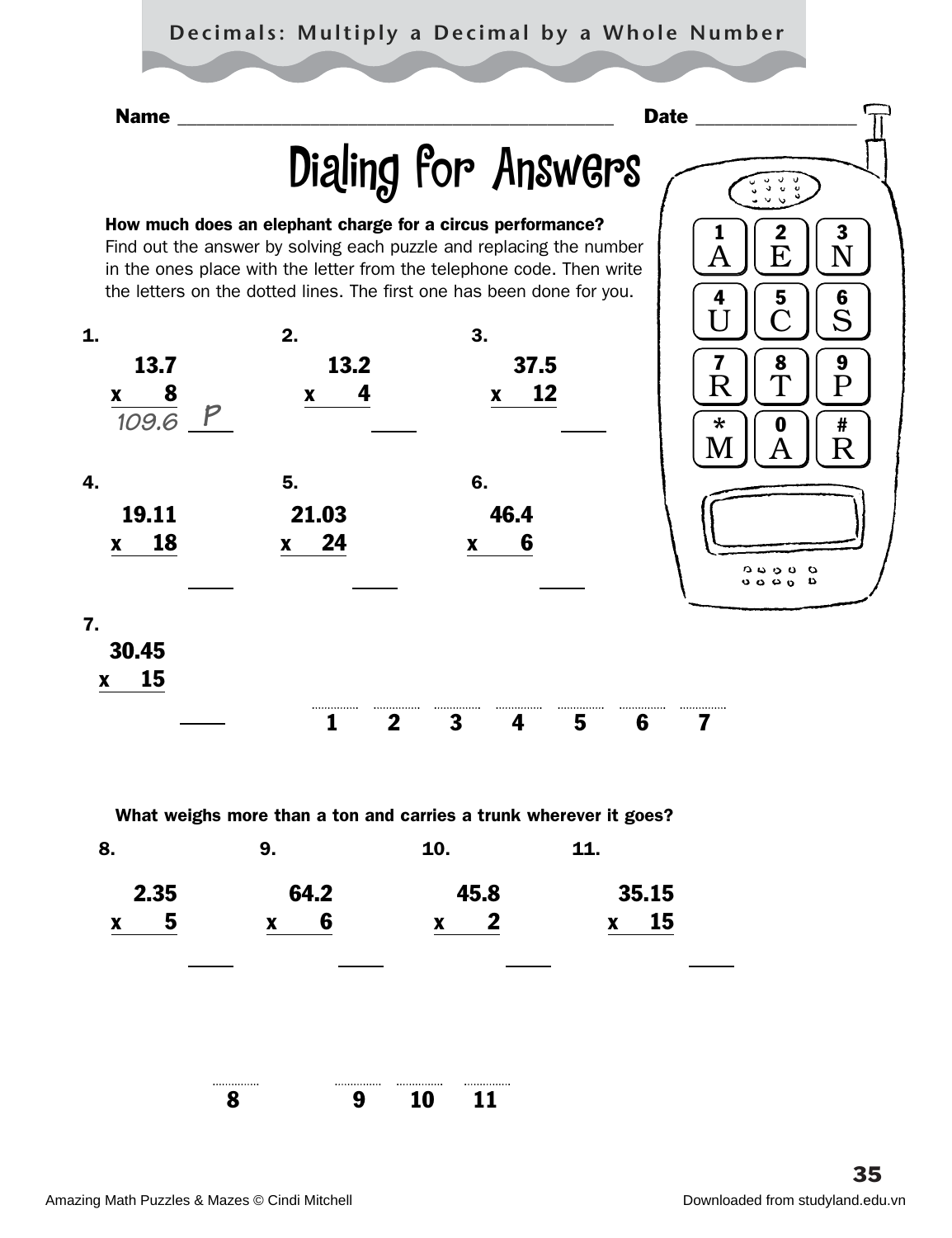### **Decimals: Multiply a Decimal by a Whole Number**



1234567

What weighs more than a ton and carries a trunk wherever it goes?

| 8.                      | 9.                      | 10.                                  | 11.                             |
|-------------------------|-------------------------|--------------------------------------|---------------------------------|
| 2.35                    | 64.2                    | 45.8                                 | 35.15                           |
| 5<br>$\pmb{\mathsf{X}}$ | 6<br>$\pmb{\mathsf{X}}$ | $\boldsymbol{2}$<br>$\boldsymbol{x}$ | 15<br>$\boldsymbol{\mathsf{X}}$ |
|                         |                         |                                      |                                 |
|                         |                         |                                      |                                 |
|                         |                         |                                      |                                 |
|                         | <br>                    | .<br>                                |                                 |
|                         | 9<br>8                  | 10<br>11                             |                                 |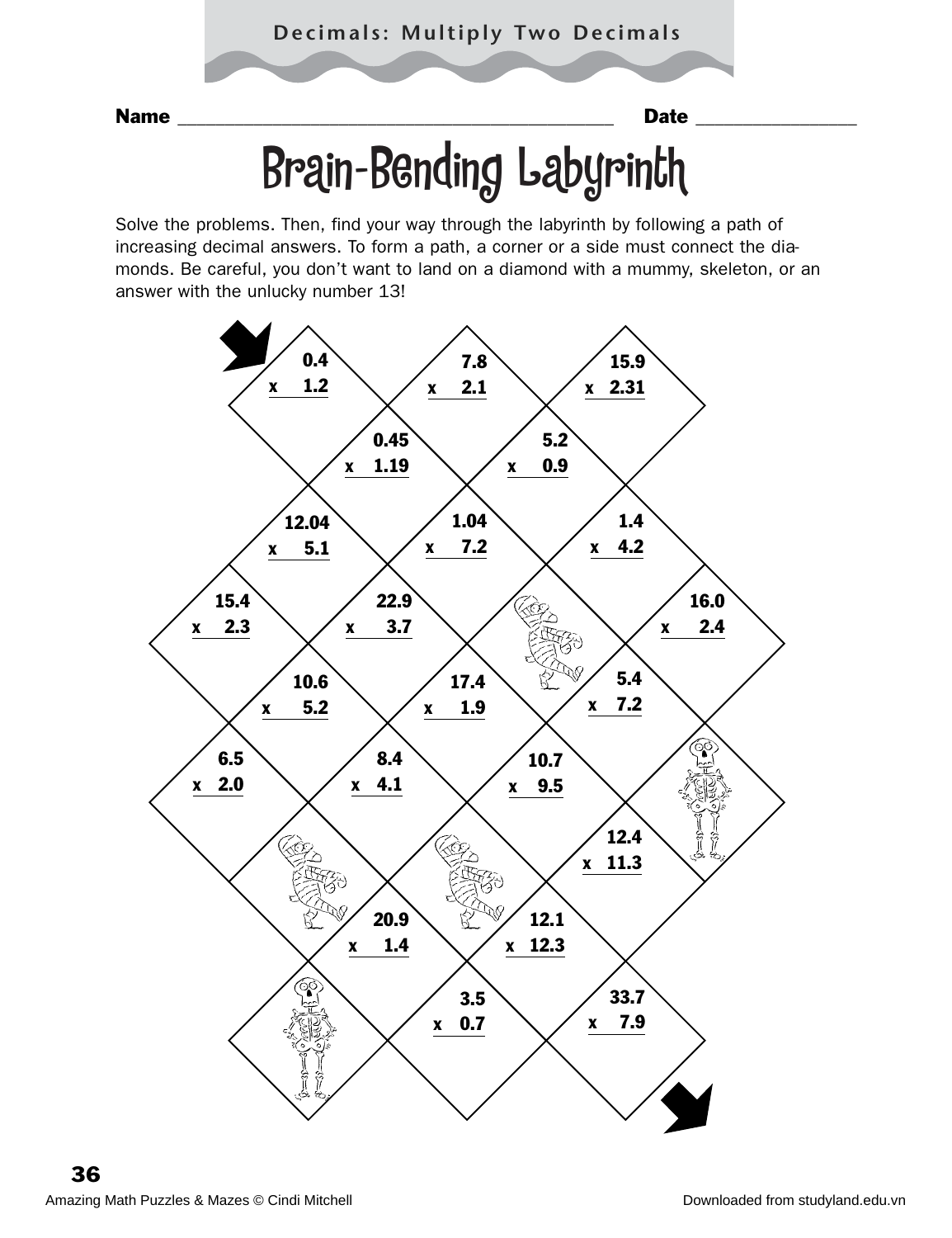### **Decimals: Multiply Two Decimals**

Name \_\_\_\_\_\_\_\_\_\_\_\_\_\_\_\_\_\_\_\_\_\_\_\_\_\_\_\_\_\_\_\_\_\_\_\_\_\_\_\_\_\_\_\_\_\_ Date \_\_\_\_\_\_\_\_\_\_\_\_\_\_\_\_\_

# Brain-Bending Labyrinth

Solve the problems. Then, find your way through the labyrinth by following a path of increasing decimal answers. To form a path, a corner or a side must connect the diamonds. Be careful, you don't want to land on a diamond with a mummy, skeleton, or an answer with the unlucky number 13!

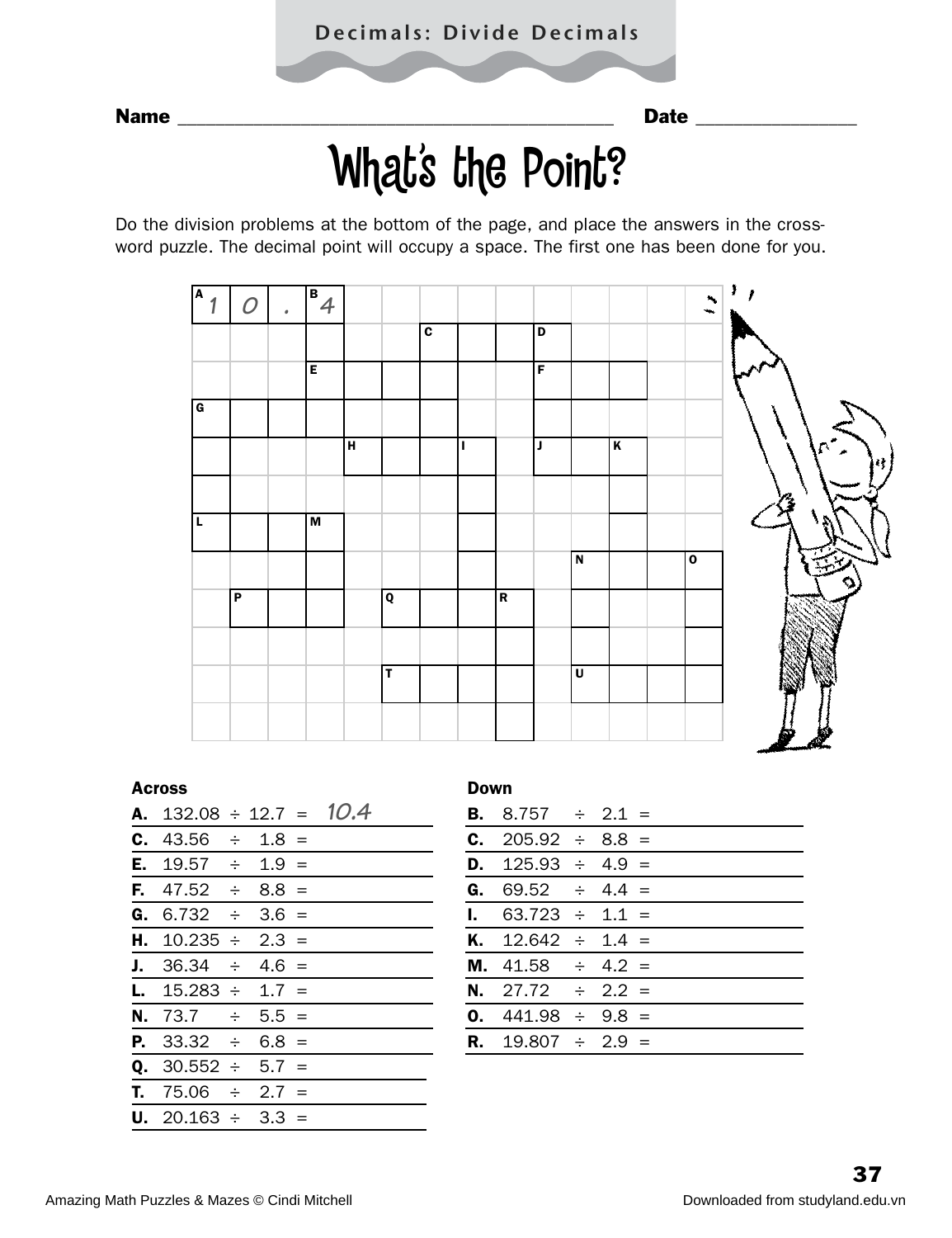# What's the Point?

Do the division problems at the bottom of the page, and place the answers in the crossword puzzle. The decimal point will occupy a space. The first one has been done for you.



#### Across Down

| <b>A.</b> 132.08 $\div$ 12.7 = 10.4 |  |  | <b>B.</b> 8.757 $\div$ 2.1 =  |  |  |
|-------------------------------------|--|--|-------------------------------|--|--|
| <b>C.</b> 43.56 $\div$ 1.8 =        |  |  | <b>C.</b> 205.92 $\div$ 8.8 = |  |  |
| <b>E.</b> 19.57 $\div$ 1.9 =        |  |  | <b>D.</b> $125.93 \div 4.9 =$ |  |  |
| <b>F.</b> 47.52 $\div$ 8.8 =        |  |  | <b>G.</b> 69.52 $\div$ 4.4 =  |  |  |
| <b>G.</b> 6.732 $\div$ 3.6 =        |  |  | <b>I.</b> $63.723 \div 1.1 =$ |  |  |
| <b>H.</b> $10.235 \div 2.3 =$       |  |  | <b>K.</b> $12.642 \div 1.4 =$ |  |  |
| <b>J.</b> 36.34 $\div$ 4.6 =        |  |  | <b>M.</b> 41.58 $\div$ 4.2 =  |  |  |
| <b>L.</b> $15.283 \div 1.7 =$       |  |  | <b>N.</b> 27.72 $\div$ 2.2 =  |  |  |
| <b>N.</b> 73.7 $\div$ 5.5 =         |  |  | <b>0.</b> 441.98 $\div$ 9.8 = |  |  |
| <b>P.</b> 33.32 $\div$ 6.8 =        |  |  | <b>R.</b> 19.807 $\div$ 2.9 = |  |  |
| <b>Q.</b> 30.552 $\div$ 5.7 =       |  |  |                               |  |  |
| <b>T.</b> 75.06 $\div$ 2.7 =        |  |  |                               |  |  |
| <b>U.</b> 20.163 $\div$ 3.3 =       |  |  |                               |  |  |
|                                     |  |  |                               |  |  |

| D.<br>G. |  | <b>B.</b> 8.757 $\div$ 2.1 =<br><b>C.</b> 205.92 $\div$ 8.8 =<br>$125.93 \div 4.9 =$<br>$69.52 \div 4.4 =$<br><b>I.</b> $63.723 \div 1.1 =$<br><b>K.</b> $12.642 \div 1.4 =$<br><b>M.</b> 41.58 $\div$ 4.2 =<br><b>N.</b> 27.72 $\div$ 2.2 =<br><b>0.</b> 441.98 $\div$ 9.8 =<br><b>R.</b> 19.807 $\div$ 2.9 = |
|----------|--|----------------------------------------------------------------------------------------------------------------------------------------------------------------------------------------------------------------------------------------------------------------------------------------------------------------|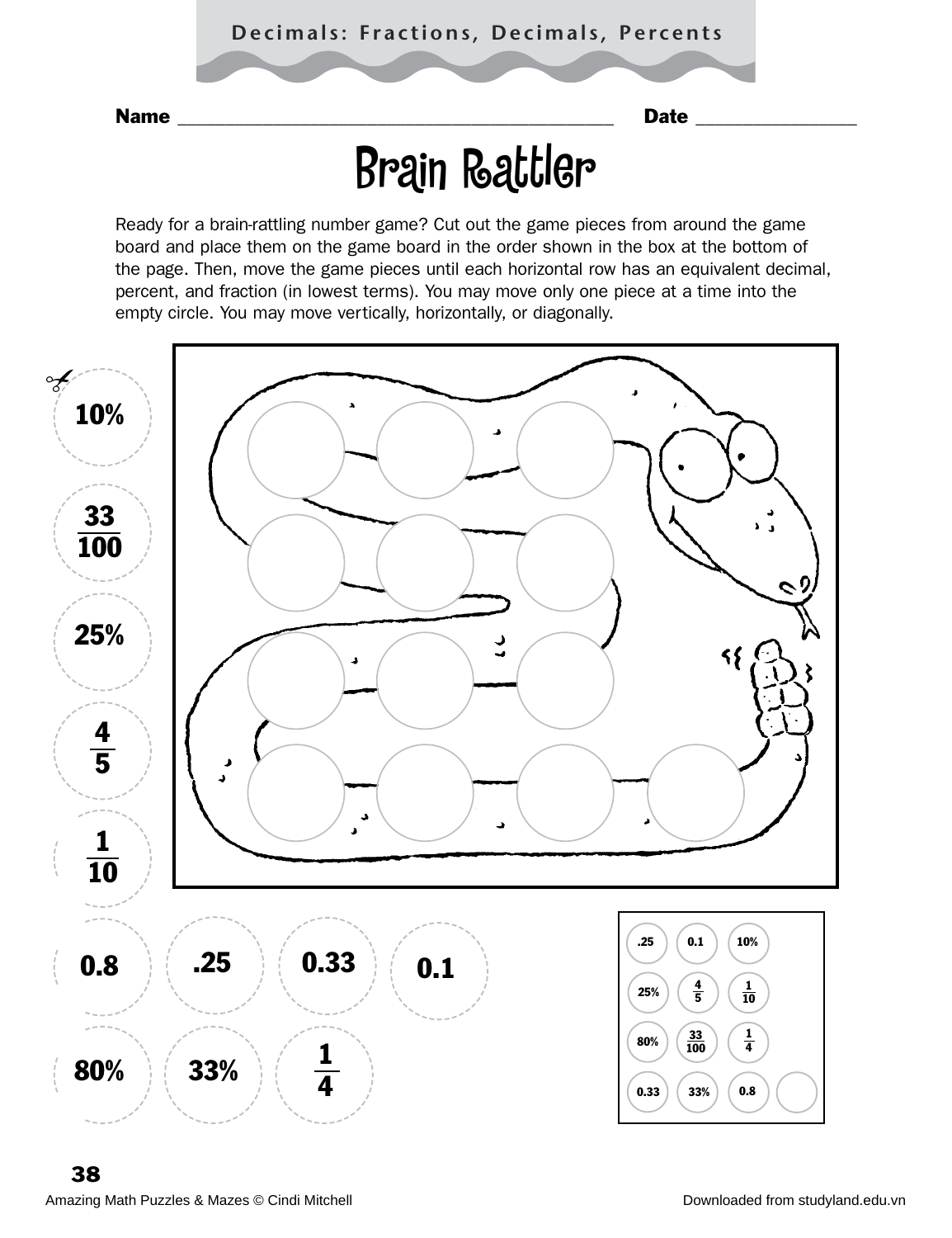## Brain Rattler

Ready for a brain-rattling number game? Cut out the game pieces from around the game board and place them on the game board in the order shown in the box at the bottom of the page. Then, move the game pieces until each horizontal row has an equivalent decimal, percent, and fraction (in lowest terms). You may move only one piece at a time into the empty circle. You may move vertically, horizontally, or diagonally.

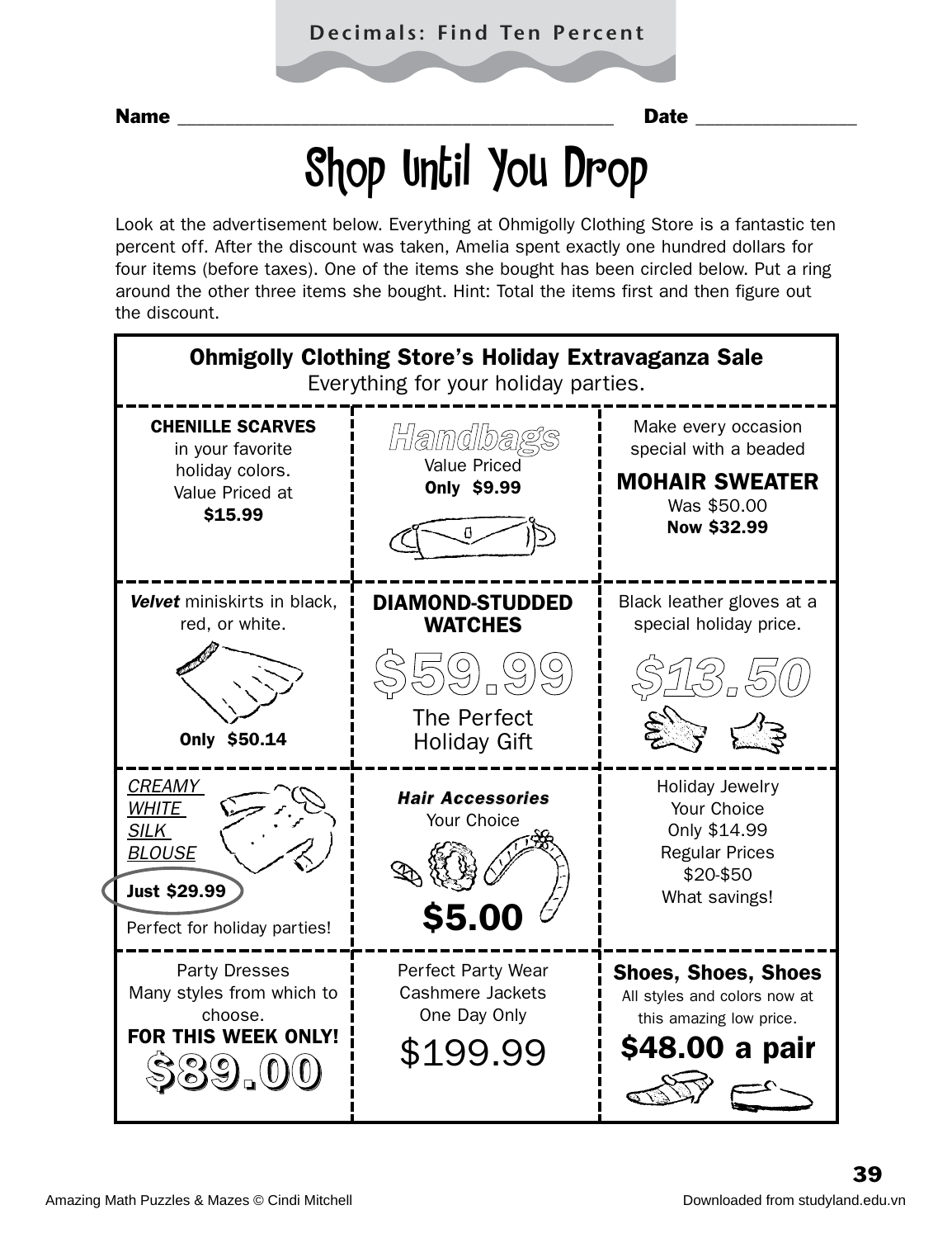## Shop Until You Drop

Look at the advertisement below. Everything at Ohmigolly Clothing Store is a fantastic ten percent off. After the discount was taken, Amelia spent exactly one hundred dollars for four items (before taxes). One of the items she bought has been circled below. Put a ring around the other three items she bought. Hint: Total the items first and then figure out the discount.

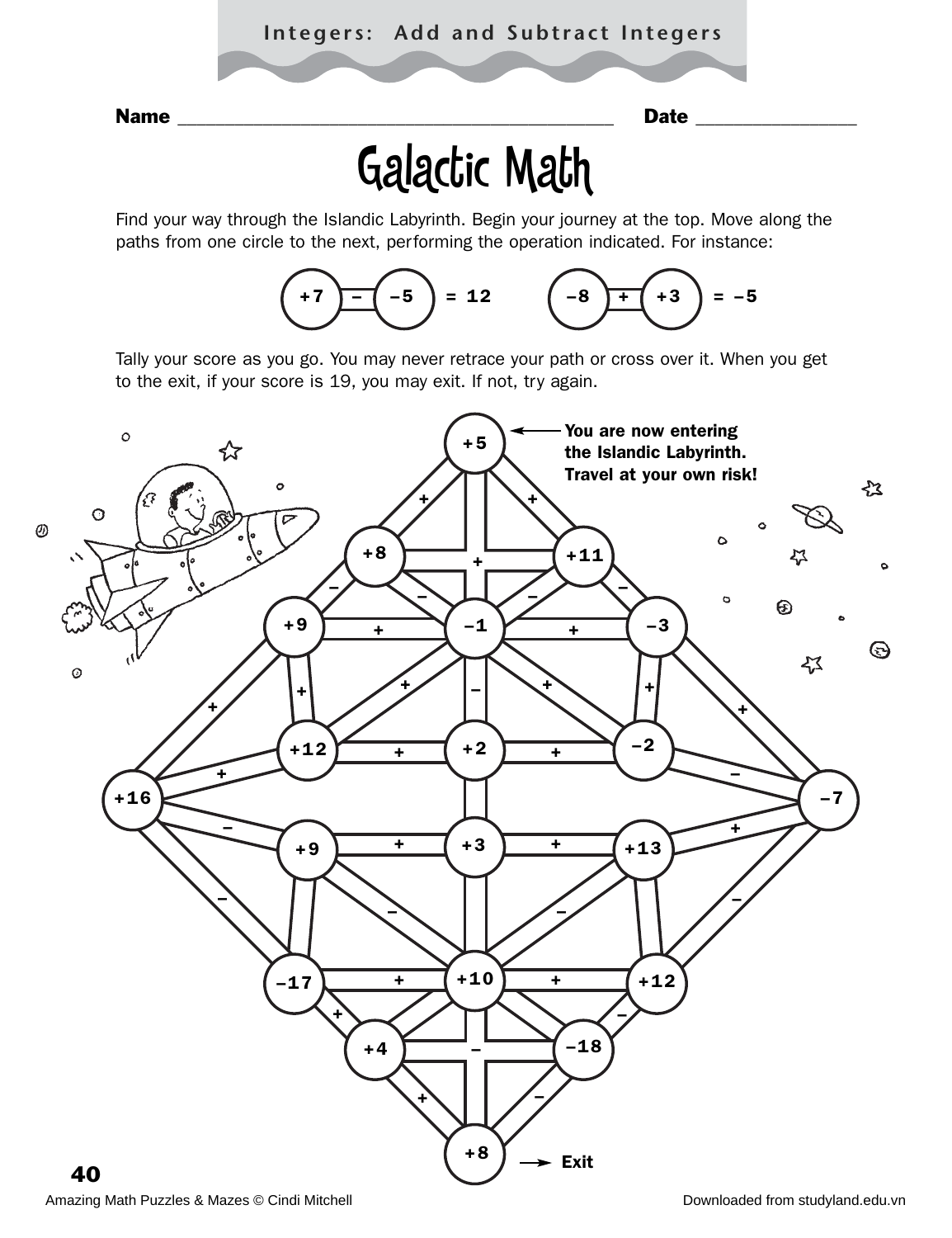Name \_\_\_\_\_\_\_\_\_\_\_\_\_\_\_\_\_\_\_\_\_\_\_\_\_\_\_\_\_\_\_\_\_\_\_\_\_\_\_\_\_\_\_\_\_\_ Date \_\_\_\_\_\_\_\_\_\_\_\_\_\_\_\_\_

## Galactic Math

Find your way through the Islandic Labyrinth. Begin your journey at the top. Move along the paths from one circle to the next, performing the operation indicated. For instance:



Tally your score as you go. You may never retrace your path or cross over it. When you get to the exit, if your score is 19, you may exit. If not, try again.

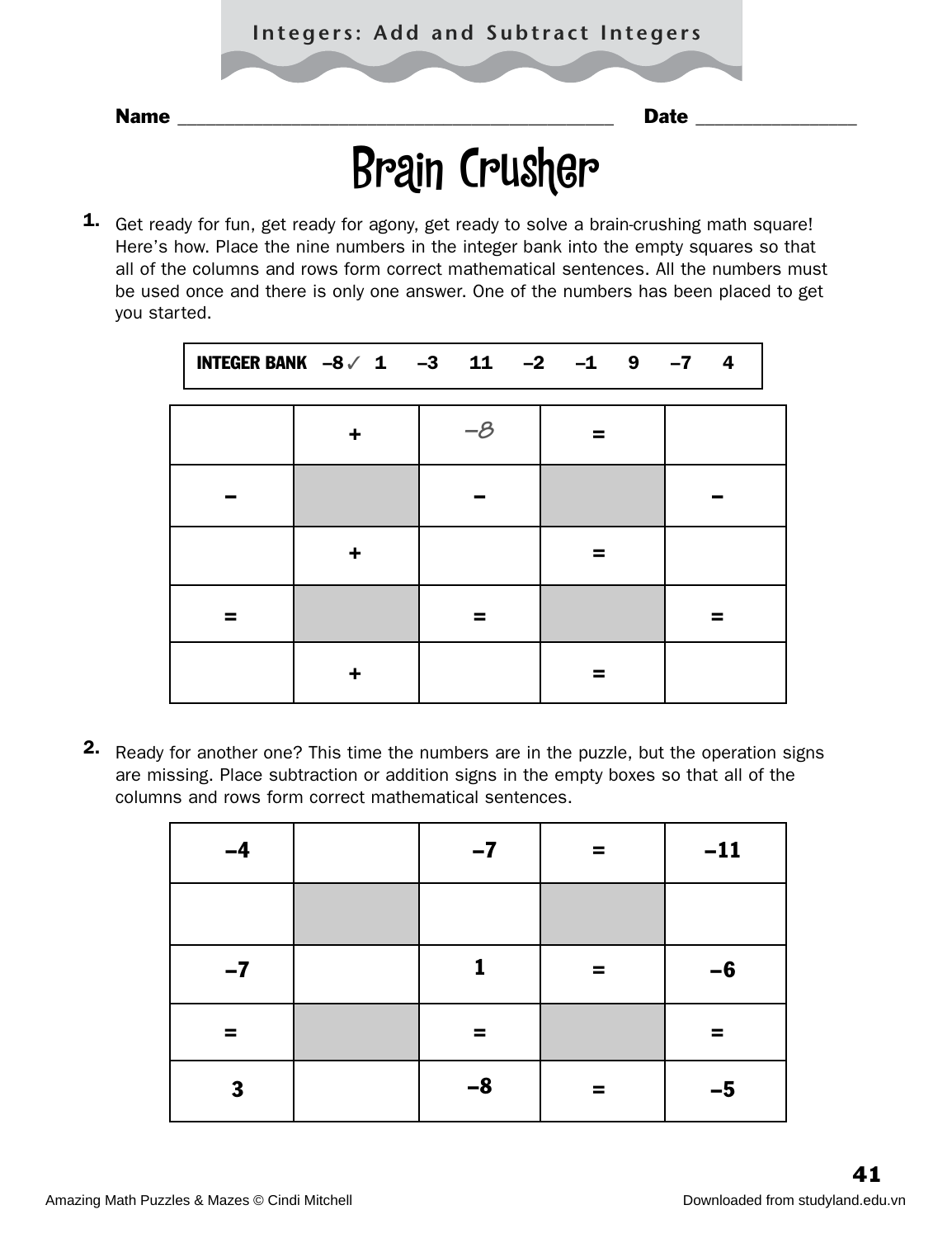## Brain Crusher

1. Get ready for fun, get ready for agony, get ready to solve a brain-crushing math square! Here's how. Place the nine numbers in the integer bank into the empty squares so that all of the columns and rows form correct mathematical sentences. All the numbers must be used once and there is only one answer. One of the numbers has been placed to get you started.

| INTEGER BANK $-8$ / 1 $-3$ 11 $-2$ $-1$ 9 $-7$ 4 |          |  |  |  |
|--------------------------------------------------|----------|--|--|--|
|                                                  | $-\beta$ |  |  |  |
|                                                  |          |  |  |  |
| ÷                                                |          |  |  |  |
|                                                  |          |  |  |  |
|                                                  |          |  |  |  |

2. Ready for another one? This time the numbers are in the puzzle, but the operation signs are missing. Place subtraction or addition signs in the empty boxes so that all of the columns and rows form correct mathematical sentences.

| $-4$ | $-7$ | = | $-11$ |
|------|------|---|-------|
|      |      |   |       |
| $-7$ | 1    | = | $-6$  |
| =    | =    |   | ▀     |
| 3    | $-8$ | = | $-5$  |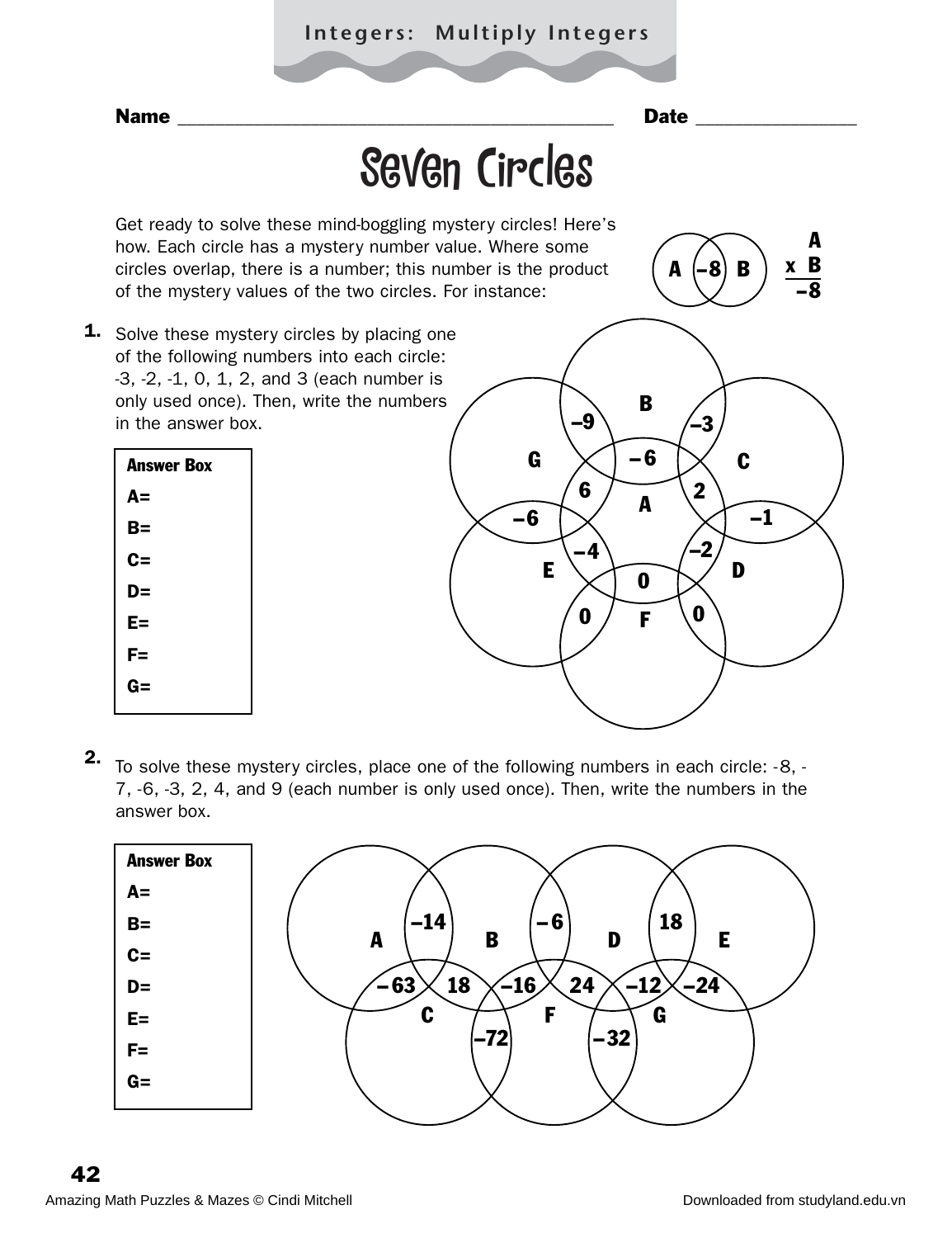### **Integers: Multiply Integers**



To solve these mystery circles, place one of the following numbers in each circle: -8, - 7, -6, -3, 2, 4, and 9 (each number is only used once). Then, write the numbers in the answer box. 2.

| <b>Answer Box</b> |                                          |
|-------------------|------------------------------------------|
| $A=$              |                                          |
| $B=$              | 18<br>$-14$<br>-6                        |
| $C =$             | B<br>D<br>E<br>A                         |
| $D=$              | $-24$<br>18<br>-63<br>24<br>$-16$<br>-12 |
| $E =$             | C<br>F<br>G                              |
| $F =$             | $-32$<br>$-72$                           |
| $G =$             |                                          |
|                   |                                          |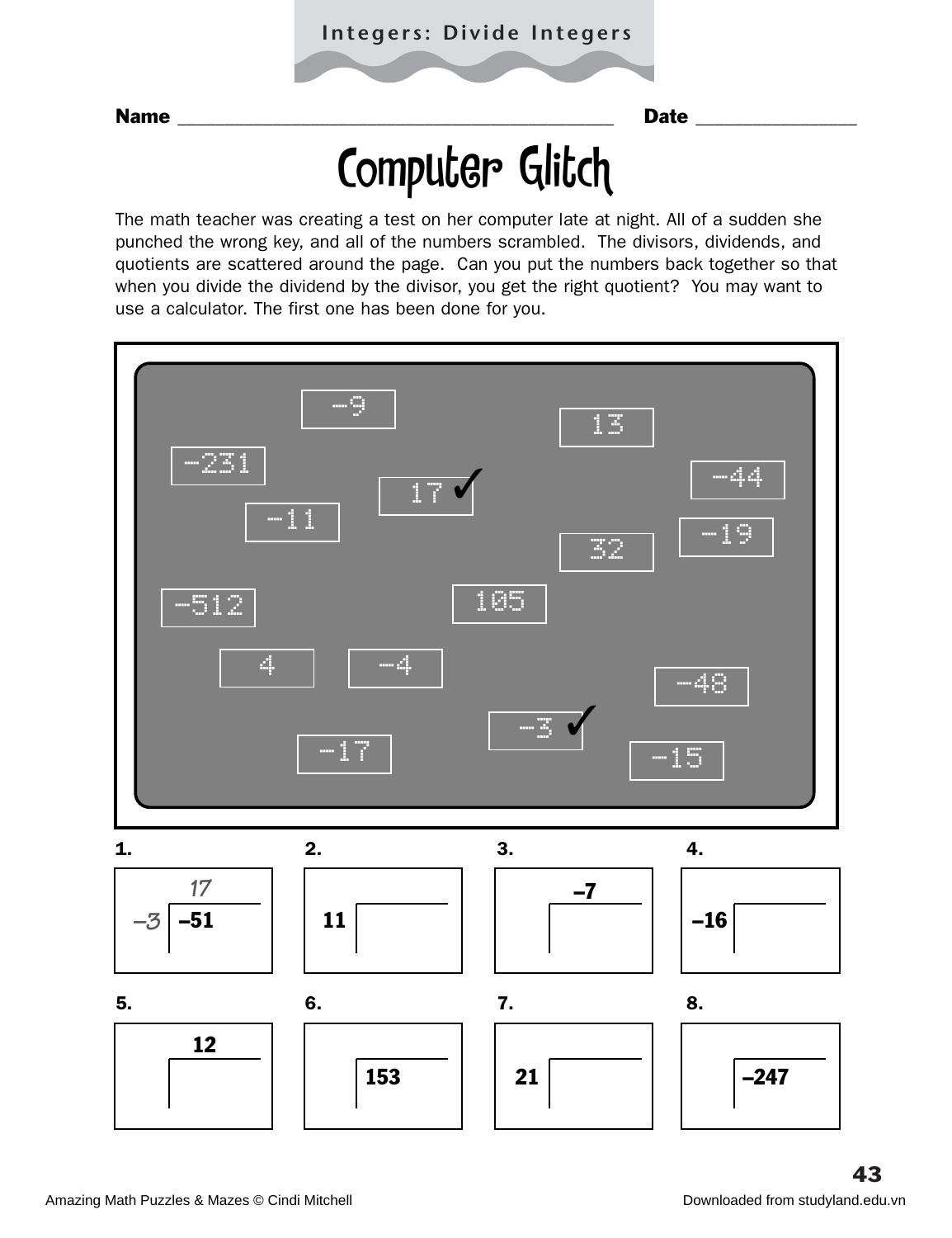# Computer Glitch

The math teacher was creating a test on her computer late at night. All of a sudden she punched the wrong key, and all of the numbers scrambled. The divisors, dividends, and quotients are scattered around the page. Can you put the numbers back together so that when you divide the dividend by the divisor, you get the right quotient? You may want to use a calculator. The first one has been done for you.

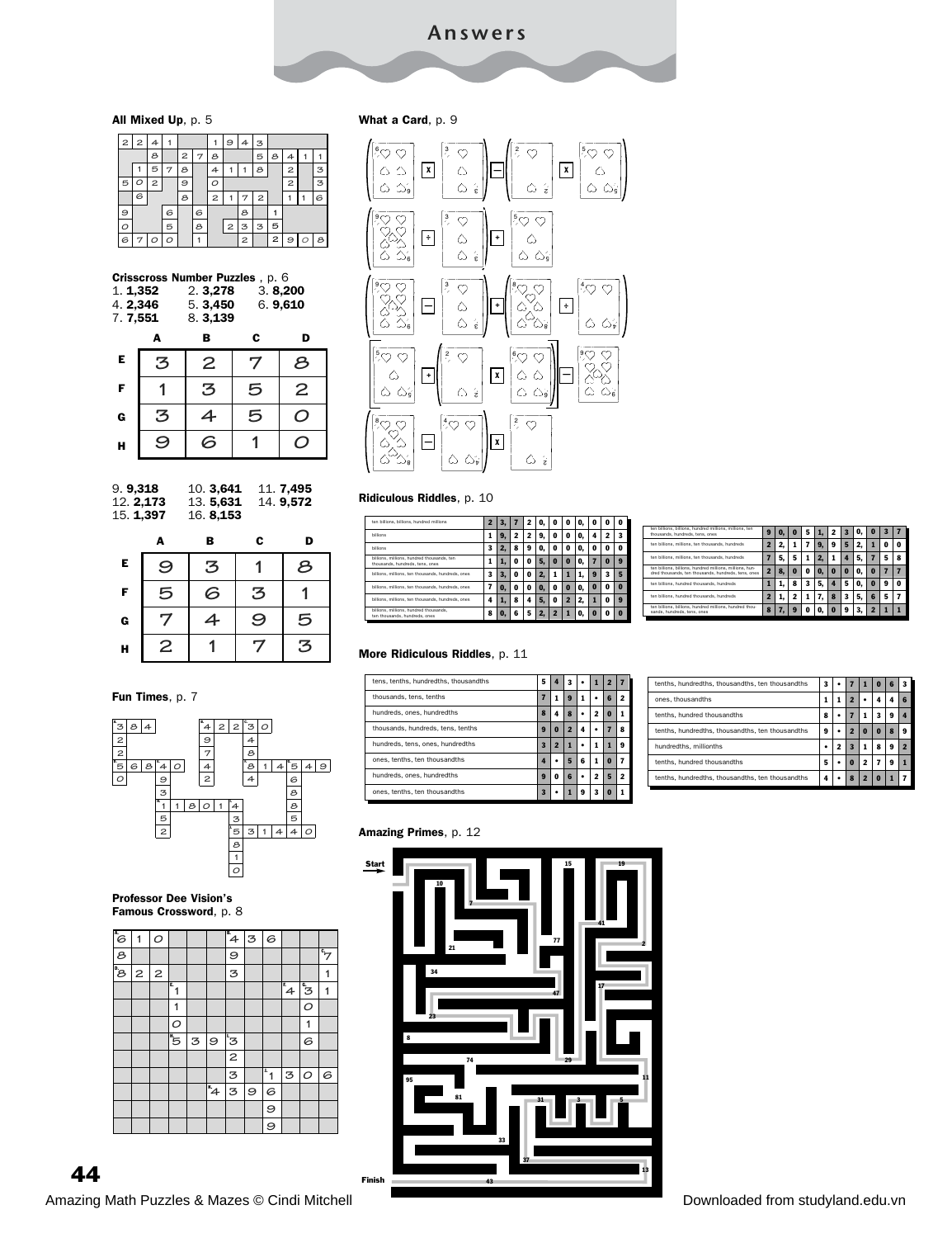#### All Mixed Up, p. 5

| 2 | 2 | 4 |   |   |   |   | 9                       | 4 | З |   |                |   |   |
|---|---|---|---|---|---|---|-------------------------|---|---|---|----------------|---|---|
|   |   | я |   | 2 | 7 | 8 |                         |   | 5 | 8 | 4              |   |   |
|   |   | 5 | 7 | 8 |   | 4 |                         |   | 8 |   | 2              |   | З |
| 5 | ◠ | 2 |   | 9 |   | r |                         |   |   |   | $\overline{c}$ |   | Ζ |
|   | 6 |   |   | 8 |   | 2 |                         |   | 2 |   |                |   | 6 |
| 9 |   |   | 6 |   | 6 |   |                         | г |   |   |                |   |   |
| О |   |   | 5 |   | 8 |   | $\overline{\mathbf{c}}$ | З | 3 | 5 |                |   |   |
| 6 | 7 | Ο | ⌒ |   |   |   |                         | 2 |   | 2 | 9              | O | 8 |

| Crisscross Number Puzzles, p. 6<br>3.8,200<br>1.1,352<br>2.3,278<br>6.9,610<br>5.3,450<br>4.2.346<br>8.3,139<br>7.7,551 |         |           |   |                |  |
|-------------------------------------------------------------------------------------------------------------------------|---------|-----------|---|----------------|--|
|                                                                                                                         | A       | в         | c | D              |  |
| Е                                                                                                                       | З       | 2         | 7 | 8              |  |
| F                                                                                                                       |         | 3         | 5 | $\overline{2}$ |  |
| G                                                                                                                       | З       |           | 5 |                |  |
| н                                                                                                                       | $\circ$ | $\hat{ }$ |   |                |  |





#### Fun Times, p. 7



#### Professor Dee Vision's Famous Crossword, p. 8

| $\overline{\epsilon}$ | 1            | O |                  |   |                | $\mathbb{F}_4$ | 3       | 6                |                |                        |                       |
|-----------------------|--------------|---|------------------|---|----------------|----------------|---------|------------------|----------------|------------------------|-----------------------|
| 8                     |              |   |                  |   |                | 9              |         |                  |                |                        | $\overline{\epsilon}$ |
| ®e                    | $\mathbf{z}$ | 2 |                  |   |                | 3              |         |                  |                |                        | 1                     |
|                       |              |   | $\mathbf{F}_{1}$ |   |                |                |         |                  | $\mathbb{F}_4$ | $\overline{\tilde{s}}$ | 1                     |
|                       |              |   | 1                |   |                |                |         |                  |                | O                      |                       |
|                       |              |   | О                |   |                |                |         |                  |                | 1                      |                       |
|                       |              |   | "5               | 3 | 9              | <sup>1</sup> 3 |         |                  |                | 6                      |                       |
|                       |              |   |                  |   |                | $\overline{c}$ |         |                  |                |                        |                       |
|                       |              |   |                  |   |                | 3              |         | $\overline{r}_1$ | 3              | $\circ$                | 6                     |
|                       |              |   |                  |   | $\overline{4}$ | 3              | $\circ$ | 6                |                |                        |                       |
|                       |              |   |                  |   |                |                |         | 9                |                |                        |                       |
|                       |              |   |                  |   |                |                |         | 9                |                |                        |                       |

#### What a Card, p. 9



#### Ridiculous Riddles, p. 10

| ten billions, billions, hundred millions                                      |   |    |   |   |    |   |   |    |   | п |   |
|-------------------------------------------------------------------------------|---|----|---|---|----|---|---|----|---|---|---|
| <b>billions</b>                                                               |   | 9, | 2 | 2 | 9  | Ω | o |    |   |   |   |
| <b>billions</b>                                                               |   | 2. | 8 | 9 | O. | 0 | o |    | 0 | 0 | n |
| billions, millions, hundred thousands, ten<br>thousands, hundreds, tens, ones |   | ı. | 0 | 0 |    | 0 | n | O. |   | n |   |
| billions, millions, ten thousands, hundreds, ones                             | 3 | 3. | 0 | Λ |    |   |   |    | я |   |   |
| billions, millions, ten thousands, hundreds, ones                             |   | o. | 0 | 0 | O. | 0 | n |    | n | 0 | n |
| billions, millions, ten thousands, hundreds, ones                             |   |    | 8 |   |    | 0 | 2 |    |   | 0 | я |
| billions, millions, hundred thousands,<br>ten thousands, hundreds, ones       | Ջ |    | ĥ |   |    |   |   |    |   | o |   |

| ten billions, billions, hundred millions, millions, ten<br>thousands, hundreds, tens, ones                      | э | o | 5 | 2 |  | o  | з |   |
|-----------------------------------------------------------------------------------------------------------------|---|---|---|---|--|----|---|---|
| ten billions, millions, ten thousands, hundreds                                                                 |   |   |   | 9 |  |    | п | п |
| ten billions, millions, ten thousands, hundreds                                                                 |   | 5 |   |   |  |    |   |   |
| ten billions, billions, hundred millions, millions, hun-<br>dred thousands, ten thousands, hundreds, tens, ones |   | 0 | 0 | n |  | о  |   |   |
| ten billions, hundred thousands, hundreds                                                                       |   | 8 |   |   |  | n  | я |   |
| ten billions, hundred thousands, hundreds                                                                       |   |   |   |   |  | 16 | 5 |   |
| ten billions, billions, hundred millions, hundred thou-<br>sands, hundreds, tens, ones                          | о |   |   |   |  |    |   |   |

#### More Ridiculous Riddles, p. 11

| tens, tenths, hundredths, thousandths | 5                     |   | 3                |   |   |   |   |
|---------------------------------------|-----------------------|---|------------------|---|---|---|---|
| thousands, tens, tenths               | 7                     |   | $\boldsymbol{9}$ | 1 |   | б |   |
| hundreds, ones, hundredths            | 8                     |   | 8                | ٠ | 2 | n |   |
| thousands, hundreds, tens, tenths     | 9                     | 0 |                  | 4 |   |   | я |
| hundreds, tens, ones, hundredths      | 3                     | 2 |                  |   |   |   | 9 |
| ones, tenths, ten thousandths         | 4                     |   | Б                | 6 | 1 | n |   |
| hundreds, ones, hundredths            | $\boldsymbol{\Omega}$ | 0 | 6                |   | 2 | Б |   |
| ones, tenths, ten thousandths         | $\mathbf{R}$          |   |                  | 9 | 3 | n |   |

| tenths, hundredths, thousandths, ten thousandths | 3 |   |                         |          | 0 | 6 | 3 |
|--------------------------------------------------|---|---|-------------------------|----------|---|---|---|
| ones, thousandths                                |   | 1 | 2                       |          |   |   |   |
| tenths, hundred thousandths                      | 8 |   |                         |          | 3 | я |   |
| tenths, hundredths, thousandths, ten thousandths | ۹ |   | 2                       | $\bf{0}$ | n |   | я |
| hundredths, millionths                           |   | , | $\overline{\mathbf{z}}$ |          | я | я |   |
| tenths, hundred thousandths                      | 5 |   | n                       | ,        |   | 9 |   |
| tenths, hundredths, thousandths, ten thousandths | 4 |   | я                       | o        |   |   |   |

#### Amazing Primes, p. 12

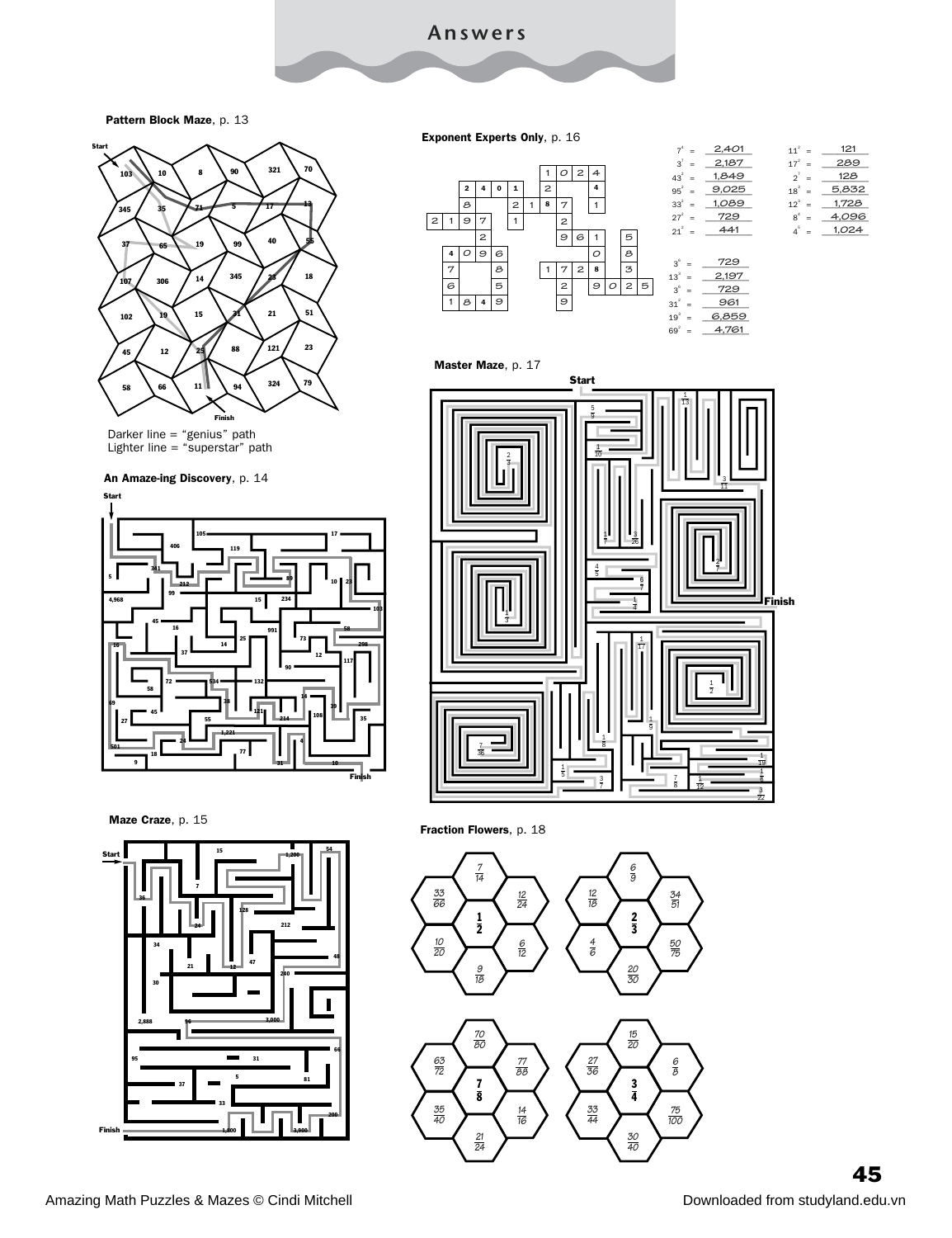Pattern Block Maze, p. 13



Darker line = "genius" path Lighter line = "superstar" path

#### An Amaze-ing Discovery, p. 14



Start Master Maze, p. 17 4  $\overline{\mathbf{8}}$  **8 2 1 7 9 9 7 1 2 96 1 5**  $31<sup>2</sup>$  $19^3$  =  $69^2 = 4,761$ 

| $7^4$ =           | 2,401 | $11^2$ =   | 121   |
|-------------------|-------|------------|-------|
| $3^7$ =           | 2,187 | $17^{2}$ = | 289   |
| $43^{2}$ =        | 1,849 | $2^7$ =    | 128   |
| $95^{2}$ =        | 9,025 | $18^{3}$ = | 5,832 |
| $33^{2}$ =        | 1,089 | $12^{3}$ = | 1,728 |
| $27^{2}$ =        | 729   | $8^4$ =    | 4,096 |
| $21^{2}$ =        | 441   | $4^5$ =    | 1,024 |
|                   |       |            |       |
| $3^6$<br>$\equiv$ | 729   |            |       |
| $13^3$<br>Ξ       | 2,197 |            |       |
| $3^6$<br>Ξ        | 729   |            |       |
| $31^2$<br>-       | 961   |            |       |

<u>= 6,859</u>

**6,859**



Maze Craze, p. 15







Amazing Math Puzzles & Mazes © Cindi Mitchell Downloaded from studyland.edu.vn

 

Exponent Experts Only, p. 16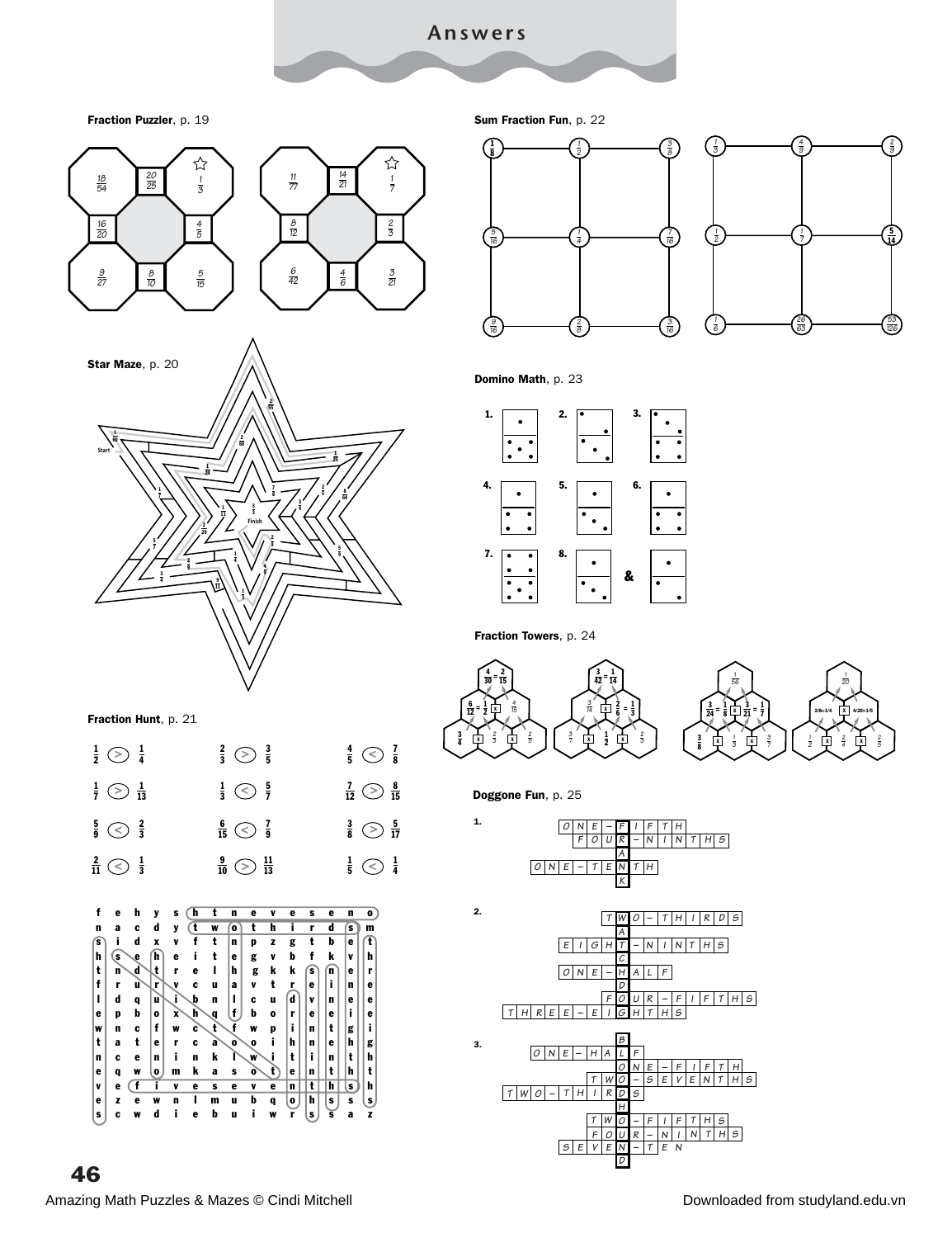Fraction Puzzler, p. 19



 Amazing Math Puzzles & Mazes © Cindi Mitchell Downloaded from studyland.edu.vn

Sum Fraction Fun, p. 22



Domino Math, p. 23



Fraction Towers, p. 24





Doggone Fun, p. 25

1.





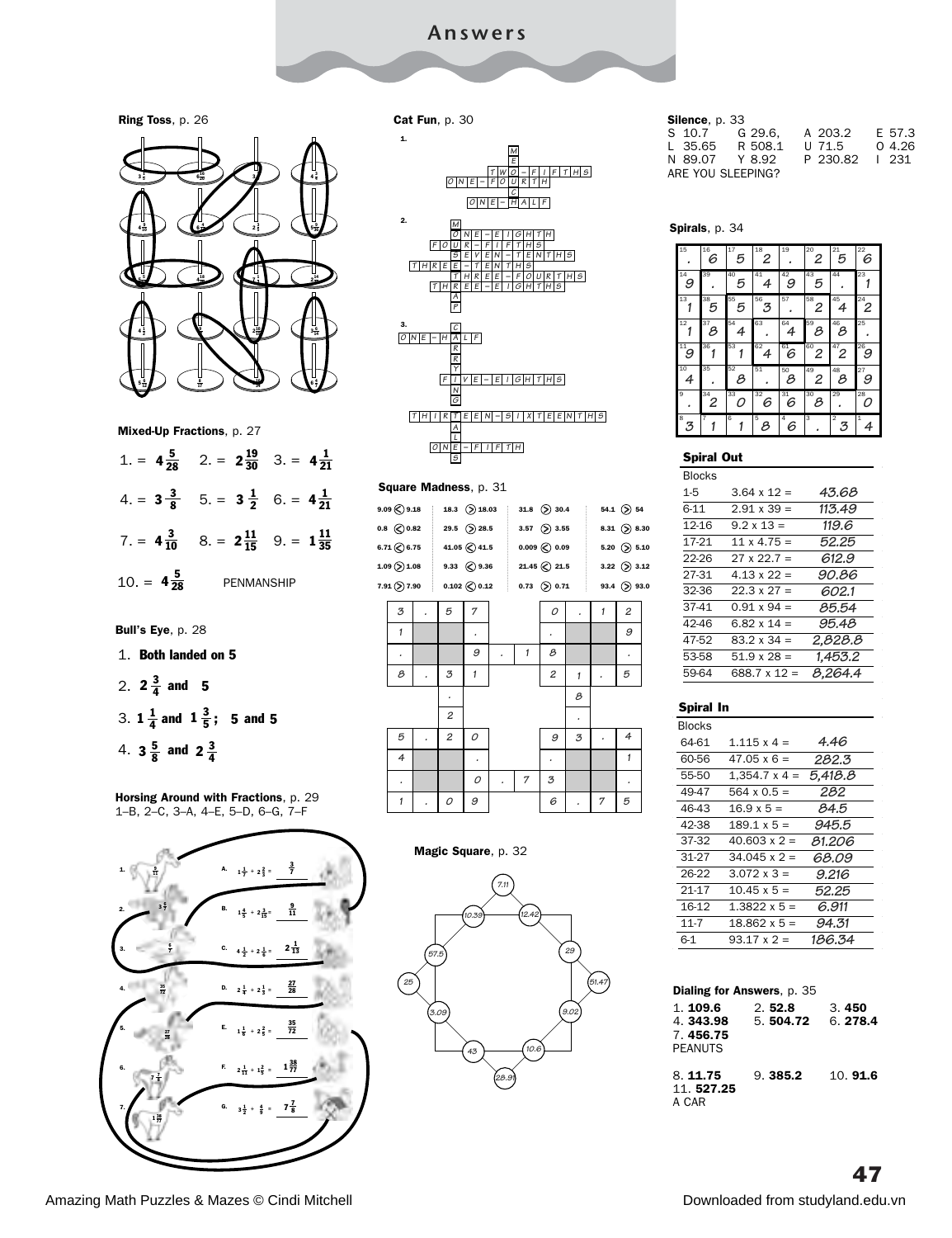Cat Fun, p. 30







 $4\frac{5}{28}$ 7. =  $4\frac{3}{10}$  8. =  $2\frac{11}{15}$  9. =  $1\frac{11}{35}$ PENMANSHIP

```
Bull's Eye, p. 28
```
- 1. Both landed on 5
- 2.  $2\frac{3}{4}$  and 5

3. 
$$
1\frac{1}{4}
$$
 and  $1\frac{3}{5}$ ; 5 and 5

4.  $3\frac{5}{8}$  and  $2\frac{3}{4}$ 

Horsing Around with Fractions, p. 29 1–B, 2–C, 3–A, 4–E, 5–D, 6–G, 7–F







#### Square Madness, p. 31

|                        | $9.09$ $\bigcirc$ $9.18$ 18.3 $\bigcirc$ 18.03 31.8 $\bigcirc$ 30.4 |                         |                                                |   |              |   | 54.1 $($ 54         |  |
|------------------------|---------------------------------------------------------------------|-------------------------|------------------------------------------------|---|--------------|---|---------------------|--|
|                        | 0.8 $\bigcirc$ 0.82 29.5 $\bigcirc$ 28.5                            |                         | 3.57 $($ 3.55                                  |   |              |   | 8.31 $($ 8.30       |  |
| $6.71$ $\bigodot$ 6.75 |                                                                     | 41.05 $\bigotimes$ 41.5 | 0.009 $\bigcirc$ 0.09                          |   |              |   | 5.20 $($ 5.10       |  |
| $1.09$ $($ $)$ $1.08$  |                                                                     |                         | 9.33 $\bigotimes$ 9.36 21.45 $\bigotimes$ 21.5 |   |              |   | 3.22 $($ 3.12       |  |
|                        | 7.91 $($ $)$ 7.90 0.102 $($ 0.12 0.73 $($ $)$ 0.71                  |                         |                                                |   |              |   | $93.4$ $\odot$ 93.0 |  |
| 3                      | 5                                                                   | 7                       |                                                | 0 |              | 1 | $\overline{c}$      |  |
| 1                      |                                                                     |                         |                                                |   |              |   | 9                   |  |
| ٠                      |                                                                     | 9                       | $\mathbf{1}$                                   | 8 |              |   | ٠                   |  |
| 8                      | 3                                                                   | $\mathbf{1}$            |                                                | 2 | $\mathbf{1}$ |   | 5                   |  |
|                        | ٠                                                                   |                         |                                                |   | 8            |   |                     |  |
|                        | 2                                                                   |                         |                                                |   |              |   |                     |  |
| 5                      | 2                                                                   | 0                       |                                                | 9 | 3            |   | 4                   |  |
| $\overline{4}$         |                                                                     |                         |                                                | ٠ |              |   | $\mathbf{1}$        |  |
| ٠                      |                                                                     | 0                       | 7                                              | 3 |              |   | ٠                   |  |
| 1                      | 0                                                                   | 9                       |                                                | 6 |              | 7 | 5                   |  |
|                        |                                                                     |                         |                                                |   |              |   |                     |  |

#### Magic Square, p. 32



#### Silence, p. 33

| S 10.7            | G 29.6. A 203.2 |                   | E 57.3 |
|-------------------|-----------------|-------------------|--------|
| L 35.65           | R 508.1         | $U$ 71.5 $0$ 4.26 |        |
| N 89.07 Y 8.92    |                 | P 230.82   231    |        |
| ARE YOU SLEEPING? |                 |                   |        |

#### Spirals, p. 34

| 15                          | 16<br>6 | $\overline{17}$<br>5 | 18<br>2             | 19                          | 20<br>2 | 21<br>5              | 22<br>6              |
|-----------------------------|---------|----------------------|---------------------|-----------------------------|---------|----------------------|----------------------|
| $\bf 14$<br>9               | 39      | 40<br>5              | 41<br>4             | $\overset{42}{\mathcal{G}}$ | 43<br>5 | 44                   | 23                   |
| 13                          | 38<br>5 | 55<br>5              | 56<br>3             | 57                          | 58<br>2 | 45<br>4              | 24<br>$\overline{c}$ |
| $12\,$                      | 37<br>8 | 54<br>4              | 63                  | 64<br>4                     | 59<br>8 | 46<br>8              | 25                   |
| $\bar{1}1$<br>$\mathcal{G}$ | 36      | 53                   | 62<br>4             | 61<br>6                     | 60<br>2 | $\overline{^{47}}$ 2 | 26<br>9              |
| 10<br>4                     | 35      | 52<br>8              | 51                  | 50<br>8                     | 49<br>2 | 48<br>8              | 27<br>9              |
| 9                           | 34<br>2 | 33<br>Ω              | 32<br>6             | $\overline{31}$<br>6        | 30<br>8 | 29                   | 28<br>Ω              |
| 8<br>3                      | 7       | $\overline{6}$       | $\overline{5}$<br>8 | $\overline{4}$<br>6         | 3       | $\overline{2}$<br>3  | 1<br>4               |

#### Spiral Out

| <b>Blocks</b> |                    |         |
|---------------|--------------------|---------|
| 1-5           | $3.64 \times 12 =$ | 43.68   |
| հ-11          | $2.91 \times 39 =$ | 113.49  |
| 12-16         | $9.2 \times 13 =$  | 119.6   |
| 17-21         | $11 \times 4.75 =$ | 52.25   |
| 22-26         | $27 \times 22.7 =$ | 612.9   |
| 27-31         | $4.13 \times 22 =$ | 90.86   |
| 32-36         | $22.3 \times 27 =$ | 602.1   |
| $37-41$       | $0.91 \times 94 =$ | 85.54   |
| 42-46         | 6.82 x 14 =        | 95.48   |
| 47-52         | $83.2 \times 34 =$ | 2.828.8 |
| 53-58         | $51.9 \times 28 =$ | 1.453.2 |
| 59-64         | 688.7 x 12 =       | 8.264.4 |
|               |                    |         |

| Spiral In     |                      |         |
|---------------|----------------------|---------|
| <b>Blocks</b> |                      |         |
| 64-61         | $1.115 \times 4 =$   | 4.46    |
| 60-56         | $47.05 \times 6 =$   | 282.3   |
| 55-50         | $1.354.7 \times 4 =$ | 5.418.8 |
| 49-47         | $564 \times 0.5 =$   | 282     |
| 46-43         | $16.9 \times 5 =$    | 84.5    |
| 42-38         | $189.1 \times 5 =$   | 945.5   |
| 37-32         | $40.603 \times 2 =$  | 81.206  |
| 31-27         | $.34.045 \times 2 =$ | 68.09   |
| 26-22         | $3.072 \times 3 =$   | 9.216   |
| 21-17         | $10.45 \times 5 =$   | 52.25   |
| 16-12         | $1.3822 \times 5 =$  | 6.911   |
| $11 - 7$      | $18.862 \times 5 =$  | 94.31   |
| 6-1           | $93.17 \times 2 =$   | 186.34  |
|               |                      |         |

| <b>Dialing for Answers, p. 35</b>                 |                    |                  |  |  |  |
|---------------------------------------------------|--------------------|------------------|--|--|--|
| 1.109.6<br>4.343.98<br>7.456.75<br><b>PFANUTS</b> | 2.52.8<br>5.504.72 | 3.450<br>6.278.4 |  |  |  |
| 8.11.75<br>11.527.25<br>A CAR                     | 9.385.2            | 10.916           |  |  |  |

Amazing Math Puzzles & Mazes © Cindi Mitchell Downloaded from studyland.edu.vn